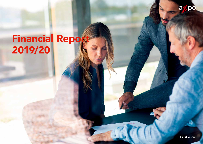

# **Financial Report** 2019/20

Full of Energy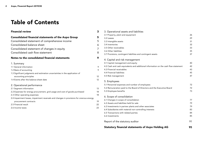## Table of Contents

#### 3. Operational assets and liabilities [3.1 Property, plant and equipment](#page-25-0) 26 [3.2 Leases](#page-28-0) 29 [3.3 Intangible assets](#page-30-0) 31 [3.4 Inventories](#page-31-0) 32 [3.5 Other receivables](#page-32-0) 33 [3.6 Other liabilities](#page-34-0) 35 [3.7 Provisions, contingent liabilities and contingent assets](#page-36-0) 37 4. Capital and risk management [4.1 Capital management and equity](#page-39-0) 40 [4.2 Cash and cash equivalents and additional information on the cash flow statement](#page-41-0) 42 [4.3 Financial receivables](#page-42-0) 43 [4.4 Financial liabilities](#page-44-0) 45 [4.5 Risk management](#page-46-0) 47 5. Employees [5.1 Personnel expenses and number of employees](#page-71-0) 72 [5.2 Remuneration paid to the Board of Directors and the Executive Board](#page-71-0) 72 [5.3 Employee benefits](#page-72-0) 73 6. Scope of consolidation [6.1 Changes in scope of consolidation](#page-76-0) 77 [6.2 Assets and liabilities held for sale](#page-78-0) 79 [6.3 Investments in partner plants and other associates](#page-78-0) 79 [6.4 Subsidiaries with material non-controlling interests](#page-82-0) 83 [6.5 Transactions with related parties](#page-83-0) 84 [6.6 Investments](#page-84-0) 85 [Financial review](#page-2-0) 3 [Consolidated financial statements of the Axpo Group](#page-4-0) 5 [Consolidated statement of comprehensive income](#page-4-0) 5 [Consolidated balance sheet](#page-5-0) 6 and 6 and 6 and 6 and 6 and 6 and 6 and 6 and 6 and 6 and 6 and 6 and 6 and 6 and 6 and 6 and 6 and 6 and 6 and 6 and 6 and 6 and 6 and 6 and 6 and 6 and 6 and 6 and 6 and 6 and 6 and 6 and 6 a [Consolidated statement of changes in equity](#page-6-0) **7** and  $\overline{7}$ [Consolidated cash flow statement](#page-7-0) 8 [Notes to the consolidated financial statements](#page-8-0) 9 1. Summary [1.1 General information](#page-8-0) 9 [1.2 Basis of accounting](#page-8-0) 9 [1.3 Significant judgments and estimation uncertainties in the application of](#page-11-0)  accounting principles 12 [1.4 Events after the balance sheet date](#page-11-0) 12 2. Operational performance [2.1 Segment information](#page-12-0) 13 [2.2 Expenses for energy procurement, grid usage and cost of goods purchased](#page-17-0) 18 [2.3 Other operating expenses](#page-17-0) 18 [2.4 Impairment losses, impairment reversals and changes in provisions for onerous energy](#page-18-0) procurement contracts 19 [2.5 Financial result](#page-21-0) 22 [2.6 Income taxes](#page-22-0) 23

| Report of the statutory auditor |  |
|---------------------------------|--|
|---------------------------------|--|

[Statutory financial statements of Axpo Holding AG](#page-94-0) 9**5**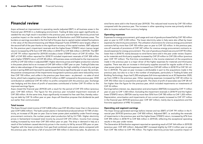### <span id="page-2-0"></span>Financial review

Axpo achieved an improvement in operating results (adjusted EBIT) in all business areas in the financial year 2019/20 in a challenging environment. Trading & Sales once again significantly exceeded the very high result it recorded in the previous year, and the higher electricity prices had a positive impact on the results of the Generation & Distribution and CKW business areas. The burdens on earnings recorded in the first half of the year due to capital market-related fluctuations in the value of the Decommissioning and Waste Disposal Funds (STENFO) were largely offset in the second half of the year thanks to the significant recovery of the capital markets. EBIT adjusted for the previous year's impairment reversals and the higher/lower STENFO return (versus target return) increased by 67% from CHF 494 million in 2018/19 to CHF 826 million in 2019/20. The EBIT of CHF 791 million reported for 2019/20 includes a lower STENFO return of CHF 35 million. The EBIT of CHF 850 million reported for 2018/19 included impairment reversals of CHF 308 million and a higher STENFO return of CHF 48 million. All business areas contributed to the improvement of 67% or CHF 332 million in adjusted EBIT. Higher electricity prices and higher production volumes in the power plants led to an increase of CHF 269 million in EBIT year on year. Trading & Sales was able to take advantage of the opportunities presented by the high volatility of electricity and gas prices in spring 2020 and improved its operating performance significantly year on year. By contrast, the positive consequences of the impairments recognised in previous years were reduced by more than CHF 100 million, and unlike in the previous year there were – as planned – no sales of wind farms, which had a negative impact of CHF 61 million on EBIT compared to the previous year. CKW contributed an additional CHF 40 million to profits compared with the previous year. Exchange rate hedging and the share of profit of associates contributed a further CHF 70 million to the improved earnings figure.

Axpo closed the financial year 2019/20 with a result for the period of CHF 570 million (previous year: CHF 865 million). The figure for the previous year included impairment reversals of CHF 300 million. At the same time, Axpo significantly increased its free cash flow, thereby reducing net debt by CHF 76 million year on year. Axpo will therefore propose that dividends be paid out earlier than communicated.

#### Total income

The Axpo Group's total income of CHF 4,808 million was CHF 48 million lower than in the previous year (CHF 4,856 million). The hydro power plants in Switzerland produced almost 10 TWh of electricity, an increase of 3% year on year. Due to lower power plant availability under French energy procurement contracts, the nuclear power plant production fell by 0.4 TWh. Higher electricity prices in Switzerland increased total income by around CHF 270 million. Income from energy trading increased by more than CHF 300 million year on year. The drop in demand in Italy as a result of the lockdown caused electricity prices in the country to fall by around 35% year on year. Together with the lower production from gas-fired combined cycle power plants compared with the previous year, this led to a fall of around CHF 500 million in electricity sales. As planned, no

wind farms were sold in the financial year 2019/20. This reduced total income by CHF 150 million compared with the previous year. The increase in other operating income was primarily attributable to income realised from currency hedging.

#### Operating expenses

Expenses for energy procurement, grid usage and cost of goods purchased fell by CHF 182 million year on year to CHF 2,330 million. The lower electricity sales in Italy were also offset by lower expenses for electricity procurement. The utilisation of provisions for onerous energy procurement contracts fell by more than CHF 100 million year on year to CHF 123 million. In the previous year, one-off reversals of provisions of CHF 347 million for onerous energy procurement contracts reduced expenses for energy procurement. The cost of goods purchased was around CHF 90 million lower than in 2018/19, mainly because no wind farms were sold in the year under review. Expenses for materials and third-party supplies increased by CHF 29 million to CHF 226 million (previous year: CHF 197 million). The first-time consolidation in the income statement of the acquisitions made in the previous year is a major driver of the higher expenses for materials and third-party supplies. There was also an increase in third-party supplies sourced for regular audits of the nuclear power plants. Personnel expenses increased from CHF 681 million in 2018/19 to CHF 761 million in 2019/20. The year-on-year increase is attributable in part to the acquisitions made in the previous year, but also to a rise in the number of employees, particularly in Trading & Sales and Building Technology. Axpo had 5,350 employees (full-time equivalents) as at 30 September 2020, up from 4,958 in the previous year. Other operating expenses increased by CHF 40 million to CHF 392 million due to acquisitions and growth. The share of profit of associates was CHF 28 million higher than the figure for the previous year, which included impairments on investments of CHF 22 million.

Earnings before interest, tax, depreciation and amortisation (EBITDA) increased by CHF 11 million year on year to CHF 1,168 million. Excluding the impairment reversals in 2018/19 and the higher/ lower STENFO return, EBITDA rose by more than 50% from CHF 785 million to CHF 1,203 million. Depreciation, amortisation and impairments of non-current assets increased to CHF 377 million in the financial year 2019/20 (previous year: CHF 307 million), mainly due to acquisitions and the first-time application of IFRS 16 (Leases).

#### Operating and segment earnings

The Axpo Group generated earnings before interest and tax (EBIT) of CHF 791 million in the financial year 2019/20 (previous year: CHF 850 million). Adjusted EBIT, i.e. excluding the reversals of impairments in the previous year and the higher/lower STENFO return, increased by 67% from CHF 494 million in 2018/19 to CHF 826 million in 2019/20, reflecting the exceptional operating results in the year under review.

The Generation & Distribution segment reported an operating result of CHF 164 million in 2019/20 (previous year: CHF 459 million). Adjusted EBIT increased slightly by CHF 4 million year on year from CHF 186 million to CHF 190 million. The higher electricity prices had a positive impact of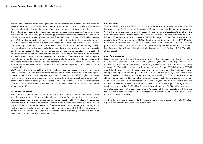around CHF 270 million on the earnings of Generation & Distribution. However, this was offset by lower utilisation of provisions for onerous energy procurement contracts, the lack of proceeds from the sale of wind farms and negative effects from internal electricity price hedging.

The Trading & Sales segment once again significantly exceeded the previous year's earnings, which had already been above average. Its operating performance, excluding any shifts in income due to hedging effects, improved by more than 30% from CHF 280 million to CHF 369 million year on year. While origination business in particular was a significant contributor to earnings in the previous financial year, the growth in customer business was not continued in the year under review due to the high level of uncertainty caused by the Covid pandemic. By contrast, Trading & Sales' other two business activities, asset-backed trading and proprietary trading, posted exceptionally good earnings figures. The high volatility on the financial and energy markets in spring 2020 led to high price fluctuations on these markets, and the two trading departments made extremely successful use of the opportunities presented by this situation. The asset-backed trading department almost doubled its gross margin year on year, while the proprietary trading unit recorded an increase of around two-thirds. Reported segment earnings increased from CHF 198 million in 2018/19 to CHF 498 million in 2019/20, with 2019/20 also benefiting from shifts in income due to hedging effects.

CKW achieved a reported EBIT of CHF 124 million in the year under review (previous year: CHF 187 million). Adjusted for impairment reversals and STENFO effects, however, earnings increased from CHF 87 million in the previous year to CHF 133 million in 2019/20. Higher production revenue from our own power plants and a strong proprietary trading result contributed significantly to the increase in earnings. Lower utilisation of provisions for onerous energy procurement contracts (CHF 22 million) were offset by the release of CHF 42 million of provisions in connection with energy tariffs.

#### Result for the period

The Axpo Group's financial result deteriorated from CHF –38 million to CHF –191 million year on year. The lower return on the decommissioning and disposal fund for the Beznau nuclear power plant compared with the previous year had a negative impact of CHF –140 million. The securities portfolio recorded a much lower performance than in the previous year, falling by CHF 60 million to just CHF 5 million. After the realisation of hedging transactions under hedge accounting led to positive income taxes in the last two years, an income tax expense of CHF 30 million was reported for 2019/20. The financial year 2019/20 closed with a reported profit for the period of CHF 570 million (previous year: CHF 865 million).

#### Balance sheet

The Group had total assets of CHF 21.7 billion as at 30 September 2020, an increase of CHF 0.9 billion year on year. The first-time application of IFRS 16 (Leases) resulted in a minor expansion of CHF 0.2 billion in the balance sheet. The rest of the increase in total assets is attributable to the operating results achieved in the financial year 2019/20. The Axpo Group had equity of CHF 6.7 billion as at 30 September 2020, an increase of CHF 0.8 billion year on year. This corresponds to an equity ratio of 31.1% (previous year: 28.4%). Despite the first-time application of IFRS 16 (additional financial liabilities of CHF 0.2 billion), net financial liabilities fell by CHF 76 million year on year to CHF 1.2 billion as at 30 September 2020. The Group's liquidity still amounted to CHF 3.8 billion. Since April 2020, Axpo Holding has also had committed credit facilities of CHF 550 million at its disposal.

#### Cash flow statement

Cash flow from operating activities (operating cash flow) increased significantly, rising by CHF 448 million year on year to CHF 594 million (previous year: CHF 146 million). Higher electricity prices and an exceptional performance by Trading & Sales resulted in an additional cash inflow of around CHF 540 million compared with the previous year. The high STENFO return in 2018/19 meant that the annual costs to be paid to the partner plants were lower, which had a correspondingly positive impact on operating cash flow in 2019/20. This was offset by the absence of cash flows from sales of wind farms and higher operating costs totalling CHF 370 million. The additional funds tied up in net working capital were roughly the same as in the previous year, so this had no effect on operating cash flow compared with the previous year. The Group made net investments of CHF 275 million in 2019/20, down CHF 143 million on the previous year. The figure for the previous year included CHF 156 million for acquisitions, whereas just CHF 20 million was invested in smaller acquisitions in the year under review. As a result of the high operating cash flow and the fall in net investments, free cash flow increased significantly from CHF –273 million in 2018/19 to CHF 319 million in 2019/20.

The Board of Directors will propose to the Annual General Meeting that a total of CHF 80 million is paid out to shareholders in the form of dividends.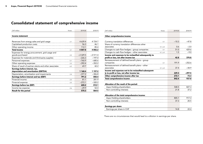## <span id="page-4-0"></span>Consolidated statement of comprehensive income

| CHF million                                            | Notes | 2019/20   | 2018/19    |
|--------------------------------------------------------|-------|-----------|------------|
|                                                        |       |           |            |
| <b>Income statement</b>                                |       |           |            |
|                                                        |       |           |            |
| Revenues from energy sales and grid usage              | 2.1   | 4 6 3 9.4 | 4 7 2 4 .7 |
| Capitalised production costs                           |       | 56.3      | 46.1       |
| Other operating income                                 |       | 112.1     | 85.4       |
| <b>Total income</b>                                    | 2.1   | 4 807.8   | 4856.2     |
| Expenses for energy procurement, grid usage and        |       |           |            |
| goods purchased                                        | 2.2   | $-2329.5$ | $-2511.4$  |
| Expenses for materials and third-party supplies        |       | $-226.3$  | $-197.0$   |
| Personnel expenses                                     | 5.1   | $-760.9$  | $-680.6$   |
| Other operating expenses                               | 2.3   | $-392.4$  | $-352.2$   |
| Share of result of partner plants and other associates | 6.3   | 69.7      | 42.2       |
| Earnings before interest, tax,                         |       |           |            |
| depreciation and amortisation (EBITDA)                 |       | 1 168.4   | 1 157.2    |
| Depreciation, amortisation and impairments             | 2.4   | $-377.2$  | $-306.8$   |
| Earnings before interest and tax (EBIT)                |       | 791.2     | 850.4      |
| Financial income                                       | 2.5   | 81.1      | 281.9      |
| Financial expense                                      | 2.5   | $-272.1$  | $-320.2$   |
| Earnings before tax (EBT)                              |       | 600.2     | 812.1      |
| Income tax expense                                     | 2.6   | $-29.9$   | 52.4       |
| <b>Result for the period</b>                           |       | 570.3     | 864.5      |

| CHF million                                            | <b>Notes</b> | 2019/20 | 2018/19  |
|--------------------------------------------------------|--------------|---------|----------|
|                                                        |              |         |          |
| Other comprehensive income                             |              |         |          |
|                                                        |              |         |          |
| Currency translation differences                       | 4.1          | $-10.3$ | $-47.8$  |
| Share of currency translation differences other        |              |         |          |
| associates                                             | 4.1, 6.3     | 0.6     | $-2.0$   |
| Changes to cash flow hedges - group companies          | 4.1          | 51.0    | 429.6    |
| Changes to cash flow hedges - other associates         | 4.1, 6.3     | 1.5     | $-9.0$   |
| Income and expenses to be reclassified subsequently to |              |         |          |
| profit or loss, net after income tax                   |              | 42.8    | 370.8    |
| Remeasurement of defined benefit plans – group         |              |         |          |
| companies                                              | 4.1          | 191.9   | $-252.6$ |
| Remeasurement of defined benefit plans - other         |              |         |          |
| associates                                             | 4.1, 6.3     | 37.4    | $-44.9$  |
| Income and expenses not to be reclassified subsequent- |              |         |          |
| ly to profit or loss, net after income tax             |              | 229.3   | $-297.5$ |
| Other comprehensive income after tax                   |              | 272.1   | 73.3     |
| Total comprehensive income                             |              | 842.4   | 937.8    |
| Allocation of the result of the period:                |              |         |          |
| Axpo Holding shareholders                              |              | 548.5   | 827.3    |
| Non-controlling interests                              |              | 21.8    | 37.2     |
|                                                        |              |         |          |
| Allocation of the total comprehensive income:          |              |         |          |
| Axpo Holding shareholders                              |              | 805.1   | 917.3    |
| Non-controlling interests                              |              | 37.3    | 20.5     |
| <b>Earnings per share:</b>                             |              |         |          |
| Earnings per share in CHF                              |              | 14.8    | 22.4     |
|                                                        |              |         |          |

There are no circumstances that would lead to a dilution in earnings per share.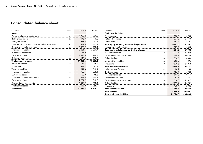## <span id="page-5-0"></span>Consolidated balance sheet

| CHF million                                        | Notes | 30.9.2020   | 30.9.2019 |
|----------------------------------------------------|-------|-------------|-----------|
| <b>Assets</b>                                      |       |             |           |
| Property, plant and equipment                      | 3.1   | 4 7 2 3 . 8 | 4839.0    |
| Right-of-use assets                                | 3.2   | 176.3       | 0.0       |
| Intangible assets                                  | 3.3   | 978.6       | 1 047.5   |
| Investments in partner plants and other associates | 6.3   | 1 477.8     | 1465.4    |
| Derivative financial instruments                   | 4.5   | 1 570.7     | 1 2 5 8.4 |
| Financial receivables                              | 4.3   | 2 0 8 1 . 6 | 2 0 0 9.7 |
| Investment properties                              |       | 41.0        | 23.0      |
| Other receivables                                  | 3.5   | 2823.8      | 2796.3    |
| Deferred tax assets                                | 2.6   | 148.0       | 110.8     |
| <b>Total non-current assets</b>                    |       | 14 021.6    | 13 550.1  |
| Assets held for sale                               | 6.2   | 34.8        | 35.9      |
| Inventories                                        | 3.4   | 659.2       | 467.6     |
| Trade receivables                                  |       | 891.8       | 862.1     |
| Financial receivables                              | 4.3   | 950.1       | 870.4     |
| Current tax assets                                 |       | 20.0        | 45.8      |
| Derivative financial instruments                   | 4.5   | 1 3 5 9.6   | 1 250.7   |
| Other receivables                                  | 3.5   | 2 2 2 4 .7  | 2 0 68.0  |
| Cash and cash equivalents                          | 4.2   | 1 512.7     | 1 655.4   |
| <b>Total current assets</b>                        |       | 7652.9      | 7 255.9   |
| <b>Total assets</b>                                |       | 21 674.5    | 20 806.0  |

| CHF million                                      | <b>Notes</b> | 30.9.2020   | 30.9.2019   |
|--------------------------------------------------|--------------|-------------|-------------|
| <b>Equity and liabilities</b>                    |              |             |             |
| Share capital                                    | 4.1          | 370.0       | 370.0       |
| Retained earnings                                | 4.1          | 6 2 3 4 . 2 | 5 4 6 7 .0  |
| Other reserves                                   | 4.1          | $-397.2$    | $-440.7$    |
| Total equity excluding non-controlling interests |              | 6 207.0     | 5 3 9 6 .3  |
| Non-controlling interests                        | 4.1          | 527.2       | 504.0       |
| Total equity including non-controlling interests |              | 6734.2      | 5 900.3     |
| <b>Financial liabilities</b>                     | 4.4          | 4 137.1     | 4 204.9     |
| Derivative financial instruments                 | 4.5          | 1 409.7     | 1 042.4     |
| Other liabilities                                | 3.6          | 394.6       | 608.6       |
| Deferred tax liabilities                         | 2.6          | 203.3       | 189.6       |
| Provisions                                       | 3.7          | 3839.5      | 3895.8      |
| <b>Total non-current liabilities</b>             |              | 9984.2      | 9941.3      |
| Liabilities held for sale                        | 6.2          | 28.7        | 0.0         |
| Trade payables                                   |              | 326.4       | 598.3       |
| <b>Financial liabilities</b>                     | 4.4          | 891.8       | 941.1       |
| Current tax liabilities                          |              | 92.6        | 66.1        |
| Derivative financial instruments                 | 4.5          | 1 3 3 8 . 3 | 1 2 6 2 . 5 |
| Other liabilities                                | 3.6          | 2099.9      | 1893.1      |
| Provisions                                       | 3.7          | 178.4       | 203.3       |
| <b>Total current liabilities</b>                 |              | 4 9 5 6.1   | 4 9 64.4    |
| <b>Total liabilities</b>                         |              | 14 940.3    | 14 905.7    |
| <b>Total equity and liabilities</b>              |              | 21 674.5    | 20 806.0    |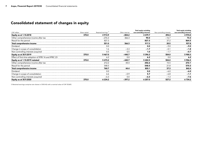## <span id="page-6-0"></span>Consolidated statement of changes in equity

| CHF million                                                                                                                                                                                                                        | Share capital | Retained earnings | Other reserves | <b>Total equity excluding</b><br>non-controlling interests | Non-controlling interests | Total equity including<br>non-controlling interests |
|------------------------------------------------------------------------------------------------------------------------------------------------------------------------------------------------------------------------------------|---------------|-------------------|----------------|------------------------------------------------------------|---------------------------|-----------------------------------------------------|
| <b>Equity as at 1.10.2018</b>                                                                                                                                                                                                      | 370.0         | 4 9 1 3 . 9       | $-804.2$       | 4479.7                                                     | 494.3                     | 4 974.0                                             |
| Other comprehensive income after tax                                                                                                                                                                                               |               | $-276.3$          | 366.3          | 90.0                                                       | $-16.7$                   | 73.3                                                |
| Result for the period                                                                                                                                                                                                              |               | 827.3             |                | 827.3                                                      | 37.2                      | 864.5                                               |
| Total comprehensive income                                                                                                                                                                                                         |               | 551.0             | 366.3          | 917.3                                                      | 20.5                      | 937.8                                               |
| Dividend                                                                                                                                                                                                                           |               | $\cap$            |                | n n                                                        | $-9.0$                    | -9.0                                                |
| Change in scope of consolidation                                                                                                                                                                                                   |               |                   |                | -1.                                                        |                           | -1.8                                                |
| Non-controlling interests acquired                                                                                                                                                                                                 |               |                   |                |                                                            |                           | -0.7                                                |
| <b>Equity as at 30.9.2019</b>                                                                                                                                                                                                      | 370.0         | 5467.0            | $-440.7$       | 5 3 9 6 .3                                                 | 504.0                     | 5 900.3                                             |
| Effect of first-time adoption of IFRS 16 and IFRIC 23                                                                                                                                                                              |               |                   |                |                                                            |                           |                                                     |
| Equity as at 1.10.2019 restated                                                                                                                                                                                                    | 370.0         | 5473.2            | $-440.7$       | 5402.5                                                     | 504.0                     | 5 906.5                                             |
| Other comprehensive income after tax                                                                                                                                                                                               |               | 212.2             |                | 256.6                                                      | 155                       | 272.1                                               |
| Result for the period                                                                                                                                                                                                              |               | 548.5             |                | 548.5                                                      |                           | 570.3                                               |
| Total comprehensive income                                                                                                                                                                                                         |               | 760.7             | 44.4           | 805.1                                                      | 37.3                      | 842.4                                               |
| Dividend                                                                                                                                                                                                                           |               |                   |                |                                                            |                           | -6.0                                                |
| Change in scope of consolidation                                                                                                                                                                                                   |               |                   |                | 5.7                                                        | $-6.8$                    | -1.1                                                |
| Non-controlling interests acquired<br>expansion and all the controlling interests acquired<br>expansion and all the control and all the control and all the control and all the controlling interests acquired in the control of t |               |                   |                | -63                                                        |                           | -7.6                                                |
| <b>Equity as at 30.9.2020</b>                                                                                                                                                                                                      | 370.0         | 6 234.2           | $-397.2$       | 6 207.0                                                    | 527.2                     | 6 734.2                                             |

1) Retained earnings comprise own shares in CKW AG with a nominal value of CHF 29,692.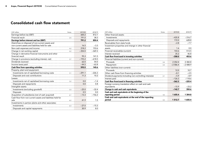## <span id="page-7-0"></span>Consolidated cash flow statement

| CHF million                                                              | <b>Notes</b> | 2019/20  | 2018/19  |
|--------------------------------------------------------------------------|--------------|----------|----------|
| Earnings before tax (EBT)                                                |              | 600.2    | 812.1    |
| Financial result                                                         | 2.5          | 191.0    | 38.3     |
| Earnings before interest and tax (EBIT)                                  |              | 791.2    | 850.4    |
| (Gain)/loss on disposal of non-current assets and                        |              |          |          |
| non-current assets and liabilities held for sale                         |              | 16.5     | $-3.3$   |
| Non-cash expenses and income                                             | 4.2          | 218.2    | 153.6    |
| Change in net working capital                                            | 4.2          | $-352.0$ | $-369.3$ |
| Change in derivative financial instruments and other<br>financial result |              | 95.3     | 141.5    |
| Change in provisions (excluding interest, net)                           | 3.7          | $-193.2$ | $-618.5$ |
| Dividends received                                                       |              | 62.0     | 54.0     |
|                                                                          |              | $-44.5$  | $-62.8$  |
| Income taxes paid<br>Cash flow from operating activities                 |              | 593.5    | 145.6    |
|                                                                          |              |          |          |
| Property, plant and equipment:                                           |              |          |          |
| Investments net of capitalised borrowing costs                           | 3.1          | $-291.1$ | $-226.3$ |
| Disposals and cost contributions                                         |              | 11.3     | 10.2     |
| Leases:                                                                  |              |          |          |
| Investments net of capitalised borrowing costs                           | 3.2          | 0.0      | $-1.4$   |
| Disposals and repayments                                                 |              | 0.0      | 0.8      |
| Intangible assets:                                                       |              |          |          |
| Investments (excluding goodwill)                                         | 3.3          | $-25.0$  | $-32.4$  |
| Disposals                                                                |              | 0.5      | 0.0      |
| Acquisition of subsidiaries (net of cash acquired)                       | 6.1          | $-13.3$  | $-156.2$ |
| Cash flow from non-current assets and liabilities held for               |              |          |          |
| sale                                                                     | 6.2          | 41.9     | 1.5      |
| Investments in partner plants and other associates:                      |              |          |          |
| Investments                                                              | 6.3          | $-27.0$  | $-15.3$  |
| Disposals and capital repayments                                         |              | 30.9     | 8.0      |
|                                                                          |              |          |          |

| CHF million                                             | <b>Notes</b> | 2019/20     | 2018/19     |
|---------------------------------------------------------|--------------|-------------|-------------|
| Other financial assets:                                 |              |             |             |
| Investments                                             |              | $-435.8$    | $-316.7$    |
| Disposals and repayments                                |              | 172.0       | 628.8       |
| Receivables from state funds                            |              | $-2.8$      | $-7.7$      |
| Investment properties and change in other financial     |              |             |             |
| assets                                                  |              | 1.6         | 0.0         |
| Financial receivables (current)                         |              | 143.6       | 513.5       |
| Interest received                                       |              | 35.2        | 46.8        |
| Cash flow from/used in investing activities             |              | $-358.0$    | 453.6       |
| Financial liabilities (current and non-current):        |              |             |             |
| Proceeds                                                | 4.4          | 2 3 5 2 . 4 | 2 3 8 2 . 8 |
| Repayment                                               | 4.4          | $-2586.4$   | $-2488.9$   |
| Other liabilities (non-current):                        |              |             |             |
| Proceeds                                                |              | 12.0        | 10.7        |
| Other cash flows from financing activities              |              | $-8.1$      | $-2.5$      |
| Dividend payments (including non-controlling interests) | 4.1          | $-5.9$      | $-8.9$      |
| Interest paid                                           |              | $-126.3$    | $-118.6$    |
| Cash flow from/used in financing activities             |              | $-362.3$    | $-225.4$    |
| Foreign currency translation effect on cash and cash    |              |             |             |
| equivalents                                             |              | $-15.9$     | $-23.2$     |
| Change in cash and cash equivalents                     |              | $-142.7$    | 350.6       |
| Cash and cash equivalents at the beginning of the       |              |             |             |
| reporting period                                        | 4.2          | 1655.4      | 1 304.8     |
| Cash and cash equivalents at the end of the reporting   |              |             |             |
| period                                                  | 4.2          | 1 512.7     | 1655.4      |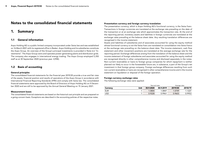## <span id="page-8-0"></span>Notes to the consolidated financial statements

### 1. Summary

#### 1.1 General information

Axpo Holding AG is a public limited company incorporated under Swiss law and was established on 16 March 2001 with its registered office in Baden. Axpo Holding and its subsidiaries constitute the Axpo Group. An overview of the Group's principal investments is provided in Note 6.6 "Investments". The Axpo Group owns and operates power-generating plants and distribution grids. The company also engages in international energy trading. The Axpo Group employed 5,350 staff as at 30 September 2020 (previous year: 4,958).

#### 1.2 Basis of accounting

#### General principles

The consolidated financial statements for the financial year 2019/20 provide a true and fair view of the assets, financial position and results of operations of the Axpo Group in accordance with International Financial Reporting Standards (IFRS) and comply with Swiss law. The consolidated financial statements were approved by the Board of Directors of Axpo Holding AG on 9 December 2020 and are still to be approved by the Annual General Meeting on 15 January 2021.

#### Measurement bases

The consolidated financial statements are based on the historical cost principle and are prepared on a going-concern basis. Exceptions are described in the accounting policies of the respective notes.

#### Presentation currency and foreign currency translation

The presentation currency, which is Axpo Holding AG's functional currency, is the Swiss franc. Transactions in foreign currencies are translated at the exchange rate prevailing on the date of the transaction or at an exchange rate which approximates the transaction rate. At the end of the reporting period, monetary assets and liabilities in foreign currencies are translated at the exchange rates prevailing at the balance sheet date. Any resulting translation differences are recognised in the income statement.

Assets and liabilities of subsidiaries and of associates accounted for using the equity method whose functional currency is not the Swiss franc are translated on consolidation into Swiss francs at the exchange rate prevailing on the balance sheet date. The income statement, cash flow statement and other movement positions are translated at the average exchange rate for the reporting period. Exchange differences arising from the translation of the balance sheet and the income statement of foreign subsidiaries and associates accounted for using the equity method are recognised directly in other comprehensive income and disclosed separately in the notes. Non-current receivables or loans to foreign group companies for which repayment is neither planned nor likely to occur in the foreseeable future are, in substance, a part of the Group's net investment in that foreign group company. Foreign exchange differences resulting from such non-current receivables or loans are recognised in other comprehensive income and in the income statement on liquidation or disposal of the foreign operation.

#### Foreign currency exchange rates

The following exchange rates were applied:

|            |      | Year-end rates |           |         | Average rates |  |  |
|------------|------|----------------|-----------|---------|---------------|--|--|
| Currency   | Unit | 30.9.2020      | 30.9.2019 | 2019/20 | 2018/19       |  |  |
| <b>EUR</b> |      | 1.0804         | 1.0847    | 1.0749  | 1.1227        |  |  |
| JSD        |      | 0.9228         | 0.9961    | 0.9603  | 0.9953        |  |  |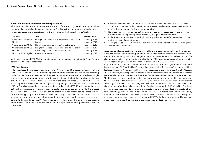#### Application of new standards and interpretations

All standards and interpretations effective at the end of the reporting period were applied when preparing the consolidated financial statements. The Axpo Group adopted the following new or revised standards and interpretations for the first time for the financial year 2019/20:

| <b>Standard</b>         | Title                                                | <b>Effective from</b> |
|-------------------------|------------------------------------------------------|-----------------------|
| Amendments to IFRS 9    | Prepayment Features with Negative Compensation       | 1 January 2019        |
| IFRS 16                 | Leases                                               | 1 January 2019        |
| Amendments to IAS 19    | Plan Amendment, Curtailment or Settlement            | 1 January 2019        |
| Amendments to IAS 28    | Long-term Interests in Associates and Joint Ventures | 1 January 2019        |
| <b>IFRIC 23</b>         | Uncertainty over Income Tax Treatments               | 1 January 2019        |
| IFRSs (2015-2017 cycle) | Annual Improvements                                  | 1 January 2019        |

With the exception of IFRS 16, the new standards have no material impact on the Axpo Group's consolidated financial statements.

#### IFRS 16 – Leases

IFRS 16 replaces the previous regulations of IAS 17 "Leases" and the associated interpretations IFRIC 4, SIC-15 and SIC-27. The first-time application of the standard was carried out according to the modified retrospective method, the previous year's figures were not adjusted accordingly and no comparative information was provided. At the time of the first-time application, the new definition of a lease was used for the contracts in the portfolio. Since October 2019, leases in which Axpo is the lessee have been recognised using the right-of-use model in accordance with IFRS 16. For all contracts that contain a lease in accordance with IFRS 16, the outstanding obligations from leases are discounted at the applicable incremental borrowing rate (or the interest rate on which the lease is based, if this can be determined) and recognised as a lease liability. Correspondingly, a right-of-use asset is shown whose acquisition costs are equal to the present value of the lease payments and whose acquisition value is adjusted by deferrals and advance payments. In accordance with IAS 17, no finance leases have existed to date from the lessee's point of view. The Axpo Group has also decided to apply the following exemptions for the changeover:

- Contracts that were concluded before 1 October 2019 and were still valid for less than 12 months at the time of the changeover were treated as short-term leases; recognition of a right-of-use asset and liability no longer applies.
- No impairment test was carried out for a right-of-use asset recognised for the first time, but provisions for impending losses previously recognised were deducted.
- In determining the lease term, hindsight was applied when new information was available on the exercise of agreed options.
- The right-of-use asset is measured at the date of first-time application without taking into account initial direct costs.

Axpo acts as a lessee, particularly in the areas of land and buildings as well as grids. In addition, Axpo also acts as a lessor for the grids and the generation facilities installed at customers' premises. IFRS 16 has hardly led to any changes in the accounting treatment on the lessor's side. The changeover effects from the first-time application of IFRS 16 were recognised directly in equity. The corresponding accounting principles are described in Note 3.2 "Leases".

As part of the first-time application of IFRS 16, assets in the form of a right to use leased assets in the amount of CHF 146.9 million (balance sheet item "Right-of-use assets") and lease liabilities (balance sheet item "Financial liabilities") were recognised in the same amount as at 1 October 2019. In addition, advance payments already made to the lessors in the amount of CHF 2.9 million were transferred from the balance sheet item "Other receivables" to the balance sheet item "Right-of-use assets"). In addition, various energy procurement contracts, which no longer contain a lease due to the reassessment under IFRS 16, were now treated as financial instruments and recognised at fair value. This changeover increased the balance sheet item "Derivative financial instruments" and the balance sheet item "Retained earnings" by CHF 6.5 million. The lease payments were classified into principal and interest portions using the effective interest method. In the reporting period, the introduction of IFRS 16 increased depreciation and amortisation by CHF 19.1 million and interest expenses by CHF 2.1 million. The discontinuation of the recognition of nominal lease payments as expenses increased EBITDA in the reporting period by approximately the same amount, so that there was no significant effect on net income.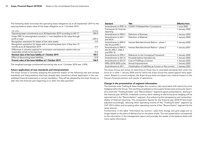The following table reconciles the operating lease obligations as at 30 September 2019 to the opening balance sheet value of the lease obligation as at 1 October 2019:

| CHF million                                                                    | 2019/20  |
|--------------------------------------------------------------------------------|----------|
| Operating lease commitments as at 30 September 2019 according to IAS 17        | 394.4    |
| Under IFRS 16 unrecognised contracts (-> now classified at fair value through  |          |
| profit or loss)                                                                | $-249.5$ |
| Recognition exemption for leases of low-value assets                           | $-0.5$   |
| Recognition exemption for leases with a remaining lease term of less than 12   |          |
| months as at 30 September 2019                                                 | $-0.9$   |
| Differences in duration applied for termination and extension options that are |          |
| reasonably certain to be exercised                                             | 16.2     |
| Nominal value of the lease liability at 1 October 2019                         | 159.7    |
| Effect of discounting lease liabilities                                        | $-12.8$  |
| Present value of the lease liabilities at 1 October 2019                       | 146.9    |

The weighted average incremental borrowing rate as at 1 October 2019 was 1.09%.

#### Future application of new standards and interpretations

The Axpo Group is currently analysing the potential impact of the following new and revised standards and interpretations that have already been issued but whose application in the consolidated financial statements is not yet mandatory. They will be adopted by the Axpo Group no later than the financial year beginning on or after the date specified.

| <b>Standard</b>                                                | Title                                                   | <b>Effective from</b> |
|----------------------------------------------------------------|---------------------------------------------------------|-----------------------|
| Amendments to IFRS 16                                          | <b>COVID-19-Related Rent Concessions</b>                | 1 June 2020           |
| Framework for financial<br>reporting                           |                                                         | 1 January 2020        |
| Amendments to IFRS 3                                           | Definition of Business                                  | 1 January 2020        |
| Amendments to IAS 1<br>and IAS 8                               | Definition of Material                                  | 1 January 2020        |
| Amendments to IFRS 9,<br>IAS 39 and IFRS 7                     | Interest Rate Benchmark Reform - phase 1                | 1 January 2020        |
| Amendments to IFRS 9,<br>IAS 39, IFRS 7, IFRS 4<br>and IFRS 16 | Interest Rate Benchmark Reform - phase 2                | 1 January 2021        |
| Amendments to IFRS 3                                           | Reference to the Conceptual Framework                   | 1 January 2022        |
| Amendments to IAS 16                                           | Proceeds before Intended Use                            | 1 January 2022        |
| Amendments to IAS 37                                           | Cost of Fulfilling a Contract                           | 1 January 2022        |
| IFRSs (2018-2020 cycle)                                        | Annual Improvements                                     | 1 January 2022        |
| Amendments to IAS 1                                            | Classification of Liabilities as Current or Non-current | 1 January 2023        |

The Axpo Group will review its reporting on those new or amended standards that come into force on or after 1 January 2020 and for which the Axpo Group has opted against early application. Based on current analyses, the Axpo Group does not expect any material impact on the Group's financial position and results of operations.

#### Change in the presentation of segment information

The business area Trading & Sales hedges the currency risks associated with electricity price hedging within the Group. The resulting unrealised currency gains/losses were previously reported in both the "Trading & Sales" and "Reconciliation" segments (gross presentation). Starting in the financial year 2019/20, unrealised currency items relating to electricity price hedging will be reported net in the "Reconciliation" segment, thus enhancing the transparency and comprehensibility of financial reporting. The comparative figures for the financial year 2018/19 have been adjusted accordingly, reducing other operating income of the "Trading & Sales" segment by CHF 125.0 million and increasing other operating income of the "Reconciliation" segment by the same amount.

Furthermore, in the table "Information by country", sales from energy and grid usage are no longer based on the place of delivery but on the place of sale. The new presentation corresponds to the information in the management report and provides the reader of the balance sheet with more useful information.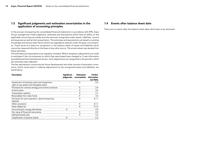#### <span id="page-11-0"></span>1.3 Significant judgments and estimation uncertainties in the application of accounting principles

In the process of preparing the consolidated financial statements in accordance with IFRS, Axpo Group management made judgments, estimates and assumptions which have an effect on the applicable accounting principles and the amounts recognised under assets, liabilities, income and expenses as well as their presentation. The estimates and assumptions are based on existing knowledge and various other factors which are regarded as relevant under the given circumstances. These serve as a basis for recognition in the balance sheet of assets and liabilities which cannot be measured directly on the basis of any other source. The actual values may deviate from these estimates.

The estimates and assumptions are regularly reviewed. Where necessary, adjustments are made to estimates if the circumstances on which they were based have changed or if new information and additional facts have become known. Such adjustments are recognised in the period in which the estimates were adjusted.

The key assumptions concerning the future development and other sources of estimation uncertainty, which could result in material adjustments to the recognised assets and liabilities, are listed below.

| <b>Description</b>                                                                        | <b>Significant</b><br>judgments | <b>Estimation</b><br>uncertainties | <b>Further</b><br>information<br>see Note |
|-------------------------------------------------------------------------------------------|---------------------------------|------------------------------------|-------------------------------------------|
| Impairment of property, plant and equipment,<br>right-of-use assets and intangible assets |                                 | X                                  | 2.4                                       |
| Provisions for onerous energy procurment contracts                                        |                                 | X                                  | 2.4                                       |
| Income taxes                                                                              |                                 | X                                  | 2.6                                       |
| Transmission systems                                                                      |                                 | X                                  | 3.1                                       |
| Receivables from state funds                                                              |                                 | X                                  | 3.5                                       |
| Provisions for post-operation, decommissioning,<br>disposal                               |                                 | X                                  | 3.7.1                                     |
| Other provisions                                                                          |                                 | X                                  | 3.7.1                                     |
| Value added tax                                                                           |                                 | X                                  | 3.7.2                                     |
| Accounting for energy derivatives                                                         | X                               |                                    | 4.5                                       |
| Fair value of financial instruments                                                       |                                 | X                                  | 4.5                                       |
| Defined benefit plan                                                                      |                                 | X                                  | 5.3                                       |
| Classification of partner plants                                                          | X                               |                                    | 6.3                                       |

#### 1.4 Events after balance sheet date

There are no events after the balance sheet date which have to be disclosed.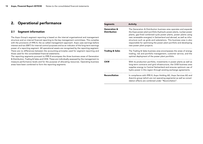## <span id="page-12-0"></span>2. Operational performance

#### 2.1 Segment information

The Axpo Group's segment reporting is based on the internal organisational and management structure and on internal financial reporting to the key management committees. This complies with the provisions of IFRS 8, the so-called management approach. Axpo uses earnings before interest and tax (EBIT) for internal control purposes and as an indicator of the long-term earnings power of a reporting segment. All operational assets are recognised by the reporting segment. There are no differences between the accounting principles used for segment reporting and those used for the consolidated financial statements.

The reporting segments pursuant to IFRS 8 encompass the three business areas of Generation & Distribution, Trading & Sales and CKW. These are individually assessed by the management to measure performance levels and for the purpose of allocating resources. Operating business areas have been combined to form the reporting segments.

| Segments                                       | <b>Activity</b>                                                                                                                                                                                                                                                                                                                                                                                                                                                   |
|------------------------------------------------|-------------------------------------------------------------------------------------------------------------------------------------------------------------------------------------------------------------------------------------------------------------------------------------------------------------------------------------------------------------------------------------------------------------------------------------------------------------------|
| <b>Generation &amp;</b><br><b>Distribution</b> | The Generation & Distribution business area operates and expands<br>the Axpo power plant portfolio (hydraulic power plants, nuclear power<br>plants, gas-fired combined-cycle power plants, power plants using<br>new renewable energies) in Switzerland and abroad, as well as infra-<br>structure such as grids and substations. This business area is also<br>responsible for optimising the power plant portfolio and developing<br>new power plant projects. |
| <b>Trading &amp; Sales</b>                     | The Trading & Sales business area encompasses the areas of energy<br>trading, risk and portfolio management, customer service, and the<br>optimal deployment of the power plant portfolio.                                                                                                                                                                                                                                                                        |
| <b>CKW</b>                                     | With its production portfolio, investments in power plants as well as<br>long-term contracts and grid infrastructure, the CKW business area<br>supplies energy to Central Switzerland and ensures optimum use of<br>hydro power in this region through existing exchange agreements.                                                                                                                                                                              |
| Reconciliation                                 | In compliance with IFRS 8, Axpo Holding AG, Axpo Services AG and<br>Avectris group (which are not operating segments) as well as consol-<br>idation effects are combined under "Reconciliation".                                                                                                                                                                                                                                                                  |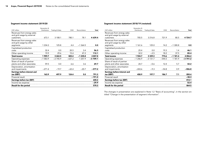#### Segment income statement 2019/20

|                                     | Generation & |                            |            |                |           |
|-------------------------------------|--------------|----------------------------|------------|----------------|-----------|
| CHF million                         | Distribution | <b>Trading &amp; Sales</b> | <b>CKW</b> | Reconciliation | Total     |
| Revenues from energy sales          |              |                            |            |                |           |
| and grid usage by external          |              |                            |            |                |           |
| customers                           | 673.1        | 3 108.1                    | 780.1      | 78.1           | 4 639.4   |
| Revenues from energy sales          |              |                            |            |                |           |
| and grid usage by other             |              |                            |            |                |           |
| segments                            | 1 2 3 4 . 3  | 125.8                      | 4.4        | $-1364.5$      | 0.0       |
| Capitalised production              |              |                            |            |                |           |
| costs                               | 32.4         | 0.0                        | 20.5       | 3.4            | 56.3      |
| Other operating income              | 19.9         | 29.6                       | 15.4       | 47.2           | 112.1     |
| <b>Total income</b>                 | 1959.7       | 3 263.5                    | 820.4      | $-1235.8$      | 4 807.8   |
| Operating expenses                  | $-1583.9$    | $-2745.9$                  | $-637.2$   | 1 257.9        | $-3709.1$ |
| Share of result of partner          |              |                            |            |                |           |
| plants and other associates         | 59.5         | 0.0                        | 6.6        | 3.6            | 69.7      |
| Depreciation, amortisation          |              |                            |            |                |           |
| and impairments                     | $-271.4$     | $-19.7$                    | $-65.4$    | $-20.7$        | $-377.2$  |
| <b>Earnings before interest and</b> |              |                            |            |                |           |
| tax (EBIT)                          | 163.9        | 497.9                      | 124.4      | 5.0            | 791.2     |
| Financial result                    |              |                            |            |                | $-191.0$  |
| Earnings before tax (EBT)           |              |                            |            |                | 600.2     |
| Income tax expense                  |              |                            |            |                | $-29.9$   |
| Result for the period               |              |                            |            |                | 570.3     |

#### Segment income statement 2018/19 (restated)

|                                     | Generation & |                            |            |                |           |
|-------------------------------------|--------------|----------------------------|------------|----------------|-----------|
| CHF million                         | Distribution | <b>Trading &amp; Sales</b> | <b>CKW</b> | Reconciliation | Total     |
| Revenues from energy sales          |              |                            |            |                |           |
| and grid usage by external          |              |                            |            |                |           |
| customers                           | 705.5        | 3 2 1 6.8                  | 721.9      | 80.5           | 4 724.7   |
| Revenues from energy sales          |              |                            |            |                |           |
| and grid usage by other             |              |                            |            |                |           |
| segments                            | 1 161.6      | 125.0                      | 14.2       | $-1300.8$      | 0.0       |
| Capitalised production              |              |                            |            |                |           |
| costs                               | 25.4         | 0.0                        | 19.3       | 1.4            | 46.1      |
| Other operating income              | 32.2         | $-2.5$                     | 18.2       | 37.5           | 85.4      |
| <b>Total income</b>                 | 1924.7       | 3 3 3 9 . 3                | 773.6      | $-1181.4$      | 4 8 5 6.2 |
| Operating expenses                  | $-1246.9$    | $-3131.7$                  | $-544.5$   | 1 181.9        | $-3741.2$ |
| Share of result of partner          |              |                            |            |                |           |
| plants and other associates         | 24.7         | $-0.6$                     | 12.4       | 5.7            | 42.2      |
| Depreciation, amortisation          |              |                            |            |                |           |
| and impairments                     | $-243.6$     | $-9.3$                     | $-54.8$    | 0.9            | $-306.8$  |
| <b>Earnings before interest and</b> |              |                            |            |                |           |
| tax (EBIT)                          | 458.9        | 197.7                      | 186.7      | 7.1            | 850.4     |
| Financial result                    |              |                            |            |                | $-38.3$   |
| Earnings before tax (EBT)           |              |                            |            |                | 812.1     |
| Income tax expense                  |              |                            |            |                | 52.4      |
| <b>Result for the period</b>        |              |                            |            |                | 864.5     |

The changes in presentation are explained in Note 1.2 "Basis of accounting", in the section entitled "Change in the presentation of segment information".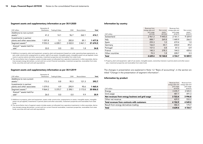#### Segment assets and supplementary information as per 30.9.2020

|                              | Generation & |                 |            |                |          |
|------------------------------|--------------|-----------------|------------|----------------|----------|
| CHF million                  | Distribution | Trading & Sales | <b>CKW</b> | Reconciliation | Total    |
| Additions to non-current     |              |                 |            |                |          |
| assets $1$                   | 41.2         | 14.1            | 96.7       | 262.1          | 414.1    |
| Investments in partner       |              |                 |            |                |          |
| plants and other associates  | 1 0 9 7.8    | 5.1             | 285.8      | 89.1           | 1477.8   |
| Segment assets <sup>2)</sup> | 9 5 5 3 . 3  | 6 228.1         | 2432.0     | 3461.1         | 21 674.5 |
| thereof "assets held for     |              |                 |            |                |          |
| sale"                        | 33.0         | 0.0             | 0.0        | 1.8            | 34.8     |

1) Additions to property, plant and equipment, property, plant and equipment leased out under operating lease agreements, assets under construction, prepayments on assets, right-of-use assets, intangible assets, intangible assets not yet applied, investments in partner plants and other associates, investment properties and receivables from state funds.

2) The reconciliation item of segment assets includes assets not allocated (non-operative investments in other associates, derivatives (except energy derivatives), current and non-current financial receivables, investment properties, receivables from state funds, securities and cash and cash equivalents).

#### Segment assets and supplementary information as per 30.9.2019

|                              | Generation & |                 |            |                |          |
|------------------------------|--------------|-----------------|------------|----------------|----------|
| CHF million                  | Distribution | Trading & Sales | <b>CKW</b> | Reconciliation | Total    |
| Additions to non-current     |              |                 |            |                |          |
| assets $1$                   | 173.3        | 8.8             | 90.3       | 121.3          | 393.7    |
| Investments in partner       |              |                 |            |                |          |
| plants and other associates  | 1 079.0      | 4.9             | 290.9      | 90.6           | 1465.4   |
| Segment assets <sup>2)</sup> | 9 864.2      | 5 3 7 0 . 7     | 2 3 9 8 1  | 3 173.0        | 20 806.0 |
| thereof "assets held for     |              |                 |            |                |          |
| sale"                        | 26.0         | 0.0             | 0.0        | 9.9            | 35.9     |

1) Additions to property, plant and equipment, assets under construction, prepayments on assets, intangible assets, intangible assets not yet applied, investments in partner plants and other associates, investment properties and receivables from state funds.

2) The reconciliation item of segment assets includes assets not allocated (non-operative investments in other associates, derivatives (except energy derivatives), current and non-current financial receivables, investment properties, receivables from state funds, securities and cash and cash equivalents).

#### Information by country

|                 | Revenues from    |             | Revenues from    |             |
|-----------------|------------------|-------------|------------------|-------------|
|                 | energy sales and | Non-current | energy sales and | Non-current |
|                 | grid usage       | assets $1$  | grid usage       | assets $1$  |
| CHF million     | 2019/20          | 2019/20     | 2018/19          | 2018/19     |
| Switzerland     | 2 9 6 1 . 3      | 9445.0      | 2 161.1          | 9 3 2 9.4   |
| Italy           | 888.7            | 269.8       | 1449.9           | 266.5       |
| Spain           | 255.3            | 1.0         | 419.4            | 1.0         |
| Germany         | 166.0            | 44.1        | 234.0            | 49.2        |
| Portugal        | 157.5            | 0.8         | 87.3             | 0.9         |
| France          | 140.3            | 378.3       | 144.3            | 439.6       |
| Other countries | 70.3             | 1.8         | 228.7            | 3.3         |
| <b>Total</b>    | 4 639.4          | 10 140.8    | 4 7 24.7         | 10 089.9    |

1) Property, plant and equipment, right-of-use assets, intangible assets, ownership interests in partner plants and other associates, investment properties and receivables from state funds

The changes in presentation are explained in Note 1.2 "Basis of accounting", in the section entitled "Change in the presentation of segment information".

#### Information by product

|                                                  | Revenues from<br>energy sales and<br>grid usage | Revenues from<br>energy sales and<br>grid usage |
|--------------------------------------------------|-------------------------------------------------|-------------------------------------------------|
| CHF million                                      | 2019/20                                         | 2018/19                                         |
| Energy                                           | 3 2 3 5 . 7                                     | 3 5 0 5 .5                                      |
| Grid usage                                       | 487.7                                           | 491.3                                           |
| Net revenues from energy business and grid usage | 3723.4                                          | 3 996.8                                         |
| Other net revenue                                | 429.5                                           | 552.2                                           |
| Total revenues from contracts with customers     | 4 152.9                                         | 4 549.0                                         |
| Result from energy derivatives trading           | 486.5                                           | 175.7                                           |
| <b>Total</b>                                     | 4 639.4                                         | 4724.7                                          |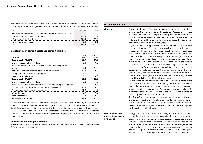The following table shows the revenues that are expected to be realised in the future in connection with performance obligations that have not been fulfilled in part or in full as at 30 September.

| CHF million                                                         | 30.9.2020 | 30 9 2019 |
|---------------------------------------------------------------------|-----------|-----------|
| Expected future sales revenue from open orders in process, of which |           |           |
| Expected within the next 12 months                                  | 154.5     | 133.2     |
| Expected within 1 to 5 years                                        | 2940      | 1974      |
| Expected after 5 years                                              | 24        | 42.6      |
| Total                                                               | 450.9     | 373.2     |

#### Development of contract assets and contract liabilities

|                                                                          | Contract | Contract    |
|--------------------------------------------------------------------------|----------|-------------|
| CHF million                                                              | assets   | liabilities |
| <b>Balance as at 1.10.2018</b>                                           | 23.7     | 29.5        |
| Change in scope of consolidation                                         | 0.4      | 0.3         |
| Revenues included in contract liabilities at the beginning of the        |          |             |
| period                                                                   | 0.0      | $-17.5$     |
| Reclassification from contract assets to trade receivables               | $-19.4$  | 0.0         |
| Change due to adjustment of progress                                     | 24.0     | 13.0        |
| Reversal of impairments                                                  | 0.1      | 0.0         |
| <b>Balance as at 30.9.2019</b>                                           | 28.8     | 25.3        |
| Change in scope of consolidation                                         | 0.2      | 1.9         |
| Revenues included in contract liabilities at the beginning of the period | 0.0      | $-10.9$     |
| Reclassification from contract assets to trade receivables               | $-21.4$  | 0.0         |
| Change due to adjustment of progress                                     | 22.8     | 11.4        |
| Other changes                                                            | 3.7      | $-0.3$      |
| Impairment losses                                                        | $-0.2$   | 0.0         |
| <b>Balance as at 30.9.2020</b>                                           | 33.9     | 27.4        |

Capitalised contract costs of CHF 8.0 million (previous year: CHF 4.0 million) are included in Note 3.5 "Other receivables" under the long-term position "Other (non-financial instruments)". Capitalised contract costs in the amount of CHF 3.1 million were amortised in financial year 2019/20 (previous year: CHF 3.4 million). Amortisation is charged over the term of the customer contracts. No impairment losses were recognised on capitalised contract costs in the current financial year.

#### Information about major customers

There are no transactions with an individual external customer from which the income comprises 10% or more of net revenue.

#### Accounting principles

General

Revenue in the Axpo Group is realised when the service is rendered or when control is transferred to the customer. Accordingly, revenue is recognised when either the products or goods are delivered or the contractually agreed services have been rendered. Performance obligations with regard to returns, refunds, warranties and similar obligations are not material to the Axpo Group. In general, revenue is reported net after deduction of value added tax

and other discounts. The payment to which Axpo is entitled for the rendering of the various performance obligations may consist of fixed and variable consideration. For the measurement of the transaction price, variable components are only included if it is highly probable that there will be no significant reversal of the recognised cumulative revenues as soon as the uncertainty in connection with the variable consideration no longer exists. Penalties which might be owed by the customers, e.g. for deviations between delivered and contractually agreed energy volumes, represent a variable component. This component is only included in the measurement of the transaction price if its occurrence is highly probable, which can normally only be estimated towards the end of the delivery period.

Commissions paid to agents as a result of concluding a contract are capitalised as additional costs of obtaining the contract. These costs essentially comprise commissions paid to sales agents when customers are successfully referred to Axpo Group. Amortisation is in line with the transfer of the goods or services to the customer and is based on the average customer retention period.

The Axpo Group does not adjust the amount of the promised consideration to reflect the effects of a significant financing component if, at the inception of the contract, it expects that the time period between the transfer of a good or service to the customer and payment by the customer will not exceed one year.

#### Net revenue from energy business and grid usage

Energy transactions that are for the management of the Group's own production portfolio and for the physical delivery of energy to retail customers are classified as own use contracts and recognised over the period of the agreed service provision. As the criteria listed in IFRS 15 are met, energy deliveries will be accounted for as a single performance obligation (series of distinct goods or services). For energy deliveries, Axpo has a right to a consideration that is directly equivalent to the value of the energy already delivered to the customer. Axpo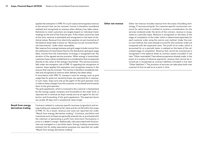applies the exemption in IFRS 15 in such cases and recognises revenue at the amount that can be invoiced. Income is therefore considered realised and recognised as revenue when delivery has taken place. Deliveries to retail customers are largely based on individual meter readings at the end of the financial year. If the meters cannot be read at this time, revenue is estimated and recognised on the basis of statistical values. Revenue from electricity supplies not yet invoiced as of the balance sheet date is shown as "Revenues not yet invoiced (financial instruments)" under other receivables.

Net revenue from energy business and grid usage include income from the settlement of transmission fees for the distribution grid (grid usage fees). Income from the transmission of energy is recognised over the duration of the agreed service provision. When energy is transmitted, customers have a direct entitlement to a consideration that corresponds directly to the value of the energy transmitted. This service provision falls under the exception rule of IFRS 15 regarding the recognition of revenue. Axpo applies this exemption and recognises revenue in the amount that may be invoiced. The income is therefore considered realised and recognised as revenue when delivery has taken place.

In accordance with IFRS 15, transport costs for energy, such as grid usage fees for grids not owned by Axpo, are reported net in revenue. In such cases, Axpo acts only as the agent of the grid operator since it collects these charges from the customer on his behalf and forwards them to the grid operator.

The grid supplement, which is invoiced to the customer in Switzerland by the energy supply company and forwarded to the state fund, is reported net in revenue as Axpo merely acts as an agent for the collection and forwarding of the grid supplement. The payment terms are usually 30 days and in exceptional cases longer.

Contracts related to customer-specific business (origination) and energy trading are measured at fair value and do not fall within the scope of IFRS 15. As a result, revenue and costs are reported net under "Result from energy derivatives trading". Contracts, portfolios and inventories such as these are generally entered into or purchased with the intention of generating a profit from short-term fluctuations in price or a dealer's margin. Additionally, risks associated with this business are managed on a portfolio basis. Energy trading transactions entered into for solely speculative purposes are reported net under "Result from energy derivatives trading". Result from energy derivatives trading

#### Other net revenue

Other net revenue includes revenue from the areas of building technology, IT services and grids. For customer-specific construction contracts for which Axpo is entitled to receive a consideration for the services rendered under the terms of the contract, revenue is recognised on a periodic basis. Revenue is recognised on the basis of the stage of completion of the order, which is determined separately for each customer order using the cost-to-cost method. Under the costto-cost method, the costs already incurred for the customer order are compared with the expected costs. The profit of an order, which is accounted for on a periodic basis, is realised on the basis of the calculated stage of completion. Revenue that cannot be invoiced yet is recognised in the balance sheet as contract assets (included in line item "Other receivables") less advance payments already made. In the event of a surplus of advance payments, revenue that cannot be invoiced yet is recognised as contract liabilities (included in line item "Other liabilities"). The provision of services can take place both over a period of time as well as at a point in time.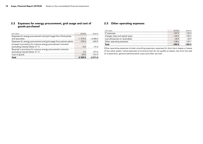#### <span id="page-17-0"></span>2.2 Expenses for energy procurement, grid usage and cost of goods purchased

| CHF million                                                        | 2019/20   | 2018/19   |
|--------------------------------------------------------------------|-----------|-----------|
| Expenses for energy procurement and grid usage from third parties  |           |           |
| and associates                                                     | $-1519.2$ | $-2040.4$ |
| Expenses for energy procurement and grid usage from partner plants | $-743.6$  | $-665.5$  |
| Increase in provisions for onerous energy procurement contracts    |           |           |
| (excluding interest) (Note 3.7.1)                                  | $-0.2$    | $-31.2$   |
| Reversal in provisions for onerous energy procurement contracts    |           |           |
| (excluding interest) (Note 3.7.1)                                  | 2.5       | 377.6     |
| Cost of goods                                                      | $-69.0$   | $-151.9$  |
| <b>Total</b>                                                       | $-2329.5$ | $-2511.4$ |

#### 2.3 Other operating expenses

| CHF million                     | 2019/20  | 2018/19  |
|---------------------------------|----------|----------|
| IT expenses                     | $-107.5$ | $-102.0$ |
| Charges, fees and capital taxes | $-122.2$ | $-100.2$ |
| Loss allowances on receivables  | $-24.4$  | $-20.9$  |
| Other operating expenses        | $-138.3$ | $-1291$  |
| Total                           | $-392.4$ | $-352.2$ |

Other operating expenses include consulting expenses, expenses for short-term leases or leases of low-value assets, rental expenses of contracts that do not qualify as leases, loss from the sale of investments, general administrative costs and other services.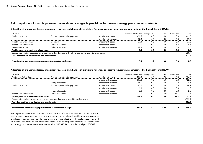#### <span id="page-18-0"></span>2.4 Impairment losses, impairment reversals and changes in provisions for onerous energy procurement contracts

#### Allocation of impairment losses, impairment reversals and changes in provisions for onerous energy procurement contracts for the financial year 2019/20

| CHF million                                                      |                                                                                                           |                      | Generation & Distribution Trading & Sales |                 | <b>CKW</b>      | Reconciliation | Total    |
|------------------------------------------------------------------|-----------------------------------------------------------------------------------------------------------|----------------------|-------------------------------------------|-----------------|-----------------|----------------|----------|
| Production abroad                                                | Property, plant and equipment                                                                             | Impairment losses    |                                           | 0.0             | 0. <sub>C</sub> | 0.C            | $-61.5$  |
|                                                                  |                                                                                                           | Impairment reversals | 77.8                                      | 0.0             | 0.0             | 0.0            | 77.8     |
| Investments Switzerland                                          | Goodwill                                                                                                  | Impairment losses    | $-27.3$                                   | 0. <sub>C</sub> | 0.0             | 0.C            | $-27.3$  |
| Investments Switzerland                                          | Other associates                                                                                          | Impairment losses    | 0. <sub>C</sub>                           | 0.C             | 0.C             | $-5.2$         | $-5.2$   |
| Investments abroad                                               | Other associates                                                                                          | Impairment reversals | 19.8                                      | 0.C             | 0.0             | 0.C            | 19.8     |
| Total impairment losses/reversals on assets                      |                                                                                                           |                      | 8.8                                       | 0.0             | 0.0             | $-5.3$         | 3.5      |
|                                                                  | Depreciation and amortisation on property, plant and equipment, right-of-use assets and intangible assets |                      |                                           |                 |                 |                | -380.7   |
| Total depreciation, amortisation and impairments                 |                                                                                                           |                      |                                           |                 |                 |                | $-377.2$ |
|                                                                  |                                                                                                           |                      |                                           |                 |                 |                |          |
| Provisions for onerous energy procurement contracts (net change) |                                                                                                           |                      | 0.4                                       | 1.9             | 0.0             | 0.0            | 2.3      |

#### Allocation of impairment losses, impairment reversals and changes in provisions for onerous energy procurement contracts for the financial year 2018/19

|                                                                  |                                                                                      |                      | Generation & Distribution Trading & Sales |        | <b>CKW</b> | Reconciliation | Total    |
|------------------------------------------------------------------|--------------------------------------------------------------------------------------|----------------------|-------------------------------------------|--------|------------|----------------|----------|
| roduction Switzerland                                            | Property, plant and equipment                                                        | Impairment losses    | $-174.0$                                  | 0.0    |            | 0.0<br>.       | $-176.0$ |
|                                                                  |                                                                                      | Impairment reversals | 117.8                                     | 0.0    | 5.0        | 0.C            | 122.8    |
|                                                                  | Intangible assets                                                                    | Impairment reversals |                                           | 0.C    | .0 O       | 0.C            | 38.      |
| ıctıon abroad                                                    | Property, plant and equipment                                                        | Impairment losses    | -0.2                                      | 0.C    | 0.0        | 0.0            | -02      |
|                                                                  |                                                                                      | Impairment reversals |                                           | 0.C    | 0.C        | n r            |          |
|                                                                  | Intangible assets                                                                    | Impairment losses    | $-2.0$                                    | 0.C    | 0.0        | n c            | $-2.0$   |
|                                                                  |                                                                                      | Impairment reversals | റ റ                                       | 0.C    | 0.0        | 13.            |          |
| Total impairment losses/reversals on assets                      |                                                                                      |                      | -19.0                                     | 0.0    | 3.0        | 13.1           | $-2.9$   |
|                                                                  | Depreciation and amortisation on property, plant and equipment and intangible assets |                      |                                           |        |            |                | -303.9   |
| Total depreciation, amortisation and impairments                 |                                                                                      |                      |                                           |        |            |                | -306.8   |
|                                                                  |                                                                                      |                      |                                           |        |            |                |          |
| Provisions for onerous energy procurement contracts (net change) |                                                                                      |                      | 277.9                                     | $-1.0$ | 69.5       |                |          |

The impairment reversal in the financial year 2019/20 of CHF 5.8 million net on power plants, investments in associates and energy procurement contracts is attributable to power plant-specific factors. Due to observable forward prices and higher electricity wholesale prices compared to previous assumptions, net impairment reversals on power plants, investments in associates and energy procurement contracts amounted to CHF 343.5 million in financial year 2018/19.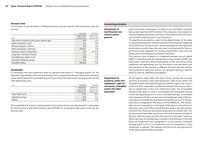#### Discount rates

For the value-in-use calculation, a different discount rate was used for each production type and country:

|                                              | 30.9.2020      | 30.9.2019      |
|----------------------------------------------|----------------|----------------|
|                                              | After-tax real | After-tax real |
| in $%$                                       | discount rate  | discount rate  |
| Gas-fired combined-cycle power plants, Italy | 4.5            | n.a.           |
| Wind production, Italy                       | n.a            | 3.9            |
| Wind production, France                      | 3.6            | 3.3            |
| Wind production, Germany                     | $2.9 - 3.1$    | 3.0            |
| Hydraulic plants, Switzerland                | 4.2            | $4.1 - 4.3$    |
| Long-term contracts, France                  | n.a            | 5.0            |
| Goodwill Axpo Italia S.p.A.                  | 4.8            | 4.8            |
| Goodwill Urbasolar group                     | 3.6            | n.a.           |
| Goodwill others                              | $4.2 - 4.3$    | 4.2            |

#### Sensitivities

In connection with the impairment tests for goodwill (see Note 3.3 "Intangible assets" for the allocation of goodwill to the cash-generating units), changing the discount rates to the following values would cause the recoverable amount to be exactly the same as the carrying amount of the cash-generating units:

| in $%$             | 30.9.2020      | 30.9.2019         |
|--------------------|----------------|-------------------|
|                    | Break-even     | Break-even        |
|                    | after-tax real | after-tax real    |
|                    | discount rate  | discount rate     |
| Axpo Italia S.p.A. | 17.7           | 10.2 <sub>1</sub> |
| Urbasolar Group    | 6.4            | n.a.              |
| Others             | 13.2           | 5.0               |

Since goodwill that arose on new acquisitions from the previous year was tested for impairment for the first time at the end of financial year 2019/20, no comparative information exists for the previous year.

#### Accounting principles

Impairment of non-financial noncurrent assets – general

Impairment tests are based on a value-in-use calculation using the discounted cash flow (DCF) method. The evaluation of provisions for onerous energy procurement contracts is also based on the DCF method consistent with the value-in-use calculation.

The significant assumptions used for the determination of the value in use and the evaluation of the provisions include forecasts regarding future electricity and gas prices, capital expenditures, the regulatory environment, growth rates, discount rates, and forecasts for the proportional annual expenses for energy procurement costs (only for power plants and energy procurement contracts).

The discount rate is based on a weighted average cost of capital (WACC) calculated using the capital asset pricing model (CAPM). The parameters used were determined based on the risk profile of the respective cash-generating unit. For the value-in-use calculation and the evaluation of the provision, a different discount rate was used for each production type and country. For goodwill testing, a specific discount rate per subsidiary was applied.

#### Impairment of property, plant and equipment, right-ofuse assets, intangible assets and other associates

..........................

At the balance sheet date, the Axpo Group reviews the carrying amounts of property, plant and equipment, right-of-use assets and intangible assets (basically energy procurement rights and concessions) and other associates to determine whether there is any indication of impairment. If any such indications exist, the recoverable amount of the asset or, if this is not possible, the recoverable amount of the cash-generating unit to which the asset belongs, is estimated and compared with the carrying amount (impairment test). If the carrying amount exceeds the estimated recoverable amount, an impairment loss is recognised in the amount of the difference. The recoverable amount is equivalent to the higher of the value in use and the fair value less costs to sell. When calculating the value in use, the estimated future cash flows are discounted using a pre-tax interest rate. This pre-tax interest rate takes into account the current market estimate of the time value of money and the risks inherent in the asset, insofar as these risks have not already been included in the estimate of the cash flows. An impairment loss recognised in a prior period is reversed through profit or loss if no impairment loss is recognised or if the impairment is reduced. The reversal is limited to the carrying amount of the asset systematically amortised.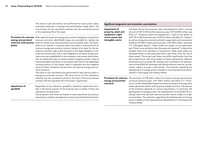The value-in-use calculations are performed for each power plant, associate investment or energy procurement/plant usage rights. The time horizon for the calculation extends over the concession period or the operating life of the asset.

## energy procurement plants

**Provisions for onerous** With regard to long-term energy procurement obligations arising from onerous contracts, identifiable losses are provided for, taking into **contracts with partner** account market price trends and future procurement costs. The acquisition of an interest in a partner plant may result in a provision for an onerous energy procurement contract instead of an asset for the energy procurement right, partly because of the legal obligation to assume the annual costs. Due to the obligation to produce energy, provisions are also established for the company's own power plants wherever an impairment test on a plant reveals a negative present value of future estimated cash flows. In accordance with IAS 36, the capitalised carrying amount of the power plant is adjusted and the negative amount is then included in the provision for onerous energy procurement contracts. The value-in-use calculations are performed for each partner plant or

energy procurement contract. The time horizon for the calculation extends over the concession period or the term of the procurement contract and the operating life of the plant, respectively. 

Regardless of any indicators, goodwill is tested for impairment annually in the fourth quarter of the financial year or earlier if there are indications of impairment. The projected cash flows are based on past experience and various Impairment of goodwill

assumptions made by management concerning market developments.

#### Significant judgments and estimation uncertainties

| Impairment of<br>property, plant and<br>equipment, right-<br>of-use assets and<br>intangible assets | The Axpo Group has property, plant and equipment with a carrying<br>amount of CHF 4,723.8 million (previous year: CHF 4,839.0 million; see<br>Note 3.1 "Property, plant and equipment"), right-of-use assets of<br>CHF 176.3 million (previous year: CHF 0.0 million; see Note 3.2 "Leases")<br>as well as energy procurement and plant usage rights and concessions<br>totalling CHF 608.3 million (previous year: CHF 659.6 million; see Note<br>3.3 "Intangible assets"). These assets are subject to an impairment<br>test if there is any indication that the assets are impaired. To determine<br>whether there is an indication of impairment, these asset values are<br>assessed based on the expected future cash flows from the use of<br>these assets. The actual cash flows may differ significantly from the<br>discounted future cash flows based on these assessments. Material<br>parameters such as useful life, energy price movements, the develop-<br>ment of the EUR/CHF exchange rate and the discount rate are, by their<br>nature, subject to major uncertainties. The estimate regarding the<br>development of energy prices is based on the expected price devel-<br>opment in the supply and trading market. |
|-----------------------------------------------------------------------------------------------------|-----------------------------------------------------------------------------------------------------------------------------------------------------------------------------------------------------------------------------------------------------------------------------------------------------------------------------------------------------------------------------------------------------------------------------------------------------------------------------------------------------------------------------------------------------------------------------------------------------------------------------------------------------------------------------------------------------------------------------------------------------------------------------------------------------------------------------------------------------------------------------------------------------------------------------------------------------------------------------------------------------------------------------------------------------------------------------------------------------------------------------------------------------------------------------------------------------------------------------------------|
| <b>Provisions for onerous</b><br>energy procurement<br>contracts                                    | The provision of CHF 644.6 million for onerous energy procurement<br>contracts (previous year: CHF 758.5 million; see Note 3.7.1 "Provi-<br>sions") covers identifiable losses from the procurement of energy from<br>power-generation plants and long-term supply contracts. The amount<br>of the provision depends on various assumptions. In particular, the<br>development of energy prices, the development of the EUR/CHF ex-<br>change rate or the discount rate are, by their nature, subject to major<br>uncertainties. The estimate regarding the development of energy<br>prices is based on the expected price development in the supply and<br>trading market.                                                                                                                                                                                                                                                                                                                                                                                                                                                                                                                                                             |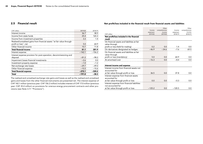#### <span id="page-21-0"></span>2.5 Financial result

| CHF million                                                            | 2019/20  | 2018/19  |
|------------------------------------------------------------------------|----------|----------|
| Interest income                                                        | 36.7     | 38.5     |
| Income from state funds                                                | 25.4     | 165.3    |
| Income from investment properties                                      | 3.3      | 1.4      |
| Realised/unrealised gains from financial assets "at fair value through |          |          |
| profit or loss", net                                                   | 5.0      | 64.9     |
| Other financial income                                                 | 10.7     | 11.8     |
| <b>Total financial income</b>                                          | 81.1     | 281.9    |
| Interest expense                                                       | $-142.1$ | $-156.2$ |
| Interest expense provision for post-operation, decommissioning and     |          |          |
| disposal                                                               | $-81.2$  | $-98.2$  |
| Impairment losses financial investments                                | $-2.6$   | 0.0      |
| Investment property expense                                            | $-1.0$   | $-1.2$   |
| Net exchange rate losses                                               | $-29.7$  | $-49.0$  |
| Other financial expense                                                | $-15.5$  | $-15.6$  |
| <b>Total financial expense</b>                                         | $-272.1$ | $-320.2$ |
| Total                                                                  | $-191.0$ | $-38.3$  |

The realised and unrealised exchange rate gains and losses as well as the realised and unrealised gains and losses from the other financial instruments are presented net. The interest expense of CHF 142.1 million (previous year: CHF 156.2 million) includes interest of CHF 17.0 million (previous year: CHF 35.4 million) on provisions for onerous energy procurement contracts and other provisions (see Note 3.7.1 "Provisions").

#### Net profit/loss included in the financial result from financial assets and liabilities

|                                                                  |           | Other         |           | Other         |
|------------------------------------------------------------------|-----------|---------------|-----------|---------------|
|                                                                  | Income    | comprehensive | Income    | comprehensive |
|                                                                  | statement | income        | statement | income        |
| CHF million                                                      | 2019/20   | 2019/20       | 2018/19   | 2018/19       |
| Net profit/loss included in the financial                        |           |               |           |               |
| result                                                           |           |               |           |               |
| On financial assets and liabilities at fair<br>value through     |           |               |           |               |
| profit or loss (held for trading)                                | 0.2       | 0.0           | 1.4       | 0.0           |
| On derivatives designated as hedges                              | $-46.9$   | $-34.6$       | $-7.6$    | 69.5          |
| On financial assets and liabilities at fair                      |           |               |           |               |
| value through                                                    |           |               |           |               |
| profit or loss (mandatory)                                       | 5.0       | 0.0           | 64.9      | 0.0           |
| At amortised cost                                                | $-16.3$   | 0.0           | $-8.4$    | 0.0           |
|                                                                  |           |               |           |               |
| Interest income and expense                                      |           |               |           |               |
| Interest income from financial assets not<br>accounted for       |           |               |           |               |
| at fair value through profit or loss                             | 36.5      | 0.0           | 37.8      | 0.0           |
| Interest expense from financial assets<br>accounted for          |           |               |           |               |
| at fair value through profit or loss                             | 0.0       | 0.0           | $-0.3$    | 0.0           |
| Interest expense from financial liabilities<br>not accounted for |           |               |           |               |
| at fair value through profit or loss                             | $-125.2$  | 0.0           | $-120.5$  | 0.0           |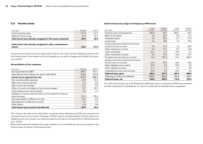#### <span id="page-22-0"></span>2.6 Income taxes

| CHF million                                                    | 2019/20  | 2018/19 |
|----------------------------------------------------------------|----------|---------|
| Current income taxes                                           | $-111.8$ | $-41.7$ |
| Deferred income taxes                                          | 81.9     | 94.1    |
| Total income taxes directly recognised in the income statement | $-29.9$  | 52.4    |
|                                                                |          |         |
| Total income taxes directly recognised in other comprehensive  |          |         |
| income                                                         | $-62.5$  | $-21.0$ |

Current income taxes consist of taxes paid or due on the results of the individual companies for the financial year in accordance with local regulations, as well as charges and credits from previous periods.

#### Reconciliation of tax expenses

| CHF million                                                      | 2019/20  | 2018/19  |
|------------------------------------------------------------------|----------|----------|
| Earnings before tax (EBT)                                        | 600.2    | 812.1    |
| Expected tax rate (ordinary tax rate at head office)             | 18.6%    | 18.6%    |
| Income tax at expected tax rate                                  | $-111.7$ | $-151.1$ |
| Non-tax-deductible expenses                                      | $-30.4$  | $-16.1$  |
| Effect from previous periods                                     | 2.7      | $-2.3$   |
| Effect of tax rate changes                                       | $-11.5$  | 8.2      |
| Effect of income not subject to tax or tax privileged            | 19.7     | 25.1     |
| Unrecorded tax-loss carry forwards                               | $-9.6$   | $-1.7$   |
| Utilisation of unaccounted tax-loss carry forwards from previous |          |          |
| reporting years                                                  | 127.2    | 190.3    |
| Earnings taxable at different tax rates                          | $-10.6$  | $-6.5$   |
| Reassessment of deferred tax assets                              | $-4.7$   | 5.7      |
| Other effects                                                    | $-1.0$   | 0.8      |
| Total income taxes (current and deferred)                        | $-29.9$  | 52.4     |

The ordinary tax rate at the head office comprises direct federal tax (8.5%) and cantonal and municipal taxes of the Canton of Aargau (14.4%). Due to the deductibility of both taxes from taxable income, this results in an effective ordinary tax rate for the head office of 18.6% (previous year: 18.6%).

Better-than-expected results led to a high utilisation of unrecorded tax-loss carry forwards in the financial year as well as in the previous year.

#### Deferred taxes by origin of temporary differences

|                                           | Assets    | Liabilities | Assets    | Liabilities |
|-------------------------------------------|-----------|-------------|-----------|-------------|
| CHF million                               | 30.9.2020 | 30.9.2020   | 30.9.2019 | 30.9.2019   |
| Property, plant and equipment             | 382.5     | 68.7        | 382.1     | 83.5        |
| Right-of-use assets                       | 4.6       | 32.5        | 0.0       | 0.0         |
| Intangible assets                         | 4.6       | 99.3        | 5.7       | 91.5        |
| Investments                               | 4.8       | 18.8        | 1.9       | 19.0        |
| Positive derivative financial instruments |           |             |           |             |
| (current and non-current)                 | 5.8       | 17.4        | 1.5       | 38.0        |
| Other assets (non-current)                | 0.3       | 31.1        | 0.1       | 13.8        |
| Trade receivables                         | 22.1      | 0.7         | 19.2      | 0.7         |
| Other receivables (current)               | 5.0       | 19.6        | 12.4      | 10.7        |
| Provisions (current and non-current)      | 14.5      | 337.3       | 16.7      | 406.7       |
| Negative derivative financial instruments |           |             |           |             |
| (current and non-current)                 | 24.8      | 29.8        | 43.8      | 18.0        |
| Other liabilities (non-current)           | 55.9      | 5.6         | 59.4      | 2.2         |
| Other liabilities (current)               | 21.7      | 1.1         | 4.1       | 3.9         |
| Capitalised tax-loss carry forwards       | 60.0      | 0.0         | 62.3      | 0.0         |
| Deferred taxes, gross                     | 606.6     | 661.9       | 609.2     | 688.0       |
| Offsetting of assets and liabilities      | $-458.6$  | $-458.6$    | $-498.4$  | $-498.4$    |
| Deferred taxes, net                       | 148.0     | 203.3       | 110.8     | 189.6       |

As in the previous year, as at 30 September 2020 there were no temporary differences associated with investments in subsidiaries, for which no deferred tax liabilities were recognised.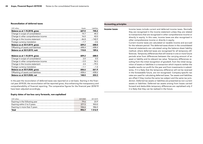#### Reconciliation of deferred taxes

| CHF million                          | Assets   | Liabilities |
|--------------------------------------|----------|-------------|
| Balance as at 1.10.2018, gross       | 627.0    | 745.2       |
| Change in scope of consolidation     | 14.7     | 44.3        |
| Change in other comprehensive income | 16.0     | 42.0        |
| Change in the income statement       | $-46.8$  | $-140.9$    |
| Foreign currency translation         | $-1.7$   | $-2.6$      |
| Balance as at 30.9.2019, gross       | 609.2    | 688.0       |
| Offsetting of assets and liabilities | $-498.4$ | $-498.4$    |
| <b>Balance as at 30.9.2019, nett</b> | 110.8    | 189.6       |
|                                      |          |             |
| Balance as at 1.10.2019, gross       | 609.2    | 688.0       |
| Change in scope of consolidation     | 2.0      | 0.5         |
| Change in other comprehensive income | $-5.9$   | 54.3        |
| Change in the income statement       | 2.4      | $-79.5$     |
| Foreign currency translation         | $-1.1$   | $-1.4$      |
| Balance as at 30.9.2020, gross       | 606.6    | 661.9       |
| Offsetting of assets and liabilities | -458.6   | $-458.6$    |
| <b>Balance as at 30.9.2020, net</b>  | 148.0    | 203.3       |

In the past the reconcilation of deferred taxes was reported on a net basis. Starting in the financial year 2019/20, the reconciliation will be reported gross, thus enhancing the transparency and comprehensibility of financial reporting. The comparative figures for the financial year 2018/19 have been adjusted accordingly,

#### Expiry dates of tax-loss carry forwards, non-capitalised

| CHF million                    | 30 9 2020 | 30 9 2019 |
|--------------------------------|-----------|-----------|
| Expiring in the following year | 79.6      | 23.9      |
| Expiring within 2 to 5 years   | 377.5     | 903.0     |
| Expiring in more than 5 years  | 536.6     | 586.0     |
| Total                          | 993.7     | 1512.9    |

#### Accounting principles

Income taxes include current and deferred income taxes. Normally they are recognised in the income statement unless they are related to transactions that are recognised in other comprehensive income or directly in equity. In this case, income taxes are also recognised in other comprehensive income or directly in equity. Current income taxes are calculated on taxable income and accrued for the relevant period. The deferred taxes shown in the consolidated financial statements are calculated using the balance sheet liability method, where deferred taxes are recognised for all temporary differences. Temporary differences that will reverse in one or more future periods arise from differences between the carrying amount of an asset or liability and its relevant tax value. Temporary differences resulting from the initial recognition of goodwill, from the initial recognition of assets or liabilities in a transaction which impacts neither the taxable results nor profit for the year and from investments in subsidiaries, if it is likely that the temporary difference will not be reversed in the foreseeable future, are not recognised. Company-specific tax rates are used for calculating deferred taxes. Tax assets and liabilities are offset if they involve the same tax subject and the same tax jurisdiction. Deferred tax assets or liabilities are presented as non-current assets or liabilities. Deferred tax assets arising from losses carried forward and deductible temporary differences are capitalised only if it is likely that they can be realised in the future. Income taxes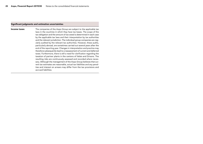#### Significant judgments and estimation uncertainties

The companies of the Axpo Group are subject to the applicable tax laws in the countries in which they have tax bases. The scope of the tax obligation and the amount of tax owed is determined in each case by the applicable tax laws and their interpretation by tax authorities and the relevant jurisdiction. The individual group companies are regularly audited by the relevant tax authorities. However, these audits, particularly abroad, are sometimes carried out several years after the end of the reporting year. Changes in interpretation and practice may therefore subsequently lead to a reassessment of current and deferred taxes. Furthermore, there is still a need for clarification regarding the taxation of partner plants in the cantons of Valais and Grisons. The resulting risks are continuously assessed and recorded where necessary. Although the management of the Axpo Group believes that current tax estimates are reasonable, actual tax liabilities and any penalties and interest on arrears may differ from the tax provisions and accrued liabilities. Income taxes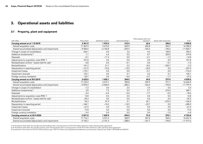## <span id="page-25-0"></span>3. Operational assets and liabilities

#### 3.1 Property, plant and equipment

|                                                  |              |                      |                                  | Other property, plant and |                           |                     |
|--------------------------------------------------|--------------|----------------------|----------------------------------|---------------------------|---------------------------|---------------------|
| CHF million                                      | Power plants | Distribution systems | Land and buildings <sup>1)</sup> | equipment                 | Assets under construction | Total <sup>2)</sup> |
| Carrying amount as at 1.10.2018                  | 2 3 6 1.9    | 1 472.4              | 312.4                            | 62.6                      | 296.5                     | 4 5 0 5.8           |
| thereof acquisition costs                        | 11 367.9     | 3 6 1 5 . 2          | 605.9                            | 226.8                     | 492.7                     | 16 308.5            |
| thereof accumulated depreciation and impairments | $-9006.0$    | $-2142.8$            | -293.5                           | $-164.2$                  | -196.2                    | $-11802.7$          |
| Change in scope of consolidation                 | 236.1        | 0.0                  | 3.6                              | 4.6                       | 106.0                     | 350.3               |
| Additions (investments) <sup>3)</sup>            |              | 6.3                  | 0.2                              | 8.7                       | 203.5                     | 219.8               |
| Disposals                                        |              | $-11.3$              | 0.0                              | $-2.1$                    | $-1.3$                    | $-14.8$             |
| Adjustments to acquisition costs IFRIC 1         | 101.8        | 0.0                  | 0.0                              | 0.0                       | 0.0                       | 101.8               |
| Reclassification to/from "assets held for sale"  | $-0.8$       | 0.0                  | $-0.1$                           | 0.0                       |                           | $-1.0$              |
| Reclassifications                                | 141.2        | 61.7                 | 2.2                              | 18.3                      | -225.7                    | $-2.3$              |
| Depreciation in reporting period                 | $-131.5$     | $-740$               | $-13.5$                          | $-22.0$                   | 0.0                       | $-241.0$            |
| Impairment losses                                | $-176.1$     | 0.0                  | 0.0                              | $-0.1$                    | 0.0                       | $-176.2$            |
| Impairment reversals                             | 123.1        | 0.0                  | 0.1                              | 0.2                       | 0.7                       | 124.1               |
| Foreign currency translation                     | $-24.7$      | 0.0                  | $-0.4$                           | $-0.7$                    |                           | $-27.5$             |
| Carrying amount as at 30.9.2019                  | 2 632.0      | 1455.1               | 304.5                            | 69.5                      | 377.9                     | 4839.0              |
| thereof acquisition costs                        | 11 725.4     | 3519.1               | 590.8                            | 229.9                     | 571.7                     | 16 636.9            |
| thereof accumulated depreciation and impairments | $-9093.4$    | $-2064.0$            | $-286.3$                         | $-160.4$                  | $-193.8$                  | $-11797.9$          |
| Change in scope of consolidation                 | $-1.2$       | 0.0                  | 2.5                              | 3.4                       | 0.6                       | 5.3                 |
| Additions (investments) <sup>3)</sup>            | 2.0          | 7.5                  | 0.5                              | 5.7                       | 273.4                     | 289.1               |
| Disposals                                        | $-3.4$       | -6.4                 | -0.6                             |                           | -0.5                      | $-18.6$             |
| Adjustments to acquisition costs IFRIC 1         | 13.8         | 0.0                  | 0.0                              | 0.0                       | 0.0                       | 13.8                |
| Reclassification to/from "assets held for sale"  | $-29.3$      | 0.0                  | 0.0                              | 0.0                       | 0.0                       | $-29.3$             |
| Reclassifications                                | 92.3         | 47.9                 | 2.1                              | 26.1                      | 275.3                     | $-106.9$            |
| Depreciation in reporting period                 | -168.1       | $-74.2$              | -14.5                            | -23.7                     | 0.0                       | $-280.5$            |
| Impairment losses                                | $-61.5$      | 0.0                  | 0.0                              | 0.0                       | 0.0                       | $-61.5$             |
| Impairment reversals                             | 77.8         | 0.0                  | 0.0                              | 0.0                       | 0.0                       | 77.8                |
| Foreign currency translation                     | $-3.4$       | 0.0                  | 0.0                              | 0.0                       | $-1.0$                    | $-4.4$              |
| Carrying amount as at 30.9.2020                  | 2 551.0      | 1429.9               | 294.5                            | 73.3                      | 375.1                     | 4723.8              |
| thereof acquisition costs                        | 11 7 16.7    | 3 5 3 1 . 2          | 582.9                            | 241.0                     | 569.6                     | 16 641.4            |
| thereof accumulated depreciation and impairments | $-9165.7$    | $-2$ 101.3           | $-288.4$                         | $-167.7$                  | $-194.5$                  | $-11917.6$          |

1) At the balance sheet date, this includes land and buildings with a carrying amount of CHF 25.9 million leased out under operating lease agreements.

2) At the balance sheet date, this includes property, plant and equipment with a carrying amount of CHF 42.9 million leased out under operating lease agreements.

3) Investments in the amount of CHF 2.0 million (previous year: CHF 6.5 million) were capitalised and deferred in previous years. Payment was made in 2019/2020 and 2018/19.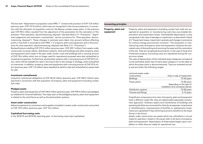The line item "Adjustment to acquisition costs IFRIC 1" contains the provision of CHF 13.8 million (previous year: CHF 101.8 million), which was not recognised in the income statement, in connection with the allocation of acquisition costs for the Beznau nuclear power plant. In the previous year CHF 89.6 million resulted from the adjustment of the parameters for the calculation of the provision "Post-operation, decommissioning, disposal" (see also Note 3.7.1 "Provisions", "Significant judgments and estimation uncertainties", section provisions for "Post-operation, decommissioning, disposal"). These changes in estimate were taken into account without affecting profit or loss both in accordance with IFRIC 1 in property, plant and equipment and in the provisions for post-operation, decommissioning, disposal (see Note 3.7.1 "Provisions").

Reclassifications totalling CHF 275.3 million (previous year: CHF 225.7 million) from assets under construction to power plants, distribution systems, land and buildings and other property, plant and equipment were made in the year under review. Land and buildings with a carrying amount of CHF 18.6 million which are no longer used for operational purposes were also reclassified to investment properties. Furthermore, photovoltaic systems with a carrying amount of CHF 83.0 million, which will be available for sale in the future due to the change in strategy, were reclassified to inventories. In addition, property, plant and equipment with a carrying amount of CHF 29.3 million (previous year: CHF 1.0 million) were classified as held for sale and reclassified to assets held for sale.

#### Investment commitments

Long-term contractual obligations of CHF 463.8 million (previous year: CHF 428.5 million) were assumed in connection with the acquisition of property, plant and equipment (including nuclear fuel rods).

#### Pledged assets

Property, plant and equipment of CHF 546.9 million (previous year: CHF 599.4 million) was pledged as collateral for financial liabilities. The major part of the pledged property, plant and equipment is related to the wind farms as well as the photovoltaic systems.

#### Asset under construction

Advance payments to contractors and suppliers included in assets under construction amounted to CHF 10.9 million (previous year: CHF 14.6 million).

#### Capitalised borrowing costs

In the 2018/19 and 2019/20 reporting year, no borrowing costs were capitalised.

#### Accounting principles

Property, plant and equipment

Property, plant and equipment (including nuclear fuel rods) are recognised at acquisition or manufacturing costs less accumulated depreciation and impairment losses. Unscheduled depreciation is only recognised in the case of damage or impairment, as described in Note 2.4 "Impairment losses, impairment reversals and changes in provisions for onerous energy procurement contracts". The acquisition or manufacturing costs of property, plant and equipment comprise the estimated costs of dismantling and removing the asset and the restoration of the site. They are recognised as provisions. In the case of long-term investment projects, borrowing costs are capitalised during the construction phase.

The rates of depreciation of the individual asset categories correspond to the estimated useful lives of each asset category or to the date on which the power plant is decommissioned. They are reviewed annually and are within the following ranges:

#### Land and assets under

| constructions                | Only in case of impairment                                                      |
|------------------------------|---------------------------------------------------------------------------------|
| <b>Buildings</b>             | $15-60$ years                                                                   |
| Power plants                 | $10-80$ years<br>depending on the type of<br>installation and concession period |
| Distribution systems         | $10-80$ years                                                                   |
| <b>Fixtures and fittings</b> | $3-15$ years                                                                    |

If significant components of an item of property, plant and equipment have a different useful life, they are depreciated separately (component approach). Ordinary repairs and maintenance of buildings and operating facilities are accounted for directly as expenses. Investments in refurbishments, improvements of facilities or replacement investments are capitalised if they will bring economic benefits to the Axpo Group in the future.

Assets under construction are assets which are unfinished or not yet ready for operation. Assets in this sense refer to all items of property, plant and equipment. Depreciation of these assets begins upon completion or when they are ready for operational use.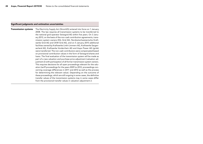#### Significant judgments and estimation uncertainties

The Electricity Supply Act (StromVG) entered into force on 1 January 2008. The law requires all transmission systems to be transferred to the national grid operator Swissgrid AG within five years. On 3 January 2013, on the basis of the non-cash contribution agreements, transmission system owners EGL Grid AG, Nordostschweizerische Kraftwerke Grid AG and CKW Grid AG, and on 5 January 2015 additional facilities owned by Kraftwerke Linth-Limmern AG, Kraftwerke Sarganserland AG, Kraftwerke Vorderrhein AG and Axpo Power AG (grids) were transferred. The non-cash contributors were compensated based on provisional contribution values in the form of Swissgrid shares and loans. The final evaluation of the transmission system will be made as part of a new valuation and purchase price adjustment (valuation adjustment 2) with participation of all former transmission system owners. This requires decisions for all open proceedings relevant for the valuation (tariff proceedings for the years 2009 to 2012, proceedings concerning coverage differences in 2011 and 2012 as well as the process for determining the relevant value). Depending on the outcome of these proceedings, which are still ongoing in some cases, the definitive transfer values of the transmission systems may in some cases differ from the provisional transfer values in valuation adjustment 2. Transmission systems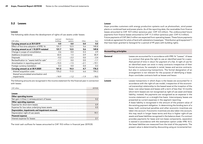#### <span id="page-28-0"></span>3.2 Leases

#### Lessee

The following table shows the development of rights-of-use assets under leases:

|                                            | Land and  | Distribution |        |         |
|--------------------------------------------|-----------|--------------|--------|---------|
| CHF million                                | buildings | systems      | Other  | Total   |
| Carrying amount as at 30.9.2019            | 0.0       | 0.0          | 0.0    | 0.0     |
| Effect of first-time adoption of IFRS 16   | 131.7     | 12.5         | 5.6    | 149.8   |
| Carrying amount as at 1.10.2019 restated   | 131.7     | 12.5         | 5.6    | 149.8   |
| Change in scope of consolidation           | 2.6       | 0.0          | 0.3    | 2.9     |
| Additions (investments)                    | 43.5      | 1.5          | 0.9    | 45.9    |
| Disposals                                  | $-0.2$    | $-2.2$       | 0.0    | $-2.4$  |
| Reclassification to "assets held for sale" | $-1.1$    | 0.0          | 0.0    | $-1.1$  |
| Amortisation in reporting period           | $-15.5$   | $-1.5$       | $-2.1$ | $-19.1$ |
| Foreign currency translation               | 0.3       | 0.0          | 0.0    | 0.3     |
| Carrying amount as at 30.9.2020            | 161.3     | 10.3         | 4.7    | 176.3   |
| thereof acquisition costs                  | 176.2     | 11.5         | 6.6    | 194.3   |
| thereof accumulated amortisation and       |           |              |        |         |
| impairments                                | $-14.9$   | $-1.2$       | $-1.9$ | $-18.0$ |

The following amounts are recognised in the income statement for the financial year in connection with leases:

| CHF million                                        | 2019/20 |
|----------------------------------------------------|---------|
|                                                    |         |
| Lessee                                             |         |
| Other operating income                             |         |
| Net gain (+)/loss (-) remeasurement of leases      | 0.2     |
| <b>Other operating expenses</b>                    |         |
| Expense for short-term leases                      | 0.9     |
| Expense for low-value underlying lease assets      | 0.5     |
| Depreciation, impairments and impairment reversals |         |
| Depreciation right-of-use assets                   | 19.1    |
| <b>Financial expense</b>                           |         |
| Interest expense for leases                        | 2.1     |

The total cash outflows for leases amounted to CHF 19.0 million in financial year 2019/20.

#### Lessor

Axpo provides customers with energy production systems such as photovoltaic, wind power plants or combined heat and power plants. As of the reporting date, the receivables from finance leases amounted to CHF 10.9 million (previous year: CHF 3.8 million). The undiscounted future payments from finance leases amounted to CHF 11.3 million (previous year: CHF 4.3 million). Future payments of CHF 266.2 million are expected from operating leases. These future payments include an agreement for plots of land with substations (Leasetype: "Distribution grid equipment") that have been granted to Swissgrid for a period of 99 years with building rights.

#### Accounting principles General Leases are accounted for in accordance with IFRS 16 "Leases". A lease is a contract that gives the right to use an identified asset for a specified period of time in return for payment of a fee. A right of use for an identified asset can exist in many contracts irrespective of their formal structure, for example in rental, leases and service contracts, but also in outsourcing transactions. The formal designation of an arrangement is not relevant for the purpose of identifying a lease. Axpo concludes contracts both as lessee and lessor. Lessee transactions in which Axpo is the lessee are accounted for in Lesseeaccordance with the right-of-use model, irrespective of the economical (ownership) relationship to the leased asset at the inception of the lease. Low-value leases and leases with a term of less than 12 months (short-term leases) are not recognised as right-of-use asset and lease liability; instead, the payments are recognised as an expense in the income statement on a straight-line basis. Intercompany leases are presented as current expenses in the segment reporting. A lease liability is recognised in the amount of the present value of the existing payment obligation. In determining the binding term of a lease, both contractual penalties and other economic incentives are taken into account. If economic incentives are also taken into account, this may result in longer lease terms and thus in higher right-of-use assets and lease liabilities recognised in the balance sheet. If a contract provides payments for lease and non-lease components, separation is waived in accordance with the exemption option under IFRS 16.5; the lease liabilities are measured from the total of the payments. The present value is determined by discounting using an incremental bor-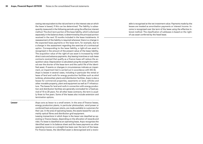rowing rate equivalent to the risk and term or the interest rate on which the lease is based, if this can be determined. The liability is subsequently measured in the following periods using the effective interest method. The short-term portion of the lease liability, which is disclosed separately in the balance sheet, is determined by the principal portion received in the next 12 months included in the lease instalments. A reassessment of the liability is required whenever there is a change in the expected lease payments or the lease term, for example, due to a change in the assessment regarding the exercise of a contractual option. Corresponding to the lease liability, a right-of-use asset is recognised in the amount of the present value of the lease liability. The acquisition value of the right-of-use asset is increased by initial direct costs and advance payments. Any leasing incentives or sub-lease contracts received that qualify as a finance lease will reduce the acquisition value. Depreciation is calculated using the straight-line method over the shorter of the lease term and the useful life of the identified asset. If events or changes in circumstances indicate an impairment, an impairment test is carried out in accordance with IAS 36. Axpo is lessee in several cases, including in particular the rental or lease of land and roofs for energy production facilities such as wind turbines, photovoltaic plants and distribution facilities. Axpo is also a lessee for commercial properties, easements on land, vehicles and other movable property, plant and equipment as well as IT infrastructure. The leases for land and roofs in connection with energy production and distribution facilities are generally concluded for a fixed period of 15 to 20 years. For all other lease contracts, the term is usually three to five years. Some of the leases also include extension and termination options.

Lessor

Axpo acts as lessor to a small extent. In the area of finance leases, energy production plants, in particular photovoltaic, wind power or combined heat and power plants, are made available to customers for their use. In the area of operating leases, the assets leased for use are mainly optical fibres and distribution grid equipment.

Leasing transactions in which Axpo is the lessor are classified as operating or finance leases, depending on the allocation of rewards and risks. If a lease is classified as an operating lease, Axpo recognises the identified asset in its balance sheet and the lease payments as other operating income on a straight-line basis over the term of the lease. For finance leases, the identified asset is derecognised and a receivable is recognised at the net investment value. Payments made by the lessee are treated as amortisation payments or interest income. Income is recognised over the term of the lease using the effective interest method. The classification of subleases is based on the rightof-use asset conferred by the head lease.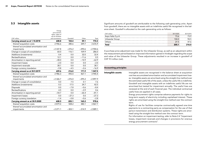#### <span id="page-30-0"></span>3.3 Intangible assets

|                                      | Energy<br>procurement                 |          |          |           |
|--------------------------------------|---------------------------------------|----------|----------|-----------|
|                                      | rights, rights of                     |          |          |           |
| CHF million                          | use for facilities<br>and concessions | Goodwill | Other    | Total     |
| Carrying amount as at 1.10.2018      | 608.8                                 | 104.4    | 59.1     | 772.3     |
| thereof acquisition costs            | 2946.6                                | 380.6    | 349.7    | 3676.9    |
| thereof accumulated amortisation and |                                       |          |          |           |
| impairments                          | $-2337.8$                             | $-276.2$ | $-290.6$ | $-2904.6$ |
| Change in scope of consolidation     | 60.0                                  | 116.1    | 109.9    | 286.0     |
| Additions (investments)              | 0.4                                   | 0.0      | 32.0     | 32.4      |
| Reclassifications                    | 12.1                                  | 0.0      | $-11.6$  | 0.5       |
| Amortisation in reporting period     | $-48.0$                               | 0.0      | $-14.9$  | $-62.9$   |
| Impairment losses                    | $-2.0$                                | 0.0      | 0.0      | $-2.0$    |
| Impairment reversals                 | 38.1                                  | 0.0      | 0.0      | 38.1      |
| Foreign currency translation         | $-9.8$                                | $-4.5$   | $-2.6$   | $-16.9$   |
| Carrying amount as at 30.9.2019      | 659.6                                 | 216.0    | 171.9    | 1 047.5   |
| thereof acquisition costs            | 2986.3                                | 492.0    | 467.1    | 3 945.4   |
| thereof accumulated amortisation and |                                       |          |          |           |
| impairments                          | $-2326.7$                             | $-276.0$ | $-295.2$ | $-2897.9$ |
| Change in scope of consolidation     | 0.0                                   | 7.5      | 0.1      | 7.6       |
| Additions (investments)              | 0.3                                   | 17.5     | 24.7     | 42.5      |
| Disposals                            | 0.0                                   | $-7.8$   | $-0.6$   | $-8.4$    |
| Reclassifications                    | 4.5                                   | 0.0      | $-3.9$   | 0.6       |
| Amortisation in reporting period     | $-54.7$                               | 0.0      | $-26.4$  | $-81.1$   |
| Impairment losses                    | 0.0                                   | $-27.3$  | 0.0      | $-27.3$   |
| Foreign currency translation         | $-1.4$                                | $-0.8$   | $-0.6$   | $-2.8$    |
| Carrying amount as at 30.9.2020      | 608.3                                 | 205.1    | 165.2    | 978.6     |
| thereof acquisition costs            | 2879.4                                | 508.2    | 480.1    | 3 867.7   |
| thereof accumulated amortisation and |                                       |          |          |           |
| impairments                          | $-2271.1$                             | $-303.1$ | $-314.9$ | $-2889.1$ |

Significant amounts of goodwill are attributable to the following cash-generating units. Apart from goodwill, there are no intangible assets with an indefinite useful life recognised in the balance sheet. Goodwill is allocated to the cash-generating units as follows:

| CHF million        | 30.9.2020 | 30.9.2019 |
|--------------------|-----------|-----------|
| Axpo Italia S.p.A. | 73.6      | 73.9      |
| Urbasolar Group    | 104.0     | 94.5      |
| Others             | 27.5      | 47.6      |
| <b>Total</b>       | 205.1     | 216.0     |

A purchase price adjustment was made for the Urbasolar Group, as well as an adjustment within the measurement period based on improved information gained in hindsight regarding the scope and value of the Urbasolar Group. These adjustments resulted in an increase in goodwill of CHF 9.5 million (net).

#### Accounting principles

| Intangible assets | Intangible assets are recognised in the balance sheet at acquisition<br>cost less accumulated amortisation and accumulated impairment loss-<br>es. Intangible assets are amortised using the straight-line method over<br>the estimated useful life of the asset, unless the useful life is indefinite.<br>Goodwill and intangible assets with an indefinite useful life are not<br>amortised but tested for impairment annually. The useful lives are<br>reviewed at the end of each financial year. The individual contractual |
|-------------------|----------------------------------------------------------------------------------------------------------------------------------------------------------------------------------------------------------------------------------------------------------------------------------------------------------------------------------------------------------------------------------------------------------------------------------------------------------------------------------------------------------------------------------|
|                   | useful lives are applied in all cases.                                                                                                                                                                                                                                                                                                                                                                                                                                                                                           |
|                   | Energy procurement rights comprise advance payments for rights to<br>long-term supply of electricity including capitalised interest. These<br>rights are amortised using the straight-line method over the contract<br>term.                                                                                                                                                                                                                                                                                                     |
|                   | Rights of use for facilities comprise contractually agreed one-time<br>payments to a contracting party as compensation for the use of that<br>party's transmission and distribution systems. These rights are amor-<br>tised using the straight-line method over the contract term.                                                                                                                                                                                                                                              |

For information on impairment testing, refer to Note 2.4 "Impairment losses, impairment reversals and changes in provisions for onerous energy procurement contracts".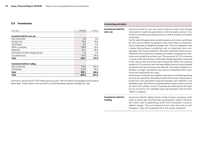#### <span id="page-31-0"></span>3.4 Inventories

| CHF million                         | 30.9.2020 | 30.9.2019 |
|-------------------------------------|-----------|-----------|
|                                     |           |           |
| Inventoris held for own use         |           |           |
| Gas inventories                     | 3.0       | 5.6       |
| Nuclear fuel                        | 99.2      | 99.2      |
| Certificates                        | 2.5       | 4.5       |
| Work in progress                    | 158.8     | 22.6      |
| Materials                           | 92.1      | 89.6      |
| Inventories of other energy sources | 1.5       | 2.3       |
| Loss allowances                     | $-97.0$   | $-96.8$   |
| <b>Total</b>                        | 260.1     | 127.0     |
|                                     |           |           |
| Inventories held for trading        |           |           |

#### Gas inventories 256.3 Certificates 219.5 84.3 Total 399.1 340.6 Total 659.2 467.6

Inventories valued at CHF 127.9 million (previous year: CHF 5.8 million) are pledged at the balance sheet date. These relate to the wind farms and photovoltaic systems available for sale.

#### Accounting principles

Inventories held for own use

Inventories held for own use mainly comprise nuclear fuel and gas inventories for electricity generation at thermal plants, stocks of materials for providing operating services as well as emission and green certificates.

Fuel for electricity generation as well as green and emission certificates for own use are initially recognised at cost of purchase or production. Fuel is measured at weighted average cost. If the net realisable value is below the purchase or production cost, an impairment loss is recognised in the income statement. Emission certificates which are purchased for own production purposes are initially recognised as inventories and carried at purchase cost. The provision for  $CO<sub>2</sub>$  emissions in excess of the  $CO<sub>2</sub>$  emission certificates already allocated is measured at fair value at the end of the reporting period. When the company settles its  $CO<sub>2</sub>$  emissions with the responsible authority, the purchased inventories and any provisions are reduced. Any excess emission certificates no longer required for own use are reclassified within inventories and measured at fair value.

Inventories of materials and supplies required for providing operating services are reported in the balance sheet at the lower of purchase or production cost (calculated using the average cost method) or net realisable value. Wind farms and photovoltaic systems which are built for sale in the ordinary course of business are measured at the lower of cost incurred or net realisable value and reported in the line item "Work in progress".

Inventories held for trading mainly include emission and green certificates as well as gas, that have been purchased for resale in the short term with a view to generating a profit from fluctuations in price or dealer's margin. They are measured at fair value less costs to sell. Changes in value are recognised net in the income statement. Inventories held for trading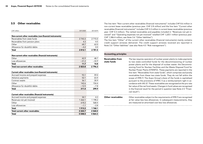#### <span id="page-32-0"></span>3.5 Other receivables

| CHF million                                                                                  | 30.9.2020   | 30.9.2019 |
|----------------------------------------------------------------------------------------------|-------------|-----------|
| Non-current other receivables (non-financial instruments)                                    |             |           |
| Receivables from state funds                                                                 | 2 743.3     | 2715.0    |
| Receivables from pension plans                                                               | 4.3         | 4.5       |
| Other                                                                                        | 68.7        | 62.0      |
| Allowance for doubtful debts                                                                 | $-4.2$      | 0.0       |
| <b>Total</b>                                                                                 | 2812.1      | 2 781.5   |
| Non-current other receivables (financial instruments)                                        |             |           |
| Other                                                                                        | 42.9        | 48.7      |
| Loss allowances                                                                              | $-31.2$     | $-33.9$   |
| <b>Total</b>                                                                                 | 11.7        | 14.8      |
| Total non-current other receivables                                                          | 2823.8      | 2 7 9 6.3 |
| Current other receivables (non-financial instruments)<br>Accrued income and prepaid expenses | 93.1        | 59.0      |
| Advance payments                                                                             | 52.1        | 63.4      |
| Contract assets                                                                              | 36.1        | 30.9      |
| Other                                                                                        | 142.6       | 154.4     |
| Allowance for doubtful debts                                                                 | $-12.5$     | $-7.8$    |
| <b>Total</b>                                                                                 | 311.4       | 299.9     |
| <b>Current other receivables (financial instruments)</b>                                     |             |           |
| Accrued income and prepaid expenses                                                          | 34.1        | 4.3       |
| Revenues not yet invoiced                                                                    | 1 262.1     | 1 1 9 8.2 |
| Other                                                                                        | 618.2       | 568.4     |
| Loss allowances                                                                              | $-1.1$      | $-2.8$    |
| <b>Total</b>                                                                                 | 1913.3      | 1768.1    |
| <b>Total current other receivables</b>                                                       | 2 2 2 4 . 7 | 2 068.0   |
| <b>Total</b>                                                                                 | 5 048.5     | 4864.3    |

The line item "Non-current other receivables (financial instruments)" includes CHF 8.6 million in non-current lease receivables (previous year: CHF 2.8 million) and the line item "Current other receivables (financial instruments)" includes CHF 2.2 million in current lease receivables (previous year: CHF 0.3 million). The netted receivables and payables included in "Revenues not yet invoiced" and "Operating expenses not yet invoiced" totalled CHF 1,225.1 million (previous year: CHF 1,386.4 million; see Note 3.6 "Other liabilities").

The line item "Other" of the current other receivables (financial instruments) mainly contains credit support annexes delivered. The credit support annexes received are reported in Note 3.6 "Other liabilities" (see also Note 4.5 "Risk management").

#### Accounting principles

| Receivables from<br>state funds | The law requires operators of nuclear power plants to make payments<br>to two state-controlled funds for the decommissioning of nuclear<br>power plants and for the disposal of nuclear waste: the Decommis-<br>sioning Fund for Nuclear Facilities and the Waste Disposal Fund for<br>Nuclear Power Plants (STENFO). These payments are reported in the<br>line item "Receivables from state funds", which comprises exclusively<br>receivables from these two state funds. They do not fall within the<br>scope of IFRS 9. The Axpo Group's share of the funds is capitalised<br>pursuant to the provisions of IFRIC 5 as a reimbursement right in ac-<br>cordance with IAS 37. These receivables are recognised at the pro rata<br>fair value of the net fund assets. Changes in fund values are recognised<br>in the financial result for the period in question (see Note 2.5 "Finan-<br>cial result"). |
|---------------------------------|--------------------------------------------------------------------------------------------------------------------------------------------------------------------------------------------------------------------------------------------------------------------------------------------------------------------------------------------------------------------------------------------------------------------------------------------------------------------------------------------------------------------------------------------------------------------------------------------------------------------------------------------------------------------------------------------------------------------------------------------------------------------------------------------------------------------------------------------------------------------------------------------------------------|
| Other receivables               | Other receivables subject to the requirements of IFRS 9 are recognised<br>at fair value less loss allowances. In subsequent measurements, they<br>are measured at amortised cost less loss allowances.                                                                                                                                                                                                                                                                                                                                                                                                                                                                                                                                                                                                                                                                                                       |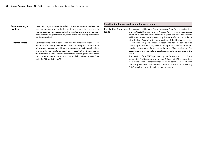| <b>Revenues not yet</b> | Revenues not yet invoiced include invoices that have not yet been is-                                                                                                                                                                                                                                                                                                                                                                                                                       | Significant judgments ar        |  |  |
|-------------------------|---------------------------------------------------------------------------------------------------------------------------------------------------------------------------------------------------------------------------------------------------------------------------------------------------------------------------------------------------------------------------------------------------------------------------------------------------------------------------------------------|---------------------------------|--|--|
| invoiced                | sued for energy supplied in the traditional energy business and in<br>energy trading. Trade receivables from customers who are also sup-<br>pliers are set off against trade payables, provided a netting agreement<br>has been reached.                                                                                                                                                                                                                                                    | Receivables from state<br>funds |  |  |
| <b>Contract assets</b>  | Contract assets exist in connection with the rendering of services in<br>the areas of building technology, IT services and grids. The majority<br>of these are customer-specific construction contracts for which a right<br>to a consideration exists for goods or services that are transferred to<br>the customer. If a consideration is received before goods or services<br>are transferred to the customer, a contract liability is recognised (see<br>Note 3.6 "Other liabilities"). |                                 |  |  |

#### Significant judgments and estimation uncertainties

The amounts paid into the Decommissioning Fund for Nuclear Facilities and the Waste Disposal Fund for Nuclear Power Plants are capitalised as refund claims. The future costs for disposal and decommissioning will be reimbursed to the operators by these state funds in accordance with the law. According to the provisions of the Ordinance on the Decommissioning and Waste Disposal Fund for Nuclear Facilities (SEFV), operators must pay any future long-term shortfalls or are entitled to the payment of a surplus at the time of final settlement. The occurrence of any shortfalls or surpluses can only be identified in the future. The revision of the SEFV approved by the Federal Council on 6 November 2019, which came into force on 1 January 2020, also provides for the calculation of contributions new model parameters for inflation of 0.5% (previously 1.5%) and investment return of 2.1% (previously

3.5%), which will result in an interim assessment.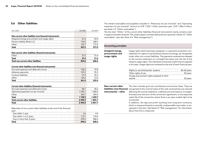#### <span id="page-34-0"></span>3.6 Other liabilities

| CHF million                                                             | 30.9.2020   | 30.9.2019 |
|-------------------------------------------------------------------------|-------------|-----------|
|                                                                         |             |           |
| Non-current other liabilities (non-financial instruments)               |             |           |
| Assigned energy procurement and usage rights                            | 61.6        | 65.0      |
| Pension liability (Note 5.3)                                            | 133.0       | 338.5     |
| Other                                                                   | 162.7       | 173.5     |
| <b>Total</b>                                                            | 357.3       | 577.0     |
| Non-current other liabilities (financial instruments)                   |             |           |
| Other                                                                   | 37.3        | 31.6      |
| <b>Total</b>                                                            | 37.3        | 31.6      |
| Total non-current other liabilities                                     | 394.6       | 608.6     |
|                                                                         |             |           |
| <b>Current other liabilities (non-financial instruments)</b>            |             |           |
| Accrued expenses and deferred income                                    | 102.2       | 79.8      |
| Advance payments                                                        | 107.2       | 55.3      |
| <b>Contract liabilities</b>                                             | 27.4        | 25.3      |
| Other                                                                   | 124.2       | 73.0      |
| <b>Total</b>                                                            | 361.0       | 233.4     |
| <b>Current other liabilities (financial instruments)</b>                |             |           |
| Accrued expenses and deferred income                                    | 40.1        | 46.6      |
| Operating expenses not yet invoiced                                     | 1 3 9 5 . 1 | 1 268.6   |
| Other                                                                   | 303.7       | 344.5     |
| <b>Total</b>                                                            | 1738.9      | 1659.7    |
| <b>Total current other liabilities</b>                                  | 2099.9      | 1893.1    |
| <b>Total</b>                                                            | 2 4 9 4.5   | 2 501.7   |
|                                                                         |             |           |
| Maturities of non-current other liabilities at the end of the financial |             |           |
|                                                                         |             |           |

| year:                    |       |       |
|--------------------------|-------|-------|
| Due within 1 year        |       |       |
| Due within 1 to 5 years  | 1127  | 118.4 |
| Due in more than 5 years | 278.3 | 186 2 |
| Total                    | 394.6 | ናበጽ ሉ |

The netted receivables and payables included in "Revenues not yet invoiced" and "Operating expenses not yet invoiced" amount to CHF 1,225.1 million (previous year: CHF 1,386.4 million; see Note 3.5 "Other receivables").

The line item "Other" of the current other liabilities (financial instruments) mainly contains credit support annexes received. The credit support annexes delivered are reported in Note 3.5 "Other receivables" (see also Note 4.5 "Risk management").

#### Accounting principles

| <b>Assigned energy</b><br>procurement and<br>usage rights | Usage rights which have been assigned, i.e. payments received in con-<br>sideration for rights to use facilities and procure energy, are recognised<br>under other non-current liabilities. The payments received are released<br>to the income statement on a straight-line basis over the life of the<br>relevant usage rights. The individual contractual useful lives are applied<br>in all cases. Usage rights are reviewed at the end of each financial year. |               |
|-----------------------------------------------------------|---------------------------------------------------------------------------------------------------------------------------------------------------------------------------------------------------------------------------------------------------------------------------------------------------------------------------------------------------------------------------------------------------------------------------------------------------------------------|---------------|
|                                                           | Rights to use third parties' systems                                                                                                                                                                                                                                                                                                                                                                                                                                | $40-60$ years |
|                                                           | Other rights of use                                                                                                                                                                                                                                                                                                                                                                                                                                                 | 50 years      |
|                                                           | Energy procurement rights assigned to third                                                                                                                                                                                                                                                                                                                                                                                                                         |               |
|                                                           | parties                                                                                                                                                                                                                                                                                                                                                                                                                                                             | 50 years      |

Non-current other

instruments) – other

This item includes grid cost contributions (connection fees). They are liabilities (non-financial recognised at the nominal value of the cash received less any reversal affecting the income statement. Liabilities are amortised on a straightline basis over the term of the connection agreement, or the expected useful life of the connection where there is an open-ended right to be connected.

> In addition, the day-one profit resulting from long-term contracts, which is measured based on partially unobservable input data, is recognised in this item. See Note 4.5 "Risk management" for information about how this is measured.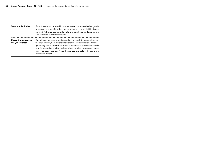| <b>Contract liabilities</b>                   | If consideration is received for contracts with customers before goods<br>or services are transferred to the customer, a contract liability is rec-<br>ognised. Advance payments for future physical energy deliveries are<br>also reported as contract liabilities.                                                                                                                              |
|-----------------------------------------------|---------------------------------------------------------------------------------------------------------------------------------------------------------------------------------------------------------------------------------------------------------------------------------------------------------------------------------------------------------------------------------------------------|
| <b>Operating expenses</b><br>not yet invoiced | Operating expenses not yet invoiced relate mainly to accruals for elec-<br>tricity purchases, both for the traditional energy business and for ener-<br>gy trading. Trade receivables from customers who are simultaneously<br>suppliers are offset against trade payables, provided a netting arrange-<br>ment has been reached. Prepaid expenses and deferred income are<br>offset accordingly. |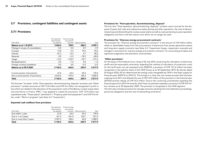### 3.7 Provisions, contingent liabilities and contingent assets

### 3.7.1 Provisions

|                                   | Post-operation, | Onerous energy |                  |             |
|-----------------------------------|-----------------|----------------|------------------|-------------|
|                                   | decommission-   | procurement    |                  |             |
| CHF million                       | ing, disposal   | contracts      | Other provisions | Total       |
| <b>Balance as at 1.10.2019</b>    | 3 060.4         | 758.5          | 280.2            | 4 099.1     |
| Change in scope of consolidation  | 0.0             | 0.0            | 0.9              | 0.9         |
| Increase                          | 13.8            | 0.2            | 79.6             | 93.6        |
| Interest                          | 81.2            | 12.3           | 4.7              | 98.2        |
| Reversal                          | 0.0             | $-2.5$         | $-78.3$          | $-80.8$     |
| Usage                             | $-13.0$         | $-122.9$       | $-55.7$          | $-191.6$    |
| <b>Reclassifications</b>          | 0.0             | $-1.0$         | 0.0              | $-1.0$      |
| Foreign currency translation      | 0.0             | 0.0            | $-0.5$           | $-0.5$      |
| <b>Balance as at 30.9.2020</b>    | 3 142.4         | 644.6          | 230.9            | 4 0 1 7 . 9 |
|                                   |                 |                |                  |             |
| Current portion of provisions     | 67.8            | 65.2           | 45.4             | 178.4       |
| Non-current portion of provisions | 3 0 7 4 . 6     | 579.4          | 185.5            | 3 8 3 9.5   |
| Total                             | 3 142.4         | 644.6          | 230.9            | 4 0 1 7 . 9 |

The line item "Increase" of the "Post-operation, decommissioning, disposal" provision and "Other provisions" contains amounts of CHF 13.8 million and CHF 0.6 million not recognised in profit or loss which are related to the allocation of the acquisition costs of the Beznau nuclear power plant and wind farms in France. IFRIC 1 was applied to create the provisions. CHF 13.8 million was capitalised under "Power plants" (see Note 3.1 "Property, plant and equipment") and CHF 0.6 million under "Work in progress" (see Note 3.4 "Inventories").

#### Expected cash outflows from provisions

| CHF million              | Post-operation,<br>decommission-<br>ing, disposal | Onerous energy<br>procurement<br>contracts | Other provisions | Total       |
|--------------------------|---------------------------------------------------|--------------------------------------------|------------------|-------------|
| Due within 1 year        | 67.8                                              | 65.2                                       | 45.4             | 178.4       |
| Due in 1 to 5 years      | 167.3                                             | 241.0                                      | 142.7            | 551.0       |
| Due in more than 5 years | 2 907.3                                           | 338.4                                      | 42.8             | 3 2 8 8 .5  |
| Total                    | 3 142.4                                           | 644.6                                      | 230.9            | 4 0 1 7 . 9 |

#### Provisions for "Post-operation, decommissioning, disposal"

The line item "Post-operation, decommissioning, disposal" contains costs incurred for the disposal of spent fuel rods and radioactive waste (during and after operation), the cost of decommissioning and dismantling the nuclear power plants as well as costs pertaining to post-operation obligations and fuel in the last reactor core which can no longer be used.

#### Provisions for "Onerous energy procurement contracts"

The provision for "Onerous energy procurement contracts" in the amount of CHF 644.6 million relate to identifiable losses from the procurement of electricity from power-generation plants and long-term supply contracts (see Note 2.4 "Impairment losses, impairment reversals and changes in provisions for onerous energy procurement contracts" for accounting principles and significant judgments and estimation uncertainties).

#### "Other provisions"

On the basis of the Federal Court ruling of 20 July 2016 concerning the calculation of electricity tariffs and the associated uncertainty regarding the method of calculation of production costs for the tariff years not yet assessed since 2008/09, a provision of CHF 121.4 million has been recognised in the balance sheet of the CKW Group as at 30 September 2019. By decree dated 20 August 2020, ElCom determined the energy costs chargeable by CKW in the basic supply for financial years 2009/10 to 2012/13. This brings to a close the cost review process that has been ongoing since 2011 and allowed the use of CHF 34.9 million of the provision in the financial year 2019/20 and the release of CHF 43.2 million. Due to the continuing uncertainties regarding the financial years from 2013/14 onwards, which have not yet been assessed, a provision of CHF 47.9 million remains as at 30 September 2020. The provision is recognised in the CKW segment. The item also includes provisions for storage contracts resulting from lost arbitration proceedings, personnel obligations and the cost of dismantling wind farms.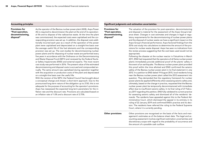#### Accounting principles

Provisions for "Post-operation, decommissioning, disposal"

As the operator of the Beznau nuclear power plant (KKB), Axpo Power AG is required to decommission the plant at the end of its operational life and to dispose of the radioactive waste. At the time the plant was commissioned, the expected costs were capitalised and the corresponding provision was set up. In addition, the disposal costs additionally incurred each year as a result of the operation of the power plant were capitalised and depreciated on a straight-line basis over the average useful life of the fuel elements and the corresponding provision was set up. The cost studies for decommissioning nuclear power plants and for disposing of nuclear waste are performed every five years in accordance with the Ordinance on the Decommissioning and Waste Disposal Fund (SEFV) and reviewed by the Federal Nuclear Safety Inspectorate (ENSI) and external experts. The most recent cost study was performed in 2016. The present value of the estimated decommissioning and disposal costs is accrued and compounded annually. The same amount was capitalised during operation together with the acquisition or production costs of the plant and depreciated on a straight-line basis over the useful life. With the revision of the SEFV, the Federal Council has brought about

a conceptual change and chosen a short-term approach. Due to the pronounced long-term nature of the obligation up to 2130, this is not adequate for the purpose of accounting for the operator's provisions. Axpo has reassessed the expected long-term parameters for the inflation rate and the discount rate. Provisions are calculated based on an inflation rate of 1.0% and a discount rate of 2.75%.

#### Significant judgments and estimation uncertainties

Provisions for "Post-operation, decommissioning, disposal"

The valuation of the provision for post-operation, decommissioning and disposal is material for the assessment of the Axpo Group's balance sheet. Changes in cost estimates and changes in legal or regulatory requirements for the decommissioning of nuclear power plants and the disposal of nuclear waste can have a significant impact on the Axpo Group's financial performance. Axpo factored findings from the 2016 cost study into calculations to determine the amount of the provisions for nuclear waste disposal. Axpo has seen no indications from the review process suggesting that the cost basis used would not be appropriate.

Following the disaster at the nuclear reactor in Fukushima in March 2011, ENSI had requested that the operators of all Swiss nuclear power plants immediately provide additional proof of the plants' safety in the event of an earthquake. The Beznau nuclear power plant provided this proof within the time allotted and ENSI confirmed the seismic safety of the Beznau nuclear power plant in its final statement in July 2012. In a petition to ENSI dated 19 August 2015, local residents living near the Beznau nuclear power plant called the 2012 assessment into question. They demanded that the regulatory framework for nuclear power plants be applied differently when assessing seismic safety and, ultimately, based on the change in practice, requested that the Beznau nuclear power plant be temporarily decommissioned with immediate effect due to insufficient seismic safety. In its final ruling of 27 February 2017 regarding this petition, ENSI fully validated its current practice for assessing seismic safety and dismissed all of the residents' demands. The residents have appealed against this to the Federal Administrative Court, which dismissed the appeal in its entirety in its ruling of 22 January 2019 and confirmed ENSI's practice and its decision. The residents have referred the ruling to the Federal Supreme Court, where it is currently pending.

Other provisions are recognised on the basis of the facts and management's estimates as of the balance sheet date. The legal and accounting assessment involves significant estimation uncertainties and discretionary scope with regard to the probability of occurrence and the amount of a possible cash outflow. Other provisions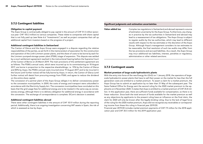### 3.7.2 Contingent liabilities

#### Obligation to capital payment

The Axpo Group is contractually obliged to pay capital in the amount of CHF 51.5 million (previous year: CHF 105.3 million) to various companies. These relate to companies with share capital that is not fully paid up (see Note 6.6 "Investments") as well as project companies that call up additional capital from investors based on the progress of a project.

#### Additional contingent liabilities in Switzerland

The Canton of Glarus and the Axpo Group were engaged in a dispute regarding the relative responsibilities of the parties, as set forth in the memorandum of association for the construction and operation of the Linth-Limmern power plants, and the share of costs to be borne by each for the Limmern pumped-storage power plant (PSWL) stage of expansion. This dispute was settled by a court settlement agreement reached in the instructional hearing before the Supreme Court of the Canton of Berne on 25 March 2019. The main provisions of this settlement agreement are as follows: The PSWL's annual costs, which were incurred up to its commissioning on 18 August 2017, are borne in proportion to the respective shareholdings, i.e. 15% by the Canton of Glarus and 85% by Axpo; the PSWL's annual costs incurred since 19 August 2017 and to be incurred in the future (until further notice) will be fully borne by Axpo; in return, the Canton of Glarus (until further notice) will desist from procuring energy from PSWL and agree to reduce the dividend on the entire share capital.

The concession of a partner plant of the Axpo Group obliges it to deliver concessionary power to the concession municipalities. In 2009, the costs of energy and transport were unbundled in accordance with the Electricity Supply Act. The concession municipalities have concluded on this basis that the grid usage fees for additional energy are to be treated in the same way as concessionary energy, although there is no delivery obligation for additional energy in accordance with the concession. The exchange of correspondence is complete. ElCom's decision is awaited.

#### Additional contingent liabilities abroad

There were other contingent liabilities in the amount of CHF 101.9 million during the reporting period. Additionally, there is an ongoing investigation concerning VAT assets in Spain, the risk of which is assessed as low by Axpo.

#### Significant judgments and estimation uncertainties

Complex tax regulations in Switzerland and abroad represent a source of estimation uncertainty for the Axpo Group. Furthermore, any changes in practice by the tax authorities in Switzerland and abroad may lead to a reassessment of tax obligations. The Axpo Group is subject to regular audits by the tax authorities, which may lead to different results with respect to the tax estimates or the discretion of the Axpo Group. Although Axpo's management considers its tax estimates to be reasonable, the final resolution of such tax audits may differ from the tax provisions and accrued liabilities. As a result, the Axpo Group may incur additional tax liabilities, interest, penalties or regulatory, administrative or other related sanctions. Value added tax

### 3.7.3 Contingent assets

#### Market premium of large-scale hydroelectric plants

With the entry into force of the new Energy Act (EnG) on 1 January 2018, the operators of largescale hydroelectric power plants that have to sell their power on the market for less than the full generation costs are entitled to a market premium. To assert a claim for a market premium, the Axpo Group has to submit an application by no later than 31 May of the subsequent year. The Swiss Federal Office for Energy sent the second ruling for the 2020 market premium to the applicants on 6 November 2020. It states that Axpo is entitled to a market premium of CHF 35.8 million. In this application year, there are sufficient funds available for compensation, so there is no linear reduction. Since both the total amount of funds available for the market premium as well as any objections by applicants to the present ruling have an influence on the final claim, the claim for 2020 will only be known after the legally binding ruling. Due to the lack of legal force of the ruling for the 2020 market premium, Axpo did not recognise any receivables or corresponding income from these this ruling in financial year 2019/20.

Financial year 2019/20 includes market premium payments of CHF 7.9 million for the 2018 application year and CHF 30.5 million for the 2019 application year.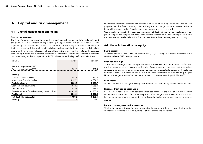## 4. Capital and risk management

### 4.1 Capital management and equity

#### Capital management

The Axpo Group manages capital by setting a maximum risk tolerance relative to liquidity and equity. The Board of Directors of Axpo Holding AG approves the risk tolerance for the entire Axpo Group. The risk tolerance is based on the Axpo Group's ability to bear risks in relation to liquidity and equity. This overall capability is broken down and distributed among individual divisions for the purpose of allocating risk capital (e.g. in the form of trading limits for the business area Trading & Sales) and monitored accordingly. Compliance with the risk tolerance is primarily monitored using funds from operations (FFO) and gearing as the key performance indicator.

| CHF million                                             | 30.9.2020   | 30.9.2019 |
|---------------------------------------------------------|-------------|-----------|
|                                                         |             |           |
| <b>Funds from operations (FFO)</b>                      |             |           |
| Funds from operations (FFO)                             | 759.1       | 301.5     |
|                                                         |             |           |
| Gearing                                                 |             |           |
| Current financial liabilities                           | 891.8       | 940.8     |
| Non-current financial liabilities                       | 4 1 3 7 . 1 | 4 204.9   |
| Total eligible debt                                     | 5028.9      | 5 145.7   |
| Cash and cash equivalents                               | $-1512.7$   | $-1655.4$ |
| Time deposits                                           | $-876.8$    | $-733.4$  |
| Financial assets at fair value (through profit or loss) | $-1458.9$   | $-1500.4$ |
| <b>Total liquidity</b>                                  | $-3848.4$   | $-3889.2$ |
| Net debt $(+)$ / net assets $(-)$                       | 1 180.5     | 1 256.5   |
| Gearing                                                 | 18%         | 21%       |

Funds from operations show the actual amount of cash flow from operating activities. For this purpose, cash flow from operating activities is adjusted for changes in current assets, derivative financial instruments, other financial results and interest paid and received.

Gearing reflects the ratio between the company's net debt and equity. The calculation was adjusted compared to the previous year. Other financial receivables are now no longer included in the calculation of available liquidity. The prior year figures have been adjusted accordingly.

### Additional information on equity

#### Share capital

The share capital of CHF 370 million consists of 37,000,000 fully paid-in registered shares with a nominal value of CHF 10.00 per share.

#### Retained earnings

The retained earnings consist of legal and statutory reserves, non-distributable profits from previous years, gains and losses from the sale of own shares and the reserves for periodical remeasurements on defined benefit plans. The maximum distributable portion of the retained earnings is calculated based on the statutory financial statements of Axpo Holding AG (see Note 24 "Changes in equity" of the statutory financial statements of Axpo Holding AG).

#### Own shares

Shares held by Axpo or its group companies are deducted from equity at their acquisition cost.

#### Reserves from hedge accounting

Reserves from hedge accounting comprise unrealised changes in the value of cash flow hedging instruments in the amount of the effective portion of the hedge which are not yet realised in the income statement since the transaction underlying the hedge has not yet been recognised as income.

#### Foreign currency translation reserves

The foreign currency translation reserve contains the currency differences from the translation of financial statements in foreign currencies of subsidiaries and associates.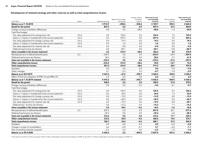### Development of retained earnings and other reserves as well as total comprehensive income

| CHF million                                                         | <b>Notes</b> | Retained earnings | Reserves from hedge<br>accounting | Foreign currency<br>translation<br>reserves | Total reserves excl.<br>non-controlling<br>interests | Non-controlling<br>interests | Total reserves incl.<br>non-controlling<br>interests |
|---------------------------------------------------------------------|--------------|-------------------|-----------------------------------|---------------------------------------------|------------------------------------------------------|------------------------------|------------------------------------------------------|
| <b>Balance as at 1.10.2018</b>                                      |              | 4913.9            | $-458.6$                          | $-345.6$                                    | 4 109.7                                              | 494.3                        | 4 604.0                                              |
| Result for the period                                               |              | 827.3             | 0.0                               | 0.0                                         | 827.3                                                | 37.2                         | 864.5                                                |
| Foreign currency translation differences                            |              | 0.0               | 0.0                               | -48.6                                       | $-48.6$                                              | $-1.2$                       | $-49.8$                                              |
| Cash flow hedges                                                    |              |                   |                                   |                                             |                                                      |                              |                                                      |
| Fair value adjustment for energy price risk                         | 4.5.3        | 0.0               | 122.4                             | 0.0                                         | 122.4                                                | 1.0                          | 123.4                                                |
| Gains $(-)$ / losses $(+)$ transferred to the income statement      | 4.5.3        | 0.0               | 297.5                             | 0.0                                         | 297.5                                                | 5.5                          | 303.0                                                |
| Fair value adjustment for foreign currency risk                     | 4.5.3        | 0.0               | 79.3                              | 0.0                                         | 79.3                                                 | 0.0                          | 79.3                                                 |
| Gains (-) / losses (+) transferred to the income statement          | 4.5.3        | 0.0               | 7.6                               | 0.0                                         | 7.6                                                  | 0.0                          | 7.6                                                  |
| Fair value adiustment for interest rate risk                        | 4.5.3        | 0.0               | $-9.8$                            | 0.0                                         | $-9.8$                                               | 0.0                          | $-9.8$                                               |
| Deferred tax/income tax thereon                                     |              | 0.0               | $-82.1$                           | 0.0                                         | $-82.1$                                              | $-0.8$                       | -82.9                                                |
| Items recyclable in the income statement                            |              | 0.0               | 414.9                             | $-48.6$                                     | 366.3                                                | 4.5                          | 370.8                                                |
| Remeasurement of defined benefit plans                              | 5.3          | $-334.5$          | 0.0                               | 0.0                                         | $-334.5$                                             | $-24.9$                      | $-359.4$                                             |
| Deferred tax/income tax thereon                                     |              | 58.2              | 0.0                               | 0.0                                         | 58.2                                                 | 3.7                          | 61.9                                                 |
| Items not recyclable in the income statement                        |              | $-276.3$          | 0.0                               | 0.0                                         | $-276.3$                                             | $-21.2$                      | $-297.5$                                             |
| Other comprehensive income                                          |              | $-276.3$          | 414.9                             | $-48.6$                                     | 90.0                                                 | $-16.7$                      | 73.3                                                 |
| Total comprehensive income                                          |              | 551.0             | 414.9                             | $-48.6$                                     | 917.3                                                | 20.5                         | 937.8                                                |
| Dividend                                                            |              | 0.0               | 0.0                               | 0.0                                         | 0.0                                                  | $-9.0$                       | $-9.0$                                               |
| Other changes                                                       |              | 2.1               | $-3.3$                            | 0.5                                         | $-0.7$                                               | $-1.8$                       | $-2.5$                                               |
| <b>Balance as at 30.9.2019</b>                                      |              | 5 4 6 7.0         | $-47.0$                           | $-393.7$                                    | 5 0 26.3                                             | 504.0                        | 5 530.3                                              |
| Effect of first-time adoption of IFRS 16 and IFRIC 23 <sup>1)</sup> |              | 6.2               | 0.0                               | 0.0                                         | 6.2                                                  | 0.0                          | 6.2                                                  |
| Balance as at 1.10.2019 restated                                    |              | 5 473.2           | $-47.0$                           | $-393.7$                                    | 5 032.5                                              | 504.0                        | 5 536.5                                              |
| Result for the period                                               |              | 548.5             | 0.0                               | 0.0                                         | 548.5                                                | 21.8                         | 570.3                                                |
| Foreign currency translation differences                            |              | 0.0               | 0.0                               | $-9.6$                                      | $-9.6$                                               | $-0.1$                       | $-9.7$                                               |
| Cash flow hedges                                                    |              |                   |                                   |                                             |                                                      |                              |                                                      |
| Fair value adjustment for energy price risk                         | 4.5.3        | 0.0               | 125.5                             | 0.0                                         | 125.5                                                | 0.7                          | 126.2                                                |
| Gains (-) / losses (+) transferred to the income statement          | 4.5.3        | 0.0               | 20.5                              | 0.0                                         | 20.5                                                 | 1.5                          | 22.0                                                 |
| Fair value adjustment for foreign currency risk                     | 4.5.3        | 0.0               | $-13.9$                           | 0.0                                         | $-13.9$                                              | 0.0                          | $-13.9$                                              |
| Gains $(-)$ / losses $(+)$ transferred to the income statement      | 4.5.3        | 0.0               | $-46.9$                           | 0.0                                         | $-46.9$                                              | 0.0                          | $-46.9$                                              |
| Fair value adjustment for interest rate risk                        | 4.5.3        | 0.0               | $-15.9$                           | 0.0                                         | $-15.9$                                              | $-4.8$                       | $-20.7$                                              |
| Deferred tax / income tax thereon                                   |              | 0.0               | $-15.3$                           | 0.0                                         | $-15.3$                                              | 1.1                          | $-14.2$                                              |
| Items recyclable in the income statement                            |              | 0.0               | 54.0                              | -9.6                                        | 44.4                                                 | -1.6                         | 42.8                                                 |
| Remeasurement of defined benefit plans                              | 5.3          | 257.5             | 0.0                               | 0.0                                         | 257.5                                                | 20.1                         | 277.6                                                |
| Deferred tax/income tax thereon                                     |              | $-45.3$           | 0.0                               | 0.0                                         | $-45.3$                                              | $-3.0$                       | $-48.3$                                              |
| Items not recyclable in the income statement                        |              | 212.2             | 0.0                               | 0.0                                         | 212.2                                                | 17.1                         | 229.3                                                |
| Other comprehensive income                                          |              | 212.2             | 54.0                              | $-9.6$                                      | 256.6                                                | 15.5                         | 272.1                                                |
| Total comprehensive income                                          |              | 760.7             | 54.0                              | $-9.6$                                      | 805.1                                                | 37.3                         | 842.4                                                |
| Dividend                                                            |              | 0.0               | 0.0                               | 0.0                                         | 0.0                                                  | $-6.0$                       | $-6.0$                                               |
| Change in scope of consolidation                                    |              | 6.6               | $-0.8$                            | $-0.1$                                      | 5.7                                                  | $-6.8$                       | $-1.1$                                               |
| Non-controlling interests acquired                                  |              | $-6.3$            | 0.0                               | 0.0                                         | $-6.3$                                               | $-1.3$                       | $-7.6$                                               |
| <b>Balance as at 30.9.2020</b>                                      |              | 6 234.2           | 6.2                               | -403.4                                      | 5 837.0                                              | 527.2                        | 6 3 6 4.2                                            |

1) The amount of CHF 6.2 million comprises CHF 6.5 million attributable to the first-time adoption of IFRS 16 and CHF -0.3 million attributable to the first-time adoption of IFRIC 23.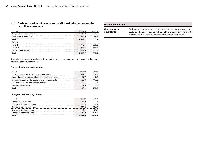### 4.2 Cash and cash equivalents and additional information on the cash flow statement

| <b>Accounting principles</b> |  |
|------------------------------|--|
|                              |  |

| CHF million                  | 30.9.2020 | 30.9.2019 |
|------------------------------|-----------|-----------|
| Petty cash and cash at banks | 1 177.8   | 1596.6    |
| Short-term investments       | 334.9     | 58.8      |
| <b>Total</b>                 | 1512.7    | 1655.4    |
| Thereof                      |           |           |
| in CHF                       | 990.4     | 903.3     |
| in EUR                       | 263.3     | 489.6     |
| in other currencies          | 259.0     | 262.5     |
| <b>Total</b>                 | 1512.7    | 1655.4    |

The following table shows details of non-cash expenses and income as well as net working capital in the cash flow statement:

### Non-cash expenses and income

| CHF million                                            | 2019/20  | 2018/19  |
|--------------------------------------------------------|----------|----------|
| Depreciation, amortisation and impairments             | 377.2    | 306.8    |
| Share of result of partner plants and other associates | $-69.7$  | $-42.2$  |
| Unrealised result on derivative financial instruments  | $-122.3$ | $-116.8$ |
| Loss allowances on net working capital                 | 24.1     | 2.8      |
| Other non-cash items                                   | 8.9      | .3.O     |
| Total                                                  | 218.2    | 153.6    |

### Change in net working capital

| CHF million                 | 2019/20  | 2018/19  |
|-----------------------------|----------|----------|
| Change in inventories       | $-38.9$  | 2.5      |
| Change in trade receivables | $-54.9$  | $-409$   |
| Change in other receivables | $-285.8$ | 126.2    |
| Change in trade payables    | $-91.4$  | $-219$   |
| Change in other liabilities | 119.0    | $-435.2$ |
| Total                       | $-352.0$ | $-369.3$ |

| <b>Cash and cash</b> | Cash and cash equivalents comprise petty cash, credit balances in   |
|----------------------|---------------------------------------------------------------------|
| equivalents          | postal and bank accounts as well as sight and deposit accounts with |
|                      | a term of no more than 90 days from the time of acquisition.        |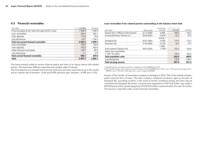### 4.3 Financial receivables

| CHF million                                             | 30.9.2020   | 30.9.2019 |
|---------------------------------------------------------|-------------|-----------|
| Financial assets at fair value (through profit or loss) | 1458.9      | 1 500.4   |
| Loan receivables                                        | 543.4       | 565.1     |
| Time deposits                                           | 175.0       | 70.9      |
| Loss allowances                                         | $-95.7$     | $-126.7$  |
| <b>Total non-current financial receivables</b>          | 2081.6      | 2009.7    |
| Loan receivables                                        | 109.5       | 122.9     |
| Time deposits                                           | 703.0       | 662.9     |
| Other financial receivables                             | 138.7       | 85.5      |
| Loss allowances                                         | $-1.1$      | $-0.9$    |
| <b>Total current financial receivables</b>              | 950.1       | 870.4     |
| Total                                                   | 3 0 3 1 . 7 | 2880.1    |

The loans primarily relate to various financial assets and loans of an equity nature with related parties. The loans have different maturities and variable rates of interest.

The time deposits are invested with financial institutions and have maturities of up to 24 months and an interest rate of between –0.6% and 0.97% (previous year: between –0.78% and +3.1%).

#### Loan receivables from related parties outstanding at the balance sheet date

|                                  |               | Interest rate          |           |           |
|----------------------------------|---------------|------------------------|-----------|-----------|
| CHF million                      | Maturity date | 30.9.2020              | 30.9.2020 | 30.9.2019 |
| Global Tech I Offshore Wind GmbH | 31.12.2030    | 6.00%                  | 100.0     | 102.2     |
| Società EniPower Ferrara S.r.l.  | 20.06.2023    | $0.97\%$ <sup>1)</sup> | 43.2      | 57.8      |
|                                  |               | $3.41\%$ /             |           |           |
| Swissgrid AG                     | 05.01.2024    | 3.93%                  | 119.9     | 176.3     |
| Terravent AG                     | 31.03.2042    | 0.75%                  | 18.6      | 19.3      |
|                                  |               | $1.30% -$              |           |           |
| Trans Adriatic Pipeline AG       | 28.03.2035    | $1.75\%$ <sup>2)</sup> | 193.2     | 166.8     |
| Other loan receivables           |               |                        |           |           |
| $<$ CHF 10 million               |               |                        | 178.0     | 165.6     |
| <b>Total acquisition value</b>   |               |                        | 652.9     | 688.0     |
| Loss allowances                  |               |                        | $-95.6$   | $-126.6$  |
| <b>Total carrying amount</b>     |               |                        | 557.3     | 561.4     |

1) Variable interest rate linked to positive or negative 6-month EURIBOR plus 1.2%.

2) The variable interest on the various tranches is linked to 3-month EURIBOR plus 1.70% or plus 1.75% (positive and negative EU-RIBOR) or plus 1.75% with a 0.0% base rate in case of negative EURIBOR.

As part of the transfer of transmission systems to Swissgrid in 2013, 70% of the related compensation took the form of loans. The loans include a unilateral conversion right on the part of Swissgrid AG, according to which, in the event of certain conditions arising, the loans may be converted into Swissgrid AG shares. A partial early repayment of CHF 52.8 million was made in 2019/20 and a further partial repayment of CHF 52.8 million is planned within the next 12 months. This portion is reported under current financial receivables.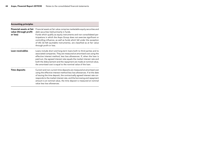| <b>Accounting principles</b>                                         |                                                                                                                                                                                                                                                                                                                                                                                                                                                   |
|----------------------------------------------------------------------|---------------------------------------------------------------------------------------------------------------------------------------------------------------------------------------------------------------------------------------------------------------------------------------------------------------------------------------------------------------------------------------------------------------------------------------------------|
| <b>Financial assets at fair</b><br>value (through profit<br>or loss) | Financial assets at fair value comprise marketable equity securities and<br>debt securities held primarily in funds.<br>Funds which qualify as equity instruments and non-consolidated par-<br>ticipations in which the Axpo Group does not exercise significant or<br>controlling influence, as well as funds which fall under the exception<br>of IAS 32.16A (puttable instruments), are classified as at fair value<br>through profit or loss. |
| Loan receivables                                                     | Loans include short and long-term loans both to third parties and to<br>associated companies. They are measured at amortised cost using the<br>effective interest method, less loss allowances. If, when the loan is<br>paid out, the agreed interest rate equals the market interest rate and<br>both the disbursement and the repayment are made at nominal value,<br>the amortised cost is equal to the nominal value of the loan.             |
| Time deposits                                                        | Current and non-current time deposits are measured at amortised cost<br>using the effective interest method less loss allowances. If at the date<br>of issuing the time deposit, the contractually agreed interest rate cor-<br>responds to the market interest rate, and the borrowing and repayment<br>amount is at nominal value, the time deposit is measured at nominal<br>value less loss allowances.                                       |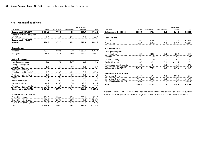## 4.4 Financial liabilities

|                                |             |                  |                   | Other financial |             |
|--------------------------------|-------------|------------------|-------------------|-----------------|-------------|
| CHF million                    | Bonds       | Loan liabilities | Lease liabilities | liabilities     | Total       |
| <b>Balance as at 30.9.2019</b> | 3794.6      | 971.5            | 0.0               | 379.9           | 5 146.0     |
| Effect of first-time adoption  |             |                  |                   |                 |             |
| of IFRS 16                     | 0.0         | 0.0              | 146.9             | 0.0             | 146.9       |
| <b>Balance as at 1.10.2019</b> |             |                  |                   |                 |             |
| restated                       | 3794.6      | 971.5            | 146.9             | 379.9           | 5 29 2.9    |
|                                |             |                  |                   |                 |             |
| <b>Cash relevant</b>           |             |                  |                   |                 |             |
| Increase                       | 132.9       | 550.5            | 0.0               | 1 669.0         | 2 3 5 2 . 4 |
| Repayment                      | -498.8      | $-382.9$         | $-19.0$           | $-1685.7$       | $-2586.4$   |
| Not cash relevant              |             |                  |                   |                 |             |
| New lease contracts            | 0.0         | 0.0              | 45.9              | 0.0             | 45.9        |
| Change in scope of             |             |                  |                   |                 |             |
| consolidation                  | 0.0         | $-0.4$           | 2.9               | 0.0             | 2.5         |
| Reclassification to/from       |             |                  |                   |                 |             |
| "liabilities held for sale"    | 0.0         | $-26.3$          | $-1.1$            | 0.0             | $-27.4$     |
| Contract modifications         | 0.0         | 0.0              | $-1.7$            | 0.0             | $-1.7$      |
| Interest                       | 1.7         | 0.0              | 2.1               | 0.0             | 3.8         |
| Valuation change               | 0.2         | 0.0              | 0.0               | 0.0             | 0.2         |
| Reclassifications              | $-4.4$      | $-20.3$          | 0.0               | $-9.0$          | $-33.7$     |
| Foreign currency translation   | $-1.9$      | $-3.0$           | 0.4               | $-15.1$         | $-19.6$     |
| <b>Balance as at 30.9.2020</b> | 3 4 2 4 . 3 | 1089.1           | 176.4             | 339.1           | 5 0 28.9    |
|                                |             |                  |                   |                 |             |
| Maturities as at 30.9.2020     |             |                  |                   |                 |             |
| Due within 1 year              | 286.0       | 234.4            | 32.3              | 339.1           | 891.8       |
| Due within 1 to 5 years        | 1929.0      | 359.6            | 53.9              | 0.0             | 2 3 4 2 .5  |
| Due in more than 5 years       | 1 209.3     | 495.1            | 90.2              | 0.0             | 1794.6      |
| Total                          | 3 4 2 4 . 3 | 1089.1           | 176.4             | 339.1           | 5028.9      |

|                                |          |                  |                   | Other financial |           |
|--------------------------------|----------|------------------|-------------------|-----------------|-----------|
| CHF million                    | Bonds    | Loan liabilities | Lease liabilities | liabilities     | Total     |
| <b>Balance as at 1.10.2018</b> | 3800.9   | 475.6            | 0.0               | 561.8           | 4838.3    |
|                                |          |                  |                   |                 |           |
| <b>Cash relevant</b>           |          |                  |                   |                 |           |
| Increase                       | 76.0     | 571.0            | 0.0               | 1735.8          | 2 3 8 2.8 |
| Repayment                      | $-106.0$ | $-565.6$         | 0.0               | $-1817.3$       | $-2488.9$ |
|                                |          |                  |                   |                 |           |
| Not cash relevant              |          |                  |                   |                 |           |
| Change in scope of             |          |                  |                   |                 |           |
| consolidation                  | 8.9      | 404.2            | 0.0               | 28.6            | 441.7     |
| Interest                       | 2.0      | 0.0              | 0.0               | 0.0             | 2.0       |
| Valuation change               | 0.3      | 0.0              | 0.0               | 0.0             | 0.3       |
| Reclassifications              | 30.0     | 100.3            | 0.0               | $-123.2$        | 7.1       |
| Foreign currency translation   | $-17.5$  | $-14.0$          | 0.0               | $-5.8$          | $-37.3$   |
| <b>Balance as at 30.9.2019</b> | 3794.6   | 971.5            | 0.0               | 379.9           | 5 146.0   |
|                                |          |                  |                   |                 |           |
| Maturities as at 30.9.2019     |          |                  |                   |                 |           |
| Due within 1 year              | 499.1    | 62.1             | 0.0               | 379.9           | 941.1     |
| Due within 1 to 5 years        | 1 904.7  | 254.3            | 0.0               | 0.0             | 2 159.0   |
| Due in more than 5 years       | 1 390.8  | 655.1            | 0.0               | 0.0             | 2045.9    |
| Total                          | 3794.6   | 971.5            | 0.0               | 379.9           | 5 146.0   |

Other financial liabilities includes the financing of wind farms and photovoltaic systems built for sale, which are reported as "work in progress" in inventories, and current account liabilities.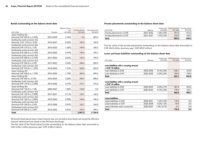#### Bonds outstanding at the balance sheet date

|                             |           | Effective interest |                              |                              |
|-----------------------------|-----------|--------------------|------------------------------|------------------------------|
| CHF million                 | Duration  | rate<br>30.9.2020  | Carrying amount<br>30.9.2020 | Carrying amount<br>30.9.2019 |
| Axpo Holding AG             |           |                    |                              |                              |
| Nominal CHF 429.8 m, 2.63%  | 2010-2020 | 3.16%              | 0.0                          | 429.5                        |
| Kraftwerke Linth-Limmern AG |           |                    |                              |                              |
| Nominal CHF 170.0 m, 0.5%   | 2015-2021 | 0.53%              | 169.9                        | 169.9                        |
| Kraftwerke Linth-Limmern AG |           |                    |                              |                              |
| Nominal CHF 170.0 m, 1.5%   | 2016-2022 | 1.56%              | 169.8                        | 169.7                        |
| Kraftwerke Linth-Limmern AG |           |                    |                              |                              |
| Nominal CHF 200.0 m, 2.75%  | 2010-2022 | 2.97%              | 199.5                        | 199.1                        |
| Kraftwerke Linth-Limmern AG |           |                    |                              |                              |
| Nominal CHF 200.0 m, 2.75%  | 2011-2023 | 2.87%              | 199.5                        | 199.2                        |
| Kraftwerke Linth-Limmern AG |           |                    |                              |                              |
| Nominal CHF 245.0 m, 2.0%   | 2017-2023 | 2.05%              | 244.6                        | 244.5                        |
| Kraftwerke Linth-Limmern AG |           |                    |                              |                              |
| Nominal CHF 270.0 m, 1.25%  | 2014-2024 | 1.31%              | 269.4                        | 269.3                        |
| Axpo Holding AG             |           |                    |                              |                              |
| Nominal CHF 350.0 m, 1.75%  | 2016-2024 | 1.79%              | 349.5                        | 349.3                        |
| Axpo Holding AG             |           |                    |                              |                              |
| Nominal CHF 300 m, 3.13%    | 2010-2025 | 3.25%              | 298.7                        | 298.4                        |
| Kraftwerke Linth-Limmern AG |           |                    |                              |                              |
| Nominal CHF 175.0 m, 2.38%  | 2013-2026 | 2.47%              | 175.1                        | 175.2                        |
| Axpo Holding AG             |           |                    |                              |                              |
| Nominal CHF 133.0 m, 1.0%   | 2020-2027 | 1.00%              | 132.8                        | 0.0                          |
| Kraftwerke Linth-Limmern AG |           |                    |                              |                              |
| Nominal CHF 125.0 m, 2.88%  | 2011-2031 | 3.11%              | 122.7                        | 122.4                        |
| Kraftwerke Linth-Limmern AG |           |                    |                              |                              |
| Nominal CHF 150.0 m, 2.88%  | 2012-2042 | 2.90%              | 149.4                        | 149.4                        |
| Kraftwerke Linth-Limmern AG |           |                    |                              |                              |
| Nominal CHF 160.0 m, 3.0%   | 2013-2048 | 2.97%              | 160.7                        | 160.8                        |
| Kraftwerke Linth-Limmern AG |           |                    |                              |                              |
| Nominal CHF 200.0 m, 3.0%   | 2012-2052 | 3.01%              | 199.7                        | 199.7                        |
| Total                       |           |                    | 2841.3                       | 3 136.4                      |

All bonds listed above have a fixed interest rate, are carried at amortised cost using the effective interest method and are listed on the SIX Swiss Exchange.

The fair value of the fixed-interest bonds outstanding on the balance sheet date amounted to CHF 3,156.1 million (previous year: CHF 3,525.6 million).

#### Private placements outstanding at the balance sheet date

|                           |           |                 | Interest rate Carrying amount Carrying amount |           |
|---------------------------|-----------|-----------------|-----------------------------------------------|-----------|
| CHF million               | Maturity  | 30.9.2020       | 30.9.2020                                     | 30.9.2019 |
| Private placements in EUR | 2021-2036 | $1.0\% - 3.0\%$ | 351.0                                         | 416.2     |
| Private placements in CHF | 2021-2041 | 1.5%-3.9%       | 232.0                                         | 242.0     |
| Total                     |           |                 | 583.0                                         | 658.2     |

The fair value of the private placements outstanding on the balance sheet date amounted to CHF 616.8 million (previous year: CHF 694.0 million).

### Loans and lease liabilities outstanding at the balance sheet date

|                                                             |           | Interest rate   | Carrying amount | Carrying amount |
|-------------------------------------------------------------|-----------|-----------------|-----------------|-----------------|
| CHF million                                                 | Maturity  | 30.9.2020       | 30.9.2020       | 30.9.2019       |
| Loan liabilities with a carrying amount<br>> CHF 10 million |           |                 |                 |                 |
| Loan liabilities in EUR                                     | 2025-2042 | $0.1\% - 2.8\%$ | 438.1           | 372.8           |
| Loan liabilities in CHF                                     | 2022-2032 | $0.3\% - 2.4\%$ | 185.0           | 190.0           |
| Total                                                       |           |                 | 623.1           | 562.8           |
|                                                             |           |                 |                 |                 |
| Loan liabilities with a carrying amount<br>< CHF 10 million |           |                 |                 |                 |
| Loan liabilities in EUR                                     | 2020-2039 | $0.0\% - 5.7\%$ | 287.6           | 243.6           |
| Loan liabilities in CHF                                     | 2020-2033 | $0.1\% - 3.0\%$ | 178.4           | 165.1           |
| Total                                                       |           |                 | 466.0           | 408.7           |
|                                                             |           |                 |                 |                 |
| <b>Lease liabilities</b>                                    |           |                 |                 |                 |
| Lease liabilities in EUR                                    | 2020-2061 | 1.5%-4.0%       | 118.4           | 0.0             |
| Lease liabilities in CHF                                    | 2020-2058 | $0.0\% - 1.2\%$ | 49.9            | 0.0             |
| Lease liabilities other currencies                          | 2020-2027 | 1.9%-18.7%      | 8.1             | 0.0             |
| Total                                                       |           |                 | 176.4           | 0.0             |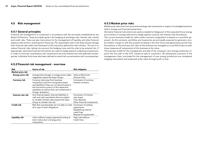### 4.5 Risk management

### 4.5.1 General principles

Financial risk management is conducted in accordance with the principles established by the Board of Directors. These principles govern the hedging of exchange rate, interest rate, market and credit risks. There are also instructions for the management of liquidity and other financial assets as well as short- and long-term financing. The responsible units in the Axpo Group manage their financial risks within the framework of the risk policy defined for their division. The aim is to reduce financial risks, taking into account the hedging costs and the risks to be entered into. If appropriate, derivative financial instruments are used to hedge physical underlying transactions. In order to minimise counterparty risk, transactions are only entered into with selected counterparties. Individual limits have also been defined to avoid risk concentrations with counterparties.

# 4.5.3 Market price risks

Market price risks arise from price and exchange rate movements in respect of unhedged positions held in energy and financial transactions.

Derivative financial instruments are used as needed to hedge part of the expected future energy procurement or energy sales and to hedge against currency and interest rate fluctuations. The current business model for tailor-made contracts (origination) is based on a portfolio approach. As the contracts, portfolios and inventories are principally acquired to generate a broker-traders' margin or with the purpose of selling in the near future and generating a profit from fluctuations in the price and, the risks of this business are managed on a portfolio basis as well, Axpo measures all components of this business at fair value.

The business model for the management and sale of the company's own energy production reports the first sale to the OTC market as sale to customers. All subsequent contracts in the management chain concluded for the management of own energy production are considered hedging instruments and measured at fair value through profit or loss.

| <b>Risk</b>              | Source of risk                                                                                                                                                                                                                                       | <b>Risk mitigation</b>                                                                                 |
|--------------------------|------------------------------------------------------------------------------------------------------------------------------------------------------------------------------------------------------------------------------------------------------|--------------------------------------------------------------------------------------------------------|
| Market price risk        |                                                                                                                                                                                                                                                      |                                                                                                        |
| <b>Energy price risk</b> | Unexpected changes in energy prices might<br>negatively impact the Axpo Group.                                                                                                                                                                       | Value-at-Risk limits<br><b>Volume limits</b>                                                           |
| <b>Currency risk</b>     | Currency risks arise from business<br>transactions and from recognised assets<br>and liabilities if they are not denominated in<br>the functional currency of the respective<br>subsidiary as well as from net investments in<br>foreign operations. | Conclusion of currency<br>forward contracts                                                            |
| Interest rate risk       | Any financial assets, financial liabilities or<br>cash and cash equivalents that are subject<br>to variable interest rates expose the Axpo<br>Group to interest rate risk.                                                                           | Conclusion of interest<br>rate swaps<br>Time deposits<br>Other financial investments                   |
| Credit risk              | Risk that counterparties are not able to meet<br>all or part of their obligations.                                                                                                                                                                   | Conclusion of netting<br>agreements<br>Establishing internal<br>credit lines<br>Request for guarantees |
| <b>Liquidity risk</b>    | Cash outflows (margin payments) arising at<br>short notice due to energy price<br>movements.                                                                                                                                                         | High cash balance<br>Credit lines                                                                      |

### 4.5.2 Financial risk management - overview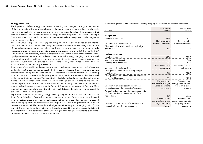#### Energy price risks

The Axpo Group defines energy price risks as risks arising from changes in energy prices. In most of the countries in which Axpo does business, the energy sector is characterised by wholesale markets with freely determined prices and intense competition for sales. The market risks that arise as a result of price developments on energy markets are particularly serious. The Axpo Group is exposed to such risks primarily via the energy it sells in unregulated market segments and on the open market.

The CKW Group is exposed to energy price risks primarily from energy traded on the international free market. In line with its risk policy, these risks are countered by making optimum use of forward contracts to hedge shortfalls or surpluses in energy volumes. In addition to actively managing energy surpluses and deficits to supply end customers and re-distributors, the CKW Group also follows proprietary trading strategies to a very limited extent. Relatively small unhedged positions are permitted. According to the existing risk strategy, hedging positions as well as proprietary trading positions may only be entered into for the current financial year and the three subsequent years. This ensures that transactions are only entered into for a time frame in which sufficient market liquidity is available.

Axpo is one of the world's leading energy traders. It trades on a decentralised basis via various trading hubs in Switzerland and Europe. In the business area Trading & Sales, energy price risks are monitored and reported daily by the Risk Management & Valuation department. Monitoring is carried out in accordance with the principles set out in the risk management directive as well as the related trading mandates. The market price risk is limited and permanently monitored by means of a comprehensive limit system. Among other things, this system consists of a value-atrisk and a profit-at-risk add-on limit as well as volume and maturity limits. The total risk limit for energy trading is approved annually by the Board of Directors at the request of Executive Management and subsequently broken down by individual divisions, departments and books within the business area Trading & Sales.

Exposure to the risks of fluctuating energy prices by the generation and sales companies in the Axpo Group is hedged. Fixed-price contracts that are accounted for as energy derivatives and which are settled gross, are designated as hedging instruments in cash flow hedges. The hedged item is the highly probable forecast sale of energy that will occur on gross settlement of the hedging contract itself. The price risks are hedged in their entirety and a hedging ratio of 1:1 is applied. The economic relationship between the underlying and the hedging transaction is based on the fact that the key parameters of the underlying and the hedging instruments, such as maturity date, nominal value and currency, are identical.

The following table shows the effect of energy hedging transactions on financial positions:

| CHF million                                   | Cash flow hedge<br>30.9.2020 | Cash flow hedge<br>30.9.2019 |
|-----------------------------------------------|------------------------------|------------------------------|
|                                               |                              |                              |
| <b>Hedged item</b>                            |                              |                              |
| Nominal amount, net                           | 357.6                        | 585.6                        |
|                                               | Highly probable              | Highly probable              |
| Line item in the balance sheet                | forecast transaction         | forecast transaction         |
| Change in value used for calculating hedge    |                              |                              |
| effectiveness                                 | $-126.2$                     | $-123.4$                     |
|                                               |                              |                              |
| <b>Hedging instrument</b>                     |                              |                              |
| Nominal amount, net                           | 357.6                        | 585.6                        |
| Carrying amount asset                         | 9.3                          | 16.5                         |
| Carrying amount liability                     | 10.7                         | 51.4                         |
|                                               | Derivative financial         | Derivative financial         |
| Line item in the balance sheet                | instruments                  | instruments                  |
| Change in fair value for calculating hedge    |                              |                              |
| effectiveness                                 | 126.2                        | 123.4                        |
| Change in the value of the hedging instrument |                              |                              |
| recognised in equity                          | 126.2                        | 123.4                        |
|                                               | Revenues from                | Revenues from                |
|                                               | energy sales and grid        | energy sales and grid        |
| Line item in profit or loss affected by the   | usage by external            | usage by external            |
| reclassification of the hedge ineffectiveness | customers                    | customers                    |
| Amount reclassified from the hedge reserve to |                              |                              |
| profit or loss due to the realisation of the  |                              |                              |
| hedged item                                   | $-22.0$                      | $-303.0$                     |
|                                               | Revenues from                | Revenues from                |
|                                               | energy sales and grid        | energy sales and grid        |
| Line item in profit or loss affected from the | usage by external            | usage by external            |
| reclassification of the hedge reserve         | customers                    | customers                    |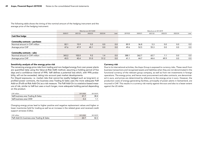The following table shows the timing of the nominal amount of the hedging instrument and the average price of the hedging instrument:

|                                 | Maturity as at 30.9.2020 |         |         |         | Maturity as at 30.9.2019 |         |         |         |         |         |       |
|---------------------------------|--------------------------|---------|---------|---------|--------------------------|---------|---------|---------|---------|---------|-------|
|                                 | 2020/21                  | 2021/22 | 2022/23 | 2023/24 | Later                    | 2019/20 | 2020/21 | 2021/22 | 2022/23 | 2023/24 | Later |
| Cash flow hedge                 |                          |         |         |         |                          |         |         |         |         |         |       |
| Commodity contracts – purchases |                          |         |         |         |                          |         |         |         |         |         |       |
| Nominal amount in CHF million   | 82.                      | 15.9    | 0.2     | 0.0     | 0.0                      | 89.9    | 36.8    | 5.3     | 0.0     | 0.0     | 0.0   |
| Average price CHF               | 47.6                     | 47.9    | 45.1    | 0.0     | 0.0                      | 49.6    | 52.5    | 55.3    | 0.0     | 0.0     | 0.0   |
| Commodity contracts – sales     |                          |         |         |         |                          |         |         |         |         |         |       |
| Nominal amount in CHF million   | 343.2                    | 102.0   | 9.2     | 1.4     | 0.0                      | 388.1   | 262.7   | 65.7    |         | 0.0     | 0.0   |
| Average price CHF               | 45.5                     | 45.4    | 51.0    | 51.2    | 0.0                      | 41.7    | 44.7    | 44.4    | 49.9    | 0.0     | 0.0   |

### Sensitivity analysis of the energy price risk

The remaining energy price risks from trading and non-hedged energy from own power plants are quantified daily using the Value-at-Risk (VaR) method, assuming a holding period of five days and a confidence interval of 99%. VaR defines a potential loss which, with 99% probability, will not be exceeded, taking into account past market developments.

For illiquid exposures, i.e. market risks that cannot be readily hedged such as long-term or profiled power contracts, the business area Trading & Sales uses the more adequate PaR Add-on (Profit-at-Risk Add-On) as a risk measure. The PaR Add-On is a statistics-based measure of risk, similar to VaR but uses a much longer, more adequate holding period depending on the product.

| CHF million                       | 30.9.2020 | 30 9 2019 |
|-----------------------------------|-----------|-----------|
| VaR business area Trading & Sales |           | 38.4      |
| VaR business area CKW             |           |           |

Changing energy prices lead to higher positive and negative replacement values and higher or lower inventories held for trading as well as an increase in the related given and received credit support annexes (CSAs).

| CHF million                              | 30.9.2020 | 30.9.2019 |
|------------------------------------------|-----------|-----------|
| PaR Add-On business area Trading & Sales |           |           |

#### Currency risk

Due to its international activities, the Axpo Group is exposed to currency risks. These result from business transactions and recognised assets and liabilities when they are not denominated in the functional currency of the relevant group company, as well as from net investments in foreign operations. The energy price, and hence most procurement and sales contracts, are denominated in euro, and prices are determined by reference to the energy price in euro. However, the production costs of energy-generating facilities, principally of power plants in Switzerland, are incurred in CHF. This results in a currency risk mainly against the euro and also to a lesser extent against the US dollar.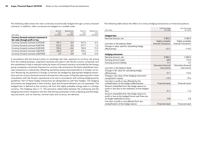The following table shows the main currencies economically hedged through currency forward contracts. In addition, other currencies are hedged on a smaller scale.

| CHF million                                                                 | Nominal<br>value<br>30.9.2020 | Replacement<br>value<br>30.9.2020 | Nominal<br>value<br>30.9.2019 | Replacement<br>value<br>30.9.2019 |
|-----------------------------------------------------------------------------|-------------------------------|-----------------------------------|-------------------------------|-----------------------------------|
| Currency forward contracts measured at<br>fair value through profit or loss |                               |                                   |                               |                                   |
| Currency forward contracts CHF/EUR                                          | 197.7                         | 0.9                               | 317.3                         | $-0.1$                            |
| Currency forward contracts EUR/CHF                                          | 272.5                         | 0.0                               | 277.7                         | 1.2                               |
| Currency forward contracts EUR/USD                                          | 109.6                         | $-0.4$                            | 153.4                         | 11.3                              |
| Currency forward contracts USD/EUR                                          | 120.2                         | 3.9                               | 123.6                         | $-7.3$                            |
| Currency forward contracts USD/NOK                                          | 2.7                           | 0.0                               | 15.8                          | $-0.9$                            |

In accordance with the Group's policy on exchange rate risks, exposure to currency risk arising from the trading business, origination business and sales in the Nordic country companies and the subsidiaries in Italy is reduced mainly by means of forward contracts concluded by the foreign group companies concerned. Exposure to currency risks arising from the Swiss subsidiaries' business transactions is reduced by offsetting operating revenue and expenditure in foreign currencies. Remaining net positions in foreign currencies are hedged by appropriate hedging transactions such as currency forward contracts (transaction risk) as part of liquidity planning and in close consultation with the Group's operational units and in accordance with existing hedging policy guidelines. Part of these hedge transactions are designated as cash flow hedges. The hedging instruments are designated in their entirety. Spot and forward elements are not separated. The hedged item is defined as the currency risk from the highly probable energy sales in a foreign currency. The hedging ratio is 1:1. The economic relationship between the underlying and the hedging instrument is based on the fact that the key parameters of the underlying and the hedging instrument, such as maturity, nominal value and currency, are identical.

The following table shows the effect of currency hedging transactions on financial positions:

|                                                     | Cash flow hedge      | Cash flow hedge      |
|-----------------------------------------------------|----------------------|----------------------|
| CHF million                                         | 30.9.2020            | 30.9.2019            |
|                                                     |                      |                      |
| Hedged item                                         |                      |                      |
| Nominal amount, net                                 | 2883.3               | 2 482.5              |
|                                                     | Highly probable      | Highly probable      |
| Line item in the balance sheet                      | forecast transaction | forecast transaction |
| Change in value used for calculating hedge          |                      |                      |
| effectiveness                                       | $-51.7$              | $-112.5$             |
|                                                     |                      |                      |
| <b>Hedging instrument</b>                           |                      |                      |
| Nominal amount, net                                 | 2883.3               | 2 4 8 2.5            |
| Carrying amount asset                               | 68.8                 | 113.2                |
| Carrying amount liability                           | 17.1                 | 0.7                  |
|                                                     | Derivative financial | Derivative financial |
| Line item in the balance sheet                      | instruments          | instruments          |
| Change in fair value for calculating hedge          |                      |                      |
| effectiveness                                       | 51.7                 | 112.5                |
| Change in the value of the hedging instrument       |                      |                      |
| recognised in equity                                | $-13.9$              | 79.3                 |
| Line item in profit or loss affected by the         |                      |                      |
| reclassification of the hedge ineffectiveness       | Financial result     | Financial result     |
| Amount reclassified from the hedge reserve to       |                      |                      |
| profit or loss due to the realisation of the hedged |                      |                      |
| item                                                | 31.1                 | $-7.6$               |
| Amount reclassified from the hedge reserve to       |                      |                      |
| profit or loss as the hedged future cash flows are  |                      |                      |
| no longer expected to occur                         | 15.8                 | 0.0                  |
| Line item in profit or loss affected from the       |                      |                      |
| reclassification of the hedge reserve               | Financial result     | Financial result     |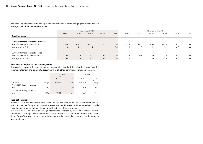The following table shows the timing of the nominal amount of the hedging instrument and the average price of the hedging instrument:

|                                        | Maturity as at 30.9.2020 |         |         |         |       | Maturity as at 30.9.2019 |         |         |         |         |       |
|----------------------------------------|--------------------------|---------|---------|---------|-------|--------------------------|---------|---------|---------|---------|-------|
|                                        | 2020/21                  | 2021/22 | 2022/23 | 2023/24 | Later | 2019/20                  | 2020/21 | 2021/22 | 2022/23 | 2023/24 | Later |
| Cash flow hedae                        |                          |         |         |         |       |                          |         |         |         |         |       |
|                                        |                          |         |         |         |       |                          |         |         |         |         |       |
| Currency forward contracts – purchases |                          |         |         |         |       |                          |         |         |         |         |       |
| Nominal amount in CHF million          | 939.4                    | 964.1   | 725.5   | 254.3   | 0.0   | 831.3                    | 784.0   | 674.8   | 243.4   | 0.0     | 0.0   |
| Average price CHF                      | .8                       | 1.9     | 1.4     | 1.1     | 0.0   | .8                       | 1.8     | .9      |         | 0.0     | 0.0   |
| Currency forward contracts – sales     |                          |         |         |         |       |                          |         |         |         |         |       |
| Nominal amount in CHF million          | 0.0                      | 0.0     | 0.0     | 0.0     | 0.0   | 40.2                     | 10.8    | 0.0     | 0.0     | 0.0     | 0.0   |
| Average price CHF                      | 0.0                      | 0.0     | 0.0     | 0.0     | 0.0   | . .                      | 1. I    | 0.0     | 0.0     | 0.0     | 0.0   |

### Sensitivity analysis of the currency risks

A possible change in foreign exchange rates would have had the following impact on the income statement and on equity, assuming that all other parameters remained the same:

|                            |        | 30.9.2020 |           | 30.9.2019 |           |  |
|----------------------------|--------|-----------|-----------|-----------|-----------|--|
|                            |        | $+/-$     |           | $+/-$     |           |  |
|                            |        | effect on | $+/-$     | effect on | $+/-$     |  |
|                            | $+/-$  | income    | effect on | income    | effect on |  |
| CHF million                | change | statement | equity    | statement | equity    |  |
| CHF / USD foreign currency |        |           |           |           |           |  |
| risk                       | 10%    | $-8.2$    | 0.0       | $-8.8$    | 0.0       |  |
| CHF / EUR foreign currency |        |           |           |           |           |  |
| risk                       | 10%    | $-102.6$  | $-5.4$    | $-73.9$   | $-8.1$    |  |

#### Interest rate risk

Financial assets and liabilities subject to variable interest rates, as well as cash and cash equivalents, expose the Group to a cash flow interest rate risk. Financial liabilities issued with mainly fixed interest rates exhibit an interest rate risk in terms of present value.

It is the Axpo Group's policy to manage interest rate expenses by means of variable and fixedrate interest-bearing liabilities and interest-based derivatives in the form of interest rate swaps. Axpo Group Treasury monitors the ratio between variable and fixed-interest net debts on an ongoing basis.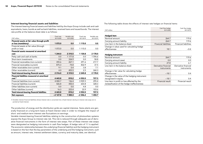#### Interest-bearing financial assets and liabilities

The interest-bearing financial assets and liabilities held by the Axpo Group include cash and cash equivalents, loans, bonds as well as bank liabilities, received loans and issued bonds. The interest rate profile at the balance sheet date is as follows:

|                                                    | Fixed rate | Variable rate | Fixed rate  | Variable rate |
|----------------------------------------------------|------------|---------------|-------------|---------------|
| CHF million                                        | 30.9.2020  | 30.9.2020     | 30.9.2019   | 30.9.2019     |
| Financial assets at fair value through profit      |            |               |             |               |
| or loss (mandatory)                                | 1072.0     | 0.0           | 1 115.0     | 0.0           |
| Financial assets at fair value (through            |            |               |             |               |
| profit or loss)                                    | 1 072.0    | 0.0           | 1 1 1 5 . 0 | $0.0\,$       |
| <b>Financial assets measured at amortised</b>      |            |               |             |               |
| cost                                               | 1 244.0    | 2 3 1 0.5     | 1 130.8     | 2 178.0       |
| Petty cash and cash at banks                       | 0.0        | 1 177.8       | 0.0         | 1596.6        |
| Short-term investments                             | 0.0        | 334.9         | 0.0         | 58.8          |
| Financial receivables (non-current)                | 355.6      | 267.1         | 291.6       | 217.7         |
| Financial receivables (current)                    | 875.3      | 74.8          | 832.9       | 37.5          |
| Other receivables (non-current)                    | 9.1        | 0.4           | 3.8         | 7.1           |
| Other receivables (current)                        | 4.0        | 455.5         | 2.5         | 260.3         |
| Total interest-bearing financial assets            | 2 3 1 6 .0 | 2 3 1 0.5     | 2 2 4 5 . 8 | 2 178.0       |
| <b>Financial liabilities measured at amortised</b> |            |               |             |               |
| cost <sup>1</sup>                                  | 4 4 4 3 .8 | 810.2         | 4 552.0     | 727.3         |
| Financial liabilities (non-current)                | 4 000.7    | 136.4         | 3 909.5     | 295.4         |
| Financial liabilities (current)                    | 426.8      | 450.4         | 603.8       | 328.3         |
| Other liabilities (non-current)                    | 0.0        | 0.0           | 4.8         | 0.0           |
| Other liabilities (current)                        | 16.3       | 223.4         | 33.9        | 103.6         |
| Total interest-bearing financial liabilities       | 4 4 4 3 .8 | 810.2         | 4 552.0     | 727.3         |
| Net exposure                                       | $-2$ 127.8 | 1 500.3       | -2 306.2    | 1450.7        |

1) Variable-interest financial liabilities whose interest rate is converted into a fixed interest rate by an interest rate swap are reported as fixed-interest.

The production of energy and the distribution grids are capital-intensive. Swiss plants are generally financed on a long-term basis at fixed interest rates in order to mitigate the impact of short- and medium-term interest rate fluctuations on earnings.

Variable interest-bearing financial liabilities relating to the construction of photovoltaic systems expose the Axpo Group to interest rate risk. This risk is reduced through adequate use of derivative financial instruments in the form of interest rate swaps. Part of these interest rate swaps were designated as hedging instruments in cash flow hedges. A hedge ratio of 1:1 is applied. The economic relationship between the underlying (financial liability) and the hedging instrument is based on the fact that the key parameters of the underlying and the hedging instrument, such as amount, interest rate, interest settlement dates, currency and maturity date, are identical.

#### The following table shows the effects of interest rate hedges on financial items:

|                                                                                          | Cash flow hedge              | Cash flow hedge              |
|------------------------------------------------------------------------------------------|------------------------------|------------------------------|
| CHF million                                                                              | 30.9.2020                    | 30.9.2019                    |
|                                                                                          |                              |                              |
| Hedged item                                                                              |                              |                              |
| Nominal amount                                                                           | 264.7                        | 119.6                        |
| Carrying amount liability                                                                | 264.7                        | 119.6                        |
| Line item in the balance sheet                                                           | <b>Financial liabilities</b> | <b>Financial liabilities</b> |
| Change in value used for calculating hedge                                               |                              |                              |
| effectiveness                                                                            | 18.1                         | $-0.4$                       |
|                                                                                          |                              |                              |
| <b>Hedging instrument</b>                                                                |                              |                              |
| Nominal amount                                                                           | 264.7                        | 119.6                        |
| Carrying amount asset<br>the contract of the contract of the contract of the contract of | 0.0                          | 0.0                          |
| Carrying amount liability                                                                | 27.8                         | 6.1                          |
| Line item in the balance sheet                                                           | Derivative financial         | Derivative financial         |
|                                                                                          | instruments                  | instruments                  |
| Change in fair value for calculating hedge                                               |                              |                              |
| effectiveness                                                                            | $-18.1$                      | 0.4                          |
| Change in the value of the hedging instrument                                            |                              |                              |
| recognised in equity                                                                     | $-18.1$                      | 0.4                          |
| Line item in profit or loss affected by the                                              | Financial result             | Financial result             |
| reclassification of the hedge ineffectiveness                                            |                              |                              |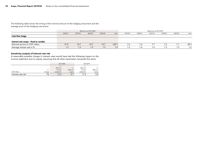The following table shows the timing of the nominal amount of the hedging instrument and the average price of the hedging instrument:

|                                         | Maturity as at 30.9.2020 |                |         | Maturity as at 30.9.2019 |       |         |         |         |         |         |       |
|-----------------------------------------|--------------------------|----------------|---------|--------------------------|-------|---------|---------|---------|---------|---------|-------|
|                                         | 2020/21                  | 2021/22        | 2022/23 | 2023/24                  | Later | 2019/20 | 2020/21 | 2021/22 | 2022/23 | 2023/24 | Later |
| Cash flow hedge                         |                          |                |         |                          |       |         |         |         |         |         |       |
|                                         |                          |                |         |                          |       |         |         |         |         |         |       |
| Interest rate swaps - fixed to variable |                          |                |         |                          |       |         |         |         |         |         |       |
| Nominal amount in CHF million           | 51.5<br>----------       | 14.7<br>------ | 14.7    | 14.7<br>-------          | 169.1 | 7.6     | 6.′     |         |         |         | 82.3  |
| Average interest rate in %              |                          | 1.3            | 1.3     | 1.3                      | 1.0   | 1.3     | 4. ا    |         |         |         |       |

### Sensitivity analysis of interest rate risk

A reasonably possible change in interest rates would have had the following impact on the income statement and on equity, assuming that all other parameters remained the same:

|                    |        | 30.9.2020 |           | 30.9.2019 |           |  |
|--------------------|--------|-----------|-----------|-----------|-----------|--|
|                    |        | $+/-$     |           | $+/-$     |           |  |
|                    |        | effect on | $+/-$     | effect on | $+/-$     |  |
|                    | $+/-$  | income    | effect on | income    | effect on |  |
| CHF million        | change | statement | equity    | statement | equity    |  |
| Interest rate risk | 1%     | 31.2      | 0.1       | 17.4      | 0.0       |  |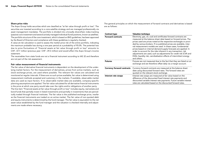#### Share price risks

The Axpo Group holds securities which are classified as "at fair value through profit or loss". The securities are invested according to a core-satellite strategy and are managed professionally via asset management mandates. The portfolio is divided into a broadly diversified, index-tracking (passive) core investment and several actively managed individual (fund) positions, known as satellites. The portfolio structure of the core investment, which is based on BVG guidelines, has been approved by the Board of Directors and compliance with these guidelines is regularly checked.

A value-at-risk calculation is used to assess the market price risk of the entire portfolio, indicating the maximum probable loss during a one-year period at a probability of 95.0%. The potential loss due to price fluctuations of "financial assets at fair value through profit or loss" amounts to CHF –57.7 million (previous year: CHF –39.3 million) and would affect the Axpo Group's income statement.

The receivables from state funds are not a financial instrument according to IAS 32 and therefore are not part of the risk assessment.

#### Fair value measurement of financial instruments

The fair value of derivative financial instruments is dependent on the development of the underlying market factors. For the measurement of derivatives, prices from active markets, such as stock exchange prices, are used where possible. The relevant fair values are calculated and monitored at regular intervals. If there are no such prices available, fair value is determined using measurement methods accepted and customary in the markets. If available, observable market data are used as input factors. If no observable market data are available, company-specific planning assumptions are applied. The fair value calculated for all derivative financial instruments is the price at which one party would take over the rights and/or obligations of another party. The line item "Financial assets at fair value through profit or loss" includes equity, real estate and bond funds that partially invest in listed investments and partially in investments that are periodically traded through financial institutes. The fair value is the published exchange price, insofar as the financial instruments are traded on an active market. The fair value of non-quoted debt and equity instruments is determined by the fund manager. The fair value is equivalent to the net asset value established by the fund manager and the valuation is checked internally and adjustments are made where necessary.

The general principles on which the measurement of forward contracts and derivatives is based are as follows:

| <b>Contract type</b>              | Valuation technique                                                                                                                                                                                                                                                                                                                                                                                                                                                                                                                                                                                                                                      |
|-----------------------------------|----------------------------------------------------------------------------------------------------------------------------------------------------------------------------------------------------------------------------------------------------------------------------------------------------------------------------------------------------------------------------------------------------------------------------------------------------------------------------------------------------------------------------------------------------------------------------------------------------------------------------------------------------------|
| <b>Forward contracts</b>          | Electricity, gas, oil, coal and certificates forward contracts are<br>measured at the balance sheet date based on forward prices. The<br>prices used are prices noted at the respective exchanges or provi-<br>ded by various brokers. If no published prices are available, inter-<br>nal measurement models are used. In these cases, fundamental<br>prices based on internal demand-supply forecasts are applied. In<br>order to account for the risks inherent in any transaction, risk<br>adjustments are used, such as adjustments for credit risk (CVA and<br>DVA), liquidity risk, cannibalisation effects of intermittent energy<br>and others. |
| <b>Futures</b>                    | Futures are not measured due to the fact that they are listed on an<br>exchange and are therefore offset daily via a margin account.                                                                                                                                                                                                                                                                                                                                                                                                                                                                                                                     |
| <b>Currency forward contracts</b> | Currency forward contracts are measured at the balance sheet<br>date using discounted forward rates. The forward rates are<br>quoted on the relevant stock exchange.                                                                                                                                                                                                                                                                                                                                                                                                                                                                                     |
| Interest rate swaps               | Interest rate swaps are measured at fair value based on the<br>difference of the discounted fixed interest rate payments and<br>discounted variable interest rate payments. Future variable interest<br>rates are calculated based on the discounted forward rates.                                                                                                                                                                                                                                                                                                                                                                                      |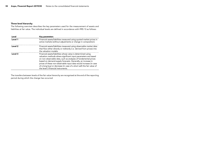### Three-level hierarchy

The following overview describes the key parameters used for the measurement of assets and liabilities at fair value. The individual levels are defined in accordance with IFRS 13 as follows:

| Level              | Key parameters                                                                                                                                                                                                                                                                                                                                                                                                                                       |
|--------------------|------------------------------------------------------------------------------------------------------------------------------------------------------------------------------------------------------------------------------------------------------------------------------------------------------------------------------------------------------------------------------------------------------------------------------------------------------|
| Level 1            | Financial assets/liabilities measured using quoted market prices in<br>active markets (without adjustments or change in composition).                                                                                                                                                                                                                                                                                                                |
| Level <sub>2</sub> | Financial assets/liabilities measured using observable market data<br>that flow either directly or indirectly (i.e. derived from prices) into<br>the valuation models.                                                                                                                                                                                                                                                                               |
| Level 3            | Financial assets/liabilities whose value is determined using<br>valuation methods where significant input parameters are based<br>on non-observable data, such as analyses of fundamental prices<br>based on demand-supply forecasts. Generally, an increase in<br>prices of these non-observable input data would increase (in case<br>of a long buy) or decrease (in case of a short sell) the fair value of<br>the level 3 financial instruments. |

The transfers between levels of the fair value hierarchy are recognised at the end of the reporting period during which the change has occurred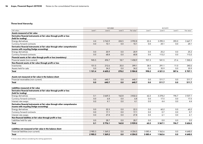### Three-level hierarchy

|                                                                                             | 30.9.2020   |             |         |                          | 30.9.2019   |             |         |                          |
|---------------------------------------------------------------------------------------------|-------------|-------------|---------|--------------------------|-------------|-------------|---------|--------------------------|
| CHF million                                                                                 | Level 1     | Level 2     | Level 3 | Fair value <sup>1)</sup> | Level 1     | Level 2     | Level 3 | Fair value <sup>1)</sup> |
| Assets measured at fair value                                                               |             |             |         |                          |             |             |         |                          |
| Derivative financial instruments at fair value through profit or loss<br>(held for trading) |             |             |         |                          |             |             |         |                          |
| Energy derivatives                                                                          | 4.4         | 3763.9      | 224.5   | 3 9 9 2.8                | 22.4        | 3 290.3     | 355.0   | 3 6 6 7 . 7              |
| Currency forward contracts                                                                  | 0.0         | 10.1        | 0.0     | 10.1                     | 0.0         | 24.1        | 0.0     | 24.1                     |
| Derivative financial instruments at fair value through other comprehensive                  |             |             |         |                          |             |             |         |                          |
| income with recycling (hedge accounting)                                                    |             |             |         |                          |             |             |         |                          |
| Energy derivatives                                                                          | 0.0         | 20.9        | 0.0     | 20.9                     | 0.0         | 25.2        | 0.0     | 25.2                     |
| Currency forward contracts                                                                  | 0.0         | 68.8        | 0.0     | 68.8                     | 0.0         | 113.2       | $0.0\,$ | 113.2                    |
| Financial assets at fair value through profit or loss (mandatory)                           |             |             |         |                          |             |             |         |                          |
| Financial assets (non-current)                                                              | 945.5       | 494.7       | 18.7    | 1458.9                   | 937.3       | 541.5       | 21.6    | 1 500.4                  |
| Non-financial assets at fair value through profit or loss                                   |             |             |         |                          |             |             |         |                          |
| Inventories                                                                                 | 151.5       | 212.6       | 35.0    | 399.1                    | 38.5        | 291.1       | 11.0    | 340.6                    |
| Assets held for sale                                                                        | 0.0         | 34.2        | 0.0     | 34.2                     | 0.0         | 35.9        | 0.0     | 35.9                     |
| Total                                                                                       | 1 101.4     | 4 605.2     | 278.2   | 5 984.8                  | 998.2       | 4 3 2 1 . 3 | 387.6   | 5 707.1                  |
| Assets not measured at fair value in the balance sheet                                      |             |             |         |                          |             |             |         |                          |
| Financial receivables (non-current)                                                         | 0.0         | 640.7       | 0.0     | 640.7                    | 0.0         | 511.7       | 0.0     | 511.7                    |
| Total                                                                                       | 0.0         | 640.7       | 0.0     | 640.7                    | 0.0         | 511.7       | 0.0     | 511.7                    |
|                                                                                             |             |             |         |                          |             |             |         |                          |
| Liabilities measured at fair value                                                          |             |             |         |                          |             |             |         |                          |
| Derivative financial instruments at fair value through profit or loss                       |             |             |         |                          |             |             |         |                          |
| (held for trading)                                                                          |             |             |         |                          |             |             |         |                          |
| Energy derivatives                                                                          | 0.1         | 3 6 6 9 . 3 | 162.8   | 3 8 3 2.2                | 62.2        | 3 278.2     | 196.7   | 3 5 3 7 . 1              |
| Currency forward contracts                                                                  | 0.0         | 6.8         | 0.0     | 6.8                      | 0.0         | 17.5        | 0.0     | 17.5                     |
| Interest rate swaps                                                                         | 0.0         | 4.1         | 0.0     | 4.1                      | 0.0         | 4.4         | 0.0     | 4.4                      |
| Derivative financial instruments at fair value through other comprehensive                  |             |             |         |                          |             |             |         |                          |
| income with recycling (hedge accounting)                                                    |             |             |         |                          |             |             |         |                          |
| Energy derivatives                                                                          | 0.0         | 22.3        | 0.0     | 22.3                     | 0.0         | 60.2        | 0.0     | 60.2                     |
| Currency forward contracts                                                                  | 0.0         | 17.1        | 0.0     | 17.1                     | 0.0         | 0.7         | 0.0     | 0.7                      |
| Interest rate swaps                                                                         | 0.0         | 27.8        | 0.0     | 27.8                     | 0.0         | 6.1         | 0.0     | 6.1                      |
| Non-financial liabilities at fair value through profit or loss                              |             |             |         |                          |             |             |         |                          |
| Liabilities held for sale                                                                   | 0.0         | 28.7        | 0.0     | 28.7                     | 0.0         | 0.0         | 0.0     | 0.0                      |
| Total                                                                                       | 0.1         | 3776.1      | 162.8   | 3939.0                   | 62.2        | 3 3 6 7 . 1 | 196.7   | 3 6 26.0                 |
| Liabilities not measured at fair value in the balance sheet                                 |             |             |         |                          |             |             |         |                          |
| Financial liabilities (non-current)                                                         | 2 985.3     | 1 369.2     | 0.0     | 4 3 5 4 .5               | 3 0 8 5.4   | 1 562.6     | 0.0     | 4 6 4 8 .0               |
| <b>Total</b>                                                                                | 2 9 8 5 . 3 | 1 369.2     | 0.0     | 4 3 5 4 .5               | 3 0 8 5 . 4 | 1562.6      | 0.0     | 4 648.0                  |
|                                                                                             |             |             |         |                          |             |             |         |                          |

1) Gross values without considering the netting agreements.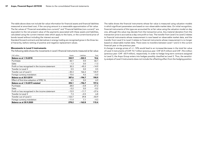The table above does not include fair value information for financial assets and financial liabilities measured at amortised cost, if the carrying amount is a reasonable approximation of fair value. The fair values of "Financial receivables (non-current)" and "Financial liabilities (non-current)" are equivalent to the net present value of the payments associated with these assets and liabilities, calculated using the current interest rates which apply to the loans, or the current bond price of bonds issued without including the interest accrued.

Standard forward contracts and derivatives in energy trading are recognised gross in the three-level hierarchy, before netting of positive and negative replacement values.

#### Movements in Level 3 instruments

The following table shows the movements in Level 3 financial instruments measured at fair value:

| CHF million                                       | Assets   | Liabilities | Total   |
|---------------------------------------------------|----------|-------------|---------|
| <b>Balance as at 1.10.2018</b>                    | 332.9    | $-322.3$    | 10.6    |
| Purchases                                         | 66.1     | 0.0         | 66.1    |
| Sales                                             | $-1.3$   | 0.0         | $-1.3$  |
| Profit or loss recognised in the income statement | 30.3     | $-45.2$     | $-14.9$ |
| Transfer to Level 3                               | 0.5      | 0.0         | 0.5     |
| Transfer out of Level 3                           | $-30.3$  | 166.2       | 135.9   |
| Foreign currency translation                      | $-10.6$  | 4.6         | $-6.0$  |
| <b>Balance as at 30.9.2019</b>                    | 387.6    | $-196.7$    | 190.9   |
| Effect of first-time adoption of IFRS 16          | 6.5      | 0.0         | 6.5     |
| Balance as at 1.10.2019 restated                  | 394.1    | $-196.7$    | 197.4   |
| Purchases                                         | 28.0     | $-0.8$      | 27.2    |
| Sales                                             | $-0.2$   | 0.0         | $-0.2$  |
| Profit or loss recognised in the income statement | $-15.9$  | $-11.7$     | $-27.6$ |
| Transfer to Level 3                               | 7.3      | $-0.5$      | 6.8     |
| Transfer out of Level 3                           | $-123.7$ | 39.8        | $-83.9$ |
| Foreign currency translation                      | $-11.4$  | 7.1         | $-4.3$  |
| <b>Balance as at 30.9.2020</b>                    | 278.2    | $-162.8$    | 115.4   |

The table shows the financial instruments whose fair value is measured using valuation models in which significant parameters are based on non-observable market data. On initial recognition, financial instruments of this type are accounted for at fair value using the valuation model on day one, although this value may deviate from the transaction price. Any material deviation from the transaction price is accrued as a day-one profit or loss. The transfer from Level 3 to Level 2 relates to financial instruments whose measurement is now based on observable market data, and the transfer from Level 2 to Level 3 relates to financial instruments whose measurement is no longer based on observable market data. There were no transfers between Level 1 and 2 in the current financial year or the previous year.

A change in energy prices of +/– 10% would lead to an increase/decrease in the total fair value of Level 3 instruments of CHF 73.7 million (previous year: CHF 65.9 million) and CHF -74.6 million (previous year: CHF –65.9 million), respectively. In order to hedge long-term contracts assigned to Level 3, the Axpo Group enters into hedges possibly classified as Level 2. Thus, the sensitivity analysis of Level 3 instruments does not include the offsetting effect from the hedging position.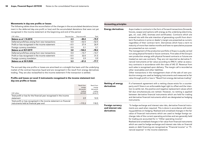### Movements in day-one profits or losses

The following tables show the reconciliation of the changes in the accumulated deviations (movement in the deferred day-one profit or loss) and the accumulated deviations that were not yet recognised in the income statement at the beginning and end of the period.

| CHF million                                        | Day-one loss | Day-one profit | Total   |
|----------------------------------------------------|--------------|----------------|---------|
| <b>Balance as at 1.10.2018</b>                     | 4.3          | $-80.2$        | $-75.9$ |
| Deferred profit/loss arising from new transactions | 0.0          | $-52.5$        | $-52.5$ |
| Profit or loss recognised in the income statement  | $-0.5$       | 27.4           | 26.9    |
| Foreign currency translation                       | 0.0          | 3.1            | 3.1     |
| <b>Balance as at 30.9.2019</b>                     | 3.8          | $-102.2$       | $-98.4$ |
| Deferred profit/loss arising from new transactions | 0.0          | $-14.7$        | $-14.7$ |
| Profit or loss recognised in the income statement  | $-0.5$       | 32.0           | 31.5    |
| Foreign currency translation                       | 0.0          | 3.9            | 3.9     |
| <b>Balance as at 30.9.2020</b>                     | 3.3          | -81.0          | $-77.7$ |

The accrued day-one profits or losses are amortised on a straight-line basis until the underlying market of the contract becomes liquid and are recognised in the result from energy derivatives trading. They are also reclassified to the income statement if the transaction is settled.

### Profits and losses on Level 3 instruments recognised in the income statement incl. day-one profits or losses

|                                                                      | Result from | Result from |
|----------------------------------------------------------------------|-------------|-------------|
|                                                                      | energy      | energy      |
|                                                                      | derivatives | derivatives |
|                                                                      | trading     | trading     |
| CHF million                                                          | 2019/20     | 2018/19     |
| Total profit or loss for the financial year recognised in the income |             |             |
| statement                                                            | 3.9         | 12.0        |
| Total profit or loss recognised in the income statement on financial |             |             |
| instruments held at financial year end                               | $-115.3$    | 118.5       |

### Accounting principles

| <b>Energy derivatives</b>                            | Axpo trades in contracts in the form of forward transactions (forwards,<br>futures, swaps) and options with energy as the underlying (electricity,<br>gas, oil, coal, LNG, biomass and certificates). Contracts which are<br>entered into with the sole intention of generating a profit from short-<br>term fluctuations in price or dealer's margin are presented as current,<br>regardless of their contract term. Derivatives which have a term to<br>maturity of more than twelve months and have no speculative purpose<br>are presented as non-current.<br>The management of the production portfolio of Axpo is usually carried<br>out using physical forward or future contracts. First sales of the Group's<br>own production energy with physical forward contracts or futures are<br>treated as own-use contracts. They are not reported as derivative fi-<br>nancial instruments at fair value according to IFRS 9, rather as execu-<br>tory contracts in accordance with the rules of IAS 37. Revenue from<br>such sales is recognised upon delivery. The margin call is recorded as<br>other receivables and other liabilities.<br>Other transactions in the management chain of the sale of own pro-<br>duction energy are used as hedging instruments and measured at fair<br>value through profit or loss in "Result from energy derivatives trading". |
|------------------------------------------------------|--------------------------------------------------------------------------------------------------------------------------------------------------------------------------------------------------------------------------------------------------------------------------------------------------------------------------------------------------------------------------------------------------------------------------------------------------------------------------------------------------------------------------------------------------------------------------------------------------------------------------------------------------------------------------------------------------------------------------------------------------------------------------------------------------------------------------------------------------------------------------------------------------------------------------------------------------------------------------------------------------------------------------------------------------------------------------------------------------------------------------------------------------------------------------------------------------------------------------------------------------------------------------------------------------------------------------------------------------------------------------|
| <b>Netting of energy</b><br>derivatives              | If a framework agreement with a netting clause exists for a counter-<br>party and if there is an enforceable legal right to offset and the inten-<br>tion to settle net, the positive and negative replacement values which<br>fall due simultaneously are netted. However, no netting is applied<br>between derivative financial instruments which are held for trading<br>and derivative financial instruments which are designated as hedging<br>instruments.                                                                                                                                                                                                                                                                                                                                                                                                                                                                                                                                                                                                                                                                                                                                                                                                                                                                                                         |
| Foreign currency<br>and interest rate<br>derivatives | To hedge exchange and interest rate risks, derivative financial instru-<br>ments are used when required. This is done in accordance with exist-<br>ing guidelines on hedging. Realised and unrealised changes in the fair<br>value of financial instruments which are used to hedge foreign ex-<br>change risks of the current operating activities and are generally held<br>for trading are accounted for in "Other operating income".<br>Realised and unrealised changes in fair value from financial instruments<br>which are used to hedge exchange and interest rate risks on financial<br>assets or debt financing are recognised as "Financial income" or "Fi-<br>nancial expense" in the income statement.                                                                                                                                                                                                                                                                                                                                                                                                                                                                                                                                                                                                                                                      |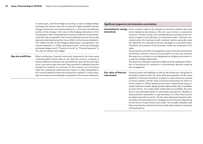|                     | In some cases, cash flow hedge accounting is used to hedge foreign<br>exchange and interest rate risks on planned, highly probable forecast                                                                                                                                                                                                                                                                                                                                                                                                                                                                                          |                                               | Significant judgments and estimation uncertainties                                                                                                                                                                                                                                                                                                                                                                                                                                                                                                                                                                                                                                                  |  |  |  |
|---------------------|--------------------------------------------------------------------------------------------------------------------------------------------------------------------------------------------------------------------------------------------------------------------------------------------------------------------------------------------------------------------------------------------------------------------------------------------------------------------------------------------------------------------------------------------------------------------------------------------------------------------------------------|-----------------------------------------------|-----------------------------------------------------------------------------------------------------------------------------------------------------------------------------------------------------------------------------------------------------------------------------------------------------------------------------------------------------------------------------------------------------------------------------------------------------------------------------------------------------------------------------------------------------------------------------------------------------------------------------------------------------------------------------------------------------|--|--|--|
|                     | energy transactions and interest payments. In this case, the effective<br>portion of the change in fair value of the hedging instrument is first<br>recognised in other comprehensive income outside the income state-<br>ment and only recognised in the income statement at such time as the<br>planned underlying transaction has an effect on the income statement.<br>The ineffective part of the hedging relationship is recognised in the<br>income statement, in "Other operating income" in the case of foreign<br>exchange hedges and in "Financial income" or "Financial expense" in<br>the case of interest rate hedges. | derivatives                                   | <b>Accounting for energy</b> Some contracts need to be analysed to ascertain whether they have<br>to be treated as derivatives or, like own use contracts, as executory<br>contracts. At Axpo Group, the corresponding accounting of the con-<br>tracts is based on the allocation to a business model. Contracts con-<br>cluded under the business model customer solution generally meet<br>the definition of a derivative and are managed on a portfolio basis.<br>Therefore, all contracts of this business model are measured at fair<br>value.<br>The production portfolio is managed by means of forward transactions<br>and futures contracts, which are accounted for as own use contracts |  |  |  |
| Day-one profit/loss | When purchasing a financial instrument measured at fair value using<br>unoberservable market data on the date the contract is signed, a<br>positive difference between the calculated fair value and the purchase<br>price is accrued as day-one profit. Day-one profit is released using the<br>straight-line method on conclusion of the contract up to the point                                                                                                                                                                                                                                                                  |                                               | like executory contracts or are designated as hedging instruments in<br>a cash flow hedge relationship.<br>The distinction between business models and the subsequent defini-<br>tion of accounting for contracts is a discretionary decision made by<br>the management.                                                                                                                                                                                                                                                                                                                                                                                                                            |  |  |  |
|                     | when the underlying market becomes liquid. It is also reclassified to<br>the income statement when the transaction is settled. In most cases,<br>day-one losses are immediately recognised in the income statement.                                                                                                                                                                                                                                                                                                                                                                                                                  | <b>Fair value of financial</b><br>instruments | Financial assets and liabilities as well as derivatives are recognised in<br>the balance sheet at their fair value. Wherever possible, the fair value<br>applied to financial instruments is based on rates and prices quoted<br>on active markets. The fair value of financial instruments for which no<br>active market or official quoted prices exist is determined using ac-<br>cepted valuation models, applying observable market data, if available,<br>as input factors. If no observable market data are available, the input<br>factors are estimated based on reasonable assumptions. Models al-                                                                                        |  |  |  |

ways provide an estimation or approximation of a value which cannot be determined with certainty. The fair value obtained using this method reflects the assumptions of management and may vary depending on the choice of input factors and model. The actually realisable cash flows may therefore deviate from the model values based on estimates

and assumptions.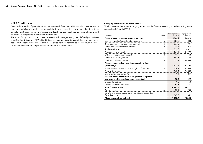### 4.5.4 Credit risks

Credit risks are risks of potential losses that may result from the inability of a business partner to pay or the inability of a trading partner and distributor to meet its contractual obligations. Cluster risks with treasury counterparties are avoided. In general, a sufficient minimum liquidity and an adequate staggering of maturities are required.

The Axpo Group controls credit risks via a credit risk management system defined per business area (Trading & Sales and CKW). Credit risks are managed by setting credit limits for each transaction in the respective business area. Receivables from counterparties are continuously monitored, and new contractual parties are subjected to a credit check.

### Carrying amounts of financial assets

The following table shows the carrying amounts of the financial assets, grouped according to the categories defined in IFRS 9:

|                                                           |              | Carrying amount | Carrying amount |
|-----------------------------------------------------------|--------------|-----------------|-----------------|
| CHF million                                               | <b>Notes</b> | 30.9.2020       | 30.9.2019       |
| Financial assets measured at amortised cost               |              | 5 902.2         | 5 682.2         |
| Loan receivables (current and non-current)                | 4.3          | 557.3           | 438.5           |
| Time deposits (current and non-current)                   | 4.3          | 876.8           | 733.4           |
| Other financial receivables (current)                     | 4.3          | 138.7           | 207.8           |
| Trade receivables                                         |              | 891.8           | 862.1           |
| Revenues not yet invoiced                                 | 3.5          | 1 2 6 1 . 4     | 1 197.7         |
| Other receivables (non-current)                           | 3.5          | 11.7            | 14.8            |
| Other receivables (current)                               | 3.5          | 651.8           | 572.5           |
| Cash and cash equivalents                                 | 4.2          | 1 512.7         | 1 655.4         |
| Financial assets at fair value through profit or loss     |              |                 |                 |
| (mandatory)                                               |              | 4 3 1 1 . 1     | 3879.8          |
| Financial assets at fair value (through profit or loss)   | 4.3          | 1458.9          | 1 500.4         |
| Energy derivatives                                        |              | 2 843.1         | 2 3 5 5 . 3     |
| Currency forward contracts                                |              | 9.1             | 24.1            |
| Financial assets at fair value through other comprehen-   |              |                 |                 |
| sive income with recycling (hedge accounting)             |              | 78.1            | 129.7           |
| Energy derivatives                                        |              | 9.3             | 16.5            |
| Currency forward contracts                                |              | 68.8            | 113.2           |
| <b>Total financial assets</b>                             |              | 10 291.4        | 9691.7          |
| Contract assets                                           | 3.5          | 33.9            | 28.8            |
| ./. Total shares and participation certificates accounted |              |                 |                 |
| for at fair value                                         |              | 387.0           | 385.3           |
| Maximum credit default risk                               |              | 9938.3          | 9 3 3 5 . 2     |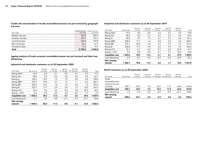### Credit risk concentration of trade receivables/revenue not yet invoiced by geographical area

### Industrial and wholesale customers as at 30 September 2019

|                       |           | Carrying amount Carrying amount |
|-----------------------|-----------|---------------------------------|
| CHF million           | 30.9.2020 | 30.9.2019                       |
| <b>Western Europe</b> | 506.0     | 459.9                           |
| Southern Europe       | 901.9     | 751.5                           |
| Central Europe        | 644.0     | 769.8                           |
| Rest of Europe        | 83.7      | 61.9                            |
| Outside Europe        | 17.6      | 16.7                            |
| Total                 | 2 153.2   | 2059.8                          |

### Ageing analysis of trade accounts receivable/revenue not yet invoiced and their loss allowances

### Industrial and wholesale customers as at 30 September 2020

|                         |             | Past due    | Past due   | Past due    | Past due     | Past due     |         |
|-------------------------|-------------|-------------|------------|-------------|--------------|--------------|---------|
| CHF million             | Not yet due | $1-30$ days | 31-90 days | 91-180 days | 181-360 days | $>$ 360 days | Total   |
| Rating AAA              | 16.9        | 0.0         | 0.1        | 0.0         | 0.1          | 0.2          | 17.3    |
| Rating AA               | 58.8        | 3.9         | 0.4        | 0.0         | 0.0          | 0.0          | 63.1    |
| Rating A                | 169.3       | 10.9        | 1.5        | 1.9         | 0.0          | 0.0          | 183.6   |
| Rating BBB              | 539.2       | 18.0        | 4.7        | 1.5         | 1.1          | 0.6          | 565.1   |
| Rating BB               | 455.2       | 10.1        | 1.4        | 1.9         | 0.4          | 1.2          | 470.2   |
| Rating B                | 275.7       | 11.7        | 2.9        | 2.6         | 1.2          | 16.0         | 310.1   |
| Rating CCC              | 16.6        | 0.6         | 0.2        | 0.2         | 3.8          | 25.5         | 46.9    |
| Rating < CCC            | 0.6         | 0.0         | 0.0        | 0.0         | 0.0          | 0.1          | 0.7     |
| <b>Acquisition cost</b> | 1532.3      | 55.2        | 11.2       | 8.1         | 6.6          | 43.6         | 1657.0  |
| Loss allowances         | $-1.7$      | 0.0         | 0.0        | $-0.1$      | $-1.5$       | $-31.1$      | $-34.4$ |
| Net carrying            |             |             |            |             |              |              |         |
| amount                  | 1 530.6     | 55.2        | 11.2       | 8.0         | 5.1          | 12.5         | 1622.6  |

|                         |             | Past due    | Past due   | Past due    | Past due     | Past due     |         |
|-------------------------|-------------|-------------|------------|-------------|--------------|--------------|---------|
| CHF million             | Not yet due | $1-30$ days | 31-90 days | 91-180 days | 181-360 days | $>$ 360 days | Total   |
| Rating AAA              | 10.4        | 0.0         | 0.0        | 0.3         | 0.1          | 0.0          | 10.8    |
| Rating AA               | 48.2        | 0.4         | 0.1        | 0.2         | 0.3          | 0.0          | 49.2    |
| Rating A                | 95.5        | 4.7         | 1.2        | 0.1         | 0.1          | 0.0          | 101.6   |
| Rating BBB              | 538.2       | 17.1        | 1.4        | 0.8         | 0.5          | 0.5          | 558.5   |
| Rating BB               | 276.1       | 32.6        | 3.8        | 0.3         | 0.1          | 4.7          | 317.6   |
| Rating B                | 339.8       | 15.1        | 4.9        | 0.6         | 0.9          | 2.9          | 364.2   |
| Rating CCC              | 15.1        | 0.1         | 0.0        | 0.7         | 0.0          | 21.8         | 37.7    |
| Rating < CCC            | 0.3         | 0.9         | 0.0        | 0.1         | 0.1          | 18.0         | 19.4    |
| <b>Acquisition cost</b> | 1 323.6     | 70.9        | 11.4       | 3.1         | 2.1          | 47.9         | 1459.0  |
| Loss allowances         | $-0.9$      | $-0.1$      | 0.0        | $-0.9$      | $-0.4$       | $-34.9$      | $-37.2$ |
| Net carrying            |             |             |            |             |              |              |         |
| amount                  | 1 322.7     | 70.8        | 11.4       | 2.2         | 1.7          | 13.0         | 1421.8  |

### Retail customers as at 30 September 2020

|                         |             | Past due    | Past due   | Past due    | Past due     | Past due     |         |
|-------------------------|-------------|-------------|------------|-------------|--------------|--------------|---------|
| CHF million             | Not yet due | $1-30$ days | 31-90 days | 91-180 days | 181-360 days | $>$ 360 days | Total   |
| Trade                   |             |             |            |             |              |              |         |
| receivables and         |             |             |            |             |              |              |         |
| revenue not yet         |             |             |            |             |              |              |         |
| invoiced                | 492.1       | 24.7        | 7.6        | 10.3        | 11.5         | 64.6         | 610.8   |
| <b>Acquisition cost</b> | 492.1       | 24.7        | 7.6        | 10.3        | 11.5         | 64.6         | 610.8   |
| Loss allowances         | $-1.5$      | $-1.6$      | $-3.0$     | $-4.9$      | $-8.1$       | $-61.1$      | $-80.2$ |
| <b>Net carrying</b>     |             |             |            |             |              |              |         |
| amount                  | 490.6       | 23.1        | 4.6        | 5.4         | 3.4          | 3.5          | 530.6   |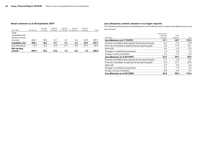### Retail customers as at 30 September 2019

| CHF million                                             | Not yet due | Past due<br>$1-30$ days | Past due<br>31-90 days | Past due<br>91-180 days | Past due<br>181-360 days | Past due<br>$>$ 360 days | Total   |
|---------------------------------------------------------|-------------|-------------------------|------------------------|-------------------------|--------------------------|--------------------------|---------|
| Trade<br>receivables and<br>revenue not yet<br>invoiced | 604.1       | 18.5                    | 14.1                   | 3.7                     | 4.4                      | 52.9                     | 697.7   |
| <b>Acquisition cost</b>                                 | 604.1       | 18.5                    | 14.1                   | 3.7                     | 4.4                      | 52.9                     | 697.7   |
| Loss allowances                                         | $-0.7$      | $-0.3$                  | $-0.9$                 | $-2.1$                  | $-3.8$                   | $-51.9$                  | $-59.7$ |
| Net carrying<br>amount                                  | 603.4       | 18.2                    | 13.2                   | 1.6                     | 0.6                      | 1.0                      | 638.0   |

### Loss allowances created, released or no longer required

The following table shows the development of loss allowances for trade receivables/revenue not yet invoiced:

|                                                          | Industrial and |           |        |
|----------------------------------------------------------|----------------|-----------|--------|
|                                                          | wholesale      | Retail    |        |
| CHF million                                              | customers      | customers | Total  |
| Loss allowances as at 1.10.2018                          | 41.1           | 60.1      | 101.2  |
| Financial receivables derecognised during reporting year | $-6.5$         | $-3.3$    | $-9.8$ |
| Financial receivables recognised during reporting year   | 2.8            | 11.3      | 14.1   |
| Write-offs                                               | 0.0            | $-7.0$    | $-7.0$ |
| Changes in models/risk parameters                        | 1.4            | 0.5       | 1.9    |
| Foreign currency translation                             | $-1.6$         | $-1.9$    | $-3.5$ |
| Loss allowances as at 30.9.2019                          | 37.2           | 59.7      | 96.9   |
| Financial receivables derecognised during reporting year | $-3.1$         | $-3.6$    | $-6.7$ |
| Financial receivables recognised during reporting year   | 2.9            | 27.1      | 30.0   |
| Write-offs                                               | $-1.9$         | $-4.5$    | $-6.4$ |
| Changes in models/risk parameters                        | 0.1            | 1.9       | 2.0    |
| Foreign currency translation                             | $-0.8$         | $-0.4$    | $-1.2$ |
| Loss allowances as at 30.9.2020                          | 34.4           | 80.2      | 114.6  |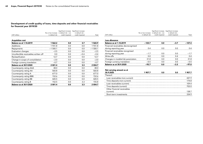### Development of credit quality of loans, time deposits and other financial receivables for financial year 2019/20

|                                       |                                       | Significant increase                     | Significant increase                 |           |
|---------------------------------------|---------------------------------------|------------------------------------------|--------------------------------------|-----------|
| CHF million                           | No or low increase<br>in default risk | in default risk - not<br>credit impaired | in default risk -<br>credit impaired | Total     |
|                                       |                                       |                                          |                                      |           |
| <b>Acquisition cost</b>               |                                       |                                          |                                      |           |
| <b>Balance as at 1.10.2019</b>        | 1 562.2                               | 0.0                                      | 3.7                                  | 1 565.9   |
| Additions                             | 1931.8                                | 0.0                                      | 0.0                                  | 1931.8    |
| Repayments                            | $-1,500.1$                            | 0.0                                      | 0.0                                  | $-1500.1$ |
| Evaluation changes                    | $-2.5$                                | 0.0                                      | 0.0                                  | $-2.5$    |
| Uncollectible receivables written off | 0.0                                   | 0.0                                      | $-0.4$                               | $-0.4$    |
| Reclassification                      | 12.7                                  | 0.0                                      | 0.0                                  | 12.7      |
| Change in scope of consolidation      | $-2.0$                                | 0.0                                      | 0.0                                  | $-2.0$    |
| Foreign currency translation          | $-0.7$                                | 0.0                                      | 0.0                                  | $-0.7$    |
| <b>Balance as at 30.9.2020</b>        | 2 001.4                               | 0.0                                      | 3.3                                  | 2 004.7   |
| Counterparty rating AAA               | 38.0                                  | 0.0                                      | 0.0                                  | 38.0      |
| Counterparty rating AA                | 560.8                                 | 0.0                                      | 0.0                                  | 560.8     |
| Counterparty rating A                 | 677.0                                 | 0.0                                      | 0.0                                  | 677.0     |
| Counterparty rating BBB               | 152.6                                 | 0.0                                      | 0.0                                  | 152.6     |
| Counterparty rating BB                | 420.5                                 | 0.0                                      | 0.0                                  | 420.5     |
| Counterparty rating B                 | 152.5                                 | 0.0                                      | 3.3                                  | 155.8     |
| <b>Balance as at 30.9.2020</b>        | 2 001.4                               | 0.0                                      | 3.3                                  | 2 004.7   |

|                                     |                    | Significant increase  | Significant increase |          |
|-------------------------------------|--------------------|-----------------------|----------------------|----------|
|                                     | No or low increase | in default risk - not | in default risk -    |          |
| CHF million                         | in default risk    | credit impaired       | credit impaired      | Total    |
| Loss allowance                      |                    |                       |                      |          |
| <b>Balance as at 1.10.2019</b>      | $-123.7$           | 0.0                   | $-3.7$               | $-127.4$ |
| Financial receivables decrecognised |                    |                       |                      |          |
| during reporting year               | 0.4                | 0.0                   | 0.0                  | 0.4      |
| Financial receivables recognised    |                    |                       |                      |          |
| during reporting year               | $-1.7$             | 0.0                   | 0.0                  | $-1.7$   |
| Write-offs                          | 0.0                | 0.0                   | 0.4                  | 0.4      |
| Changes in models/risk parameters   | 31.8               | 0.0                   | 0.0                  | 31.8     |
| Foreign currency translation        | $-0.5$             | 0.0                   | 0.0                  | $-0.5$   |
| <b>Balance as at 30.9.2020</b>      | $-93.7$            | 0.0                   | $-3.3$               | $-97.0$  |
|                                     |                    |                       |                      |          |
| Net carrying amount as at           |                    |                       |                      |          |
| 30.9.2020                           | 1907.7             | 0.0                   | 0.0                  | 1907.7   |
| Thereof:                            |                    |                       |                      |          |
| Loan receivables (non-current)      |                    |                       |                      | 447.9    |
| Time deposits (non-current)         |                    |                       |                      | 174.8    |
| Loan receivables (current)          |                    |                       |                      | 109.4    |
| Time deposits (current)             |                    |                       |                      | 702.0    |
| Other financial receivables         |                    |                       |                      |          |
| (current)                           |                    |                       |                      | 138.7    |
| Short-term investments              |                    |                       |                      | 334.9    |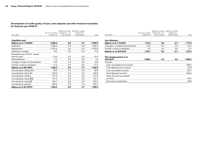### Development of credit quality of loans, time deposits and other financial receivables for financial year 2018/19

|                                  | No or low increase | Significant increase<br>in default risk - not | Significant increase<br>in default risk - |           |
|----------------------------------|--------------------|-----------------------------------------------|-------------------------------------------|-----------|
| CHF million                      | in default risk    | credit impaired                               | credit impaired                           | Total     |
|                                  |                    |                                               |                                           |           |
| <b>Acquisition cost</b>          |                    |                                               |                                           |           |
| <b>Balance as at 1.10.2018</b>   | 2 000.2            | 0.0                                           | 3.7                                       | 2 003.9   |
| Additions                        | 1 046.0            | 0.0                                           | 0.0                                       | 1 046.0   |
| Repayments                       | $-1452.6$          | 0.0                                           | 0.0                                       | $-1452.6$ |
| Evaluation changes               | $-8.2$             | 0.0                                           | 0.0                                       | $-8.2$    |
| Reclassification to/from "assets |                    |                                               |                                           |           |
| held for sale"                   | $-10.0$            | 0.0                                           | 0.0                                       | $-10.0$   |
| Reclassification                 | 7.2                | 0.0                                           | 0.0                                       | 7.2       |
| Change in scope of consolidation | $-8.8$             | 0.0                                           | 0.0                                       | $-8.8$    |
| Foreign currency translation     | $-11.6$            | 0.0                                           | 0.0                                       | $-11.6$   |
| <b>Balance as at 30.9.2019</b>   | 1 562.2            | 0.0                                           | 3.7                                       | 1 565.9   |
| Counterparty rating AAA          | 50.0               | 0.0                                           | 0.0                                       | 50.0      |
| Counterparty rating AA           | 542.8              | 0.0                                           | 0.0                                       | 542.8     |
| Counterparty rating A            | 317.0              | 0.0                                           | 0.0                                       | 317.0     |
| Counterparty rating BBB          | 197.3              | 0.0                                           | 0.0                                       | 197.3     |
| Counterparty rating BB           | 252.7              | 0.0                                           | 0.4                                       | 253.1     |
| Counterparty rating B            | 202.4              | 0.0                                           | 3.3                                       | 205.7     |
| <b>Balance as at 30.9.2019</b>   | 1 562.2            | 0.0                                           | 3.7                                       | 1565.9    |

|                                        | No or low increase | Significant increase<br>in default risk - not | Significant increase<br>in default risk - |          |
|----------------------------------------|--------------------|-----------------------------------------------|-------------------------------------------|----------|
| CHF million                            | in default risk    | credit impaired                               | credit impaired                           | Total    |
|                                        |                    |                                               |                                           |          |
| Loss allowance                         |                    |                                               |                                           |          |
| <b>Balance as at 1.10.2018</b>         | $-113.3$           | 0.0                                           | $-3.7$                                    | $-117.0$ |
| Changes in models/risk parameters      | $-15.9$            | 0.0                                           | 0.0                                       | $-15.9$  |
| Foreign currency translation           | 5.5                | 0.0                                           | 0.0                                       | 5.5      |
| <b>Balance as at 30.9.2019</b>         | $-123.7$           | 0.0                                           | $-3.7$                                    | $-127.4$ |
| Net carrying amount as at<br>30.9.2019 | 1438.5             | 0.0                                           | 0.0                                       | 1438.5   |
| Thereof:                               |                    |                                               |                                           |          |
| Loan receivables (non-current)         |                    |                                               |                                           | 438.5    |
| Time deposits (non-current)            |                    |                                               |                                           | 70.8     |
| Loan receivables (current)             |                    |                                               |                                           | 122.9    |
| Time deposits (current)                |                    |                                               |                                           | 662.6    |
| Other financial receivables            |                    |                                               |                                           |          |
| (current)                              |                    |                                               |                                           | 84.9     |
| Short-term investments                 |                    |                                               |                                           | 58.8     |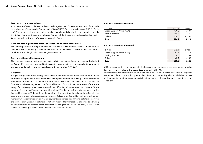#### Transfer of trade receivables

Axpo has transferred trade receivables to banks against cash. The carrying amount of the trade receivables transferred as at 30 September 2020 was CHF 57.8 million (previous year: CHF 159.0 million). The trade receivables were derecognised as substantially all risks and rewards, primarily the default risk, were transferred to banks. For part of the transferred trade receivables, the interest rate risk for the first 240 days remains with Axpo.

#### Cash and cash equivalents, financial assets and financial receivables

Time and sight deposits are preferably held with financial institutions which have been rated at least BBB. The Axpo Group also holds shares of a fund that invests in short- to mid-term corporate bonds from the global investment grade universe.

#### Derivative financial instruments

The creditworthiness of the transaction partners in the energy trading sector is promptly checked by Axpo, which assesses their credit ratings on the basis of external and internal ratings. Interest and currency derivatives are only concluded with banks rated AAA to A.

#### Collateral

A significant portion of the energy transactions in the Axpo Group are concluded on the basis of framework agreements such as the EFET (European Federation of Energy Traders) General Agreement on Power or Gas, the ISDA (International Swaps and Derivatives Association) or the DRV (German Master Agreement for Financial Forward Transactions). In the event of the insolvency of a business partner, these provide for an offsetting of open transactions (see the "Additional netting potential" column of the table entitled "Netting of positive and negative derivative financial instruments"). In addition, the credit risk is reduced by the collateral received. In the case of major credit risks, credit support annexes (CSAs) are attached to the framework agreements in which regular reciprocal margin payments are agreed as additional collateral, mostly in the form of cash. Since such collateral is not only received for transactions allocated to a trading book but also for off-balance-sheet items that are assigned to an own use book, the collateral cannot be meaningfully allocated to individual balance sheet items.

#### Financial securities received

| CHF million                | 30.9.2020   | 30.9.2019 |
|----------------------------|-------------|-----------|
| Credit Support Annex (CSA) | 170.0       | 253.1     |
| Bank quarantee             | 306.4       | 245.2     |
| Others                     | 1 250.3     | 1 313 9   |
| Total                      | 1 7 2 6 . 7 | 1812.2    |

#### Financial securities delivered

| CHF million                | 30.9.2020 | 30.9.2019 |
|----------------------------|-----------|-----------|
| Credit Support Annex (CSA) | 193.1     | 151.6     |
| Bank quarantee             | 0.0       | 0.4       |
| <b>Others</b>              | 65.1      | 510.7     |
| Total                      | 258.2     | 662.7     |

CSAs are recorded at nominal value in the balance sheet, whereas guarantees are recorded at fair value. The fair value of the guarantees is normally CHF 0.0.

Guarantees and comfort letters issued within the Axpo Group are only disclosed in the separate statements of the company that granted them. In some countries Axpo has joint liabilities in case of the default of another exchange participant, no matter if this participant is a counterparty of Axpo or not.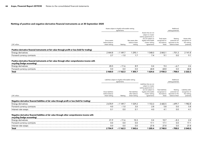### Netting of positive and negative derivative financial instruments as at 30 September 2020

|                                                                                                                                 | Assets subject to legally enforceable netting<br>agreements |                                                                  |                                              |                                                                                                                                                | netting potentia                                      |                                                              |                                                            |
|---------------------------------------------------------------------------------------------------------------------------------|-------------------------------------------------------------|------------------------------------------------------------------|----------------------------------------------|------------------------------------------------------------------------------------------------------------------------------------------------|-------------------------------------------------------|--------------------------------------------------------------|------------------------------------------------------------|
| CHF million                                                                                                                     | Gross assets<br>before balance<br>sheet netting             | Netting                                                          | Net assets after<br>balance sheet<br>netting | Assets that are not<br>subject to master<br>netting agreements or<br>are not subject to<br>legally enforceable<br>master netting<br>agreements | Total assets<br>recognised on<br>the balance<br>sheet | Netting<br>potential not<br>reported on the<br>balance sheet | Assets after<br>recognition of<br>the netting<br>potential |
|                                                                                                                                 |                                                             |                                                                  |                                              |                                                                                                                                                |                                                       |                                                              |                                                            |
| Positive derivative financial instruments at fair value through profit or loss (held for trading)                               |                                                             |                                                                  |                                              |                                                                                                                                                |                                                       |                                                              |                                                            |
| Energy derivatives                                                                                                              | 2 4 4 4 .8                                                  | $-1149.7$                                                        | 295.1                                        | 548.0                                                                                                                                          | 2 843.1                                               | $-701.3$                                                     | 2 141.8                                                    |
| Forward currency contracts                                                                                                      | 2.7                                                         | $-1.0$                                                           | 1.7                                          | 7.4                                                                                                                                            | 9.1                                                   | 0.0                                                          | 9.1                                                        |
| Positive derivative financial instruments at fair value through other comprehensive income with<br>recycling (hedge accounting) |                                                             |                                                                  |                                              |                                                                                                                                                |                                                       |                                                              |                                                            |
| Energy derivatives                                                                                                              | 20.5                                                        | $-11.6$                                                          | 8.9                                          | 0.4                                                                                                                                            | 9.3                                                   | $-6.7$                                                       | 2.6                                                        |
| Forward currency contracts                                                                                                      | 0.C                                                         | 0.0                                                              | 0.0                                          | 68.8                                                                                                                                           | 68.8                                                  | 0.0                                                          | .<br>68.8                                                  |
| Total                                                                                                                           | 2468.0                                                      | $-1162.3$                                                        | 1 305.7                                      | 1 624.6                                                                                                                                        | 2930.3                                                | $-708.0$                                                     | .<br>2 2 2 2 . 3                                           |
|                                                                                                                                 |                                                             | Liabilities subject to legally enforceable netting<br>agreements |                                              |                                                                                                                                                |                                                       | Additiona<br>netting potentia                                |                                                            |

|                                                                                                                                 |                                                      | $-99.00$  |                                                   |                                                                                                                                                     |                                                            | $\ldots$                                                     |                                                                 |
|---------------------------------------------------------------------------------------------------------------------------------|------------------------------------------------------|-----------|---------------------------------------------------|-----------------------------------------------------------------------------------------------------------------------------------------------------|------------------------------------------------------------|--------------------------------------------------------------|-----------------------------------------------------------------|
| CHF million                                                                                                                     | Gross liabilities<br>before balance<br>sheet netting | Netting   | Net liabilities<br>after balance<br>sheet netting | Liabilities that are not<br>subject to master<br>netting agreements or<br>are not subject to<br>legally enforceable<br>master netting<br>agreements | Total liabilities<br>recognised on<br>the balance<br>sheet | Netting<br>potential not<br>reported on the<br>balance sheet | Liabilities after<br>recognition of<br>the netting<br>potential |
| Negative derivative financial liabilities at fair value through profit or loss (held for trading)                               |                                                      |           |                                                   |                                                                                                                                                     |                                                            |                                                              |                                                                 |
| Energy derivatives                                                                                                              | 2678.9                                               | $-1149.7$ | 1 529.2                                           | 153.3                                                                                                                                               | 2682.5                                                     | -699.7                                                       | 982.8                                                           |
| Forward currency contracts                                                                                                      | 4.0                                                  | $-1.0$    | 3.0                                               | 2.8                                                                                                                                                 | 5.8                                                        | 0.0                                                          | 5.8                                                             |
| Interest rate swaps                                                                                                             | 0.1                                                  | 0.0       | 0.                                                | 4.0                                                                                                                                                 | 4.1                                                        | 0.0                                                          | .<br>4.1                                                        |
| Negative derivative financial liabilities at fair value through other comprehensive income with<br>recycling (hedge accounting) |                                                      |           |                                                   |                                                                                                                                                     |                                                            |                                                              |                                                                 |
| Energy derivatives                                                                                                              | 21.9                                                 | $-11.6$   | 10.3                                              | 0.4                                                                                                                                                 | 10.7                                                       | -8.3                                                         | 2.4                                                             |
| Forward currency contracts                                                                                                      | 0.C                                                  | 0.0       | 0.O                                               | I7.1                                                                                                                                                | 17 <sub>11</sub>                                           | 0.O                                                          | 17.1                                                            |
| Interest rate swaps                                                                                                             | 0.0                                                  | 0.0       | 0.0                                               | 27.8                                                                                                                                                | 27.8                                                       | 0.0                                                          | 27.8                                                            |
| Total                                                                                                                           | 2 704.9                                              | $-1162.3$ | 1 542.6                                           | 1 205.4                                                                                                                                             | 2 748.0                                                    | $-708.0$                                                     | 2 040.0                                                         |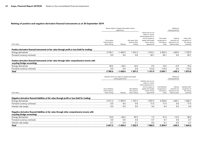### Netting of positive and negative derivative financial instruments as at 30 September 2019

|                                                                                                                                 | Assets subject to legally enforceable netting<br>agreements |                    |                                                   |                                                                                                                                                |                                                                   | Additional<br>netting potential                              |                                                            |
|---------------------------------------------------------------------------------------------------------------------------------|-------------------------------------------------------------|--------------------|---------------------------------------------------|------------------------------------------------------------------------------------------------------------------------------------------------|-------------------------------------------------------------------|--------------------------------------------------------------|------------------------------------------------------------|
| CHF million                                                                                                                     | Gross assets<br>before balance<br>sheet netting             | Netting            | Net assets after<br>balance sheet<br>netting      | Assets that are not<br>subject to master<br>netting agreements or<br>are not subject to<br>legally enforceable<br>master netting<br>agreements | Total assets<br>recognised on<br>the balance<br>sheet             | Netting<br>potential not<br>reported on the<br>balance sheet | Assets after<br>recognition of<br>the netting<br>potential |
| Positive derivative financial instruments at fair value through profit or loss (held for trading)                               |                                                             |                    |                                                   |                                                                                                                                                |                                                                   |                                                              |                                                            |
| Energy derivatives                                                                                                              | 2 7 4 5 .1                                                  | $-1403.9$          | 1 341.2                                           | 1 0 1 4 . 1                                                                                                                                    | 2 3 5 5 . 3                                                       | $-629.4$                                                     | 1725.9                                                     |
| Forward currency contracts                                                                                                      | 0.0                                                         | 0.0                | 0.0                                               | 24.1                                                                                                                                           | 24.1                                                              | 0.0                                                          | 24.1                                                       |
| Positive derivative financial instruments at fair value through other comprehensive income with<br>recycling (hedge accounting) |                                                             |                    |                                                   |                                                                                                                                                |                                                                   |                                                              |                                                            |
| Energy derivatives                                                                                                              | 40.5                                                        | $-24.5$            | 16.0                                              | 0.5                                                                                                                                            | 16.5                                                              | $-5.9$                                                       | 10.6                                                       |
| Forward currency contracts                                                                                                      | 0.0                                                         | 0.0                | 0.0                                               | 113.2                                                                                                                                          | 113.2                                                             | 0.0                                                          | 113.2                                                      |
| Total                                                                                                                           | 2 785.6                                                     | $-1428.4$          | 1 3 5 7 . 2                                       | 1 1 5 1 . 9                                                                                                                                    | 2 509.1                                                           | $-635.3$                                                     | 1873.8                                                     |
|                                                                                                                                 | Liabilities which are subject to legally enforceable        | netting agreements |                                                   | Additional<br>netting potential                                                                                                                |                                                                   |                                                              |                                                            |
|                                                                                                                                 |                                                             |                    |                                                   | Liabilities that are not<br>subject to master<br>netting agreements or                                                                         |                                                                   | Netting                                                      | Liabilities after                                          |
| CHF million                                                                                                                     | Gross liabilities<br>before balance<br>sheet netting        | Netting            | Net liabilities<br>after balance<br>sheet netting | are not subject to<br>legally enforceable<br>master netting<br>agreements                                                                      | <b>Total liabilities</b><br>recognised on<br>the balance<br>sheet | potential not<br>reported on the<br>balance sheet            | recognition of<br>the netting<br>potential                 |
|                                                                                                                                 |                                                             |                    |                                                   |                                                                                                                                                |                                                                   |                                                              |                                                            |
| Negative derivative financial liabilities at fair value through profit or loss (held for trading)                               | 2571.2                                                      | $-1403.9$          | 1 1 6 7 . 3                                       | 1057.5                                                                                                                                         | 2 2 2 4 . 8                                                       | $-622.1$                                                     | 1 602.7                                                    |
| Energy derivatives<br>Forward currency contracts                                                                                | 0.0                                                         | 0.0                | 0.0                                               | 17.5                                                                                                                                           | 17.5                                                              | 0.0                                                          | 17.5                                                       |
| Interest rate swaps                                                                                                             | 0.0                                                         | 0.0                | 0.0                                               | 4.4                                                                                                                                            | 4.4                                                               | 0.0                                                          | 4.4                                                        |
| Negative derivative financial liabilities at fair value through other comprehensive income with<br>recycling (hedge accounting) |                                                             |                    |                                                   |                                                                                                                                                |                                                                   |                                                              |                                                            |
| Energy derivatives                                                                                                              | 74.0                                                        | $-24.5$            | 49.5                                              | 1.9                                                                                                                                            | 51.4                                                              | $-13.2$                                                      | 38.2                                                       |
| Forward currency contracts                                                                                                      | 0.0                                                         | 0.0                | 0.0                                               | 0.7                                                                                                                                            | 0.7                                                               | 0.0                                                          | 0.7                                                        |
| Interest rate swaps                                                                                                             | .<br>6.1                                                    | .<br>0.0           | .<br>6.1                                          | .<br>0.0                                                                                                                                       | .<br>6.1                                                          | .<br>0.0                                                     | ----<br>6.1                                                |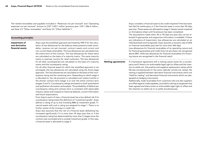The netted receivables and payables included in "Revenues not yet invoiced" and "Operating expenses not yet invoiced" amount to CHF 1,225.1 million (previous year: CHF 1,386.4 million.; see Note 3.5 "Other receivables" and Note 3.6 "Other liabilities").

#### Accounting principles

Impairment of non-derivative financial assets Axpo uses the simplified approach permitted by IFRS 9 for the calculation of loss allowances for the balance sheet positions trade receivables, revenue not yet invoiced, contract assets and current and non-current lease receivables. The loss allowances are calculated over the entire term of the contract. The loss allowances for these items are calculated on the basis of a maturity matrix. The same maturity matrix is used per country for retail customers. The loss allowances for all other counterparties are calculated on the basis of a maturity matrix and the counterparty rating.

For all other financial assets for which the simplified approach is not envisaged, the loss allowances are calculated using the three-stage approach. The loss allowances are calculated on the basis of the counterparty rating and the remaining term. Depending on which stage it is allocated to, the risk provision is calculated over twelve months or the shorter contract term (stage 1) or over the entire contract term (stages 2 and 3). Counterparty ratings are based on both quantitative and qualitative information and analysis. The probability of default per counterparty rating and contract term is consistent with observable industry values and is based on historical defaults, current information and future expectations.

From Axpo's point of view, a financial asset has a low default risk if its counterparty rating meets the definition of "investment grade". Axpo defines a rating of up to and including BBB as investment grade. Financial assets with such a rating are assigned to stage 1. There is no further review of the increase in credit risk.

Axpo also assumes that the risk of a financial asset defaulting has increased significantly if it is more than 30 days past due or if the counterparty rating has deteriorated by more than 2 stages since the contract was concluded and is outside investment grade. In this case, a financial asset is allocated to stage 2.

Axpo considers a financial asset to be credit-impaired if the borrower has filed for bankruptcy or if the financial asset is more than 90 days past due. These assets are allocated to stage 3. Assets remain impaired on the balance sheet until foreclosure has been completed.

The assumptions made when 30 or 90 days are past due can be rebutted if appropriate and supportive information is available. If there are indications of impairment, loss allowances are calculated on an individual basis and recognised. Axpo assumes a recovery rate of 20% on financial receivables past due for more than 360 days.

Loss allowances for financial receivables of an operating nature and for financial guarantees and credit lines not yet drawn are recognised above EBIT, while loss allowances for financial receivables of a financing nature are recognised in the financial result.

#### If a framework agreement with a netting clause exists for a counter-Netting agreements

..............................

party and if there is an enforceable legal right to offset and the intention to settle net, the positive and negative replacement values which fall due simultaneously (in the same calendar month) are netted. No netting is applied between derivative financial instruments which are "held for trading" and derivative financial instruments which are designated as hedging instruments.

Additionally, trade receivables from customers who are also suppliers are offset against trade payables, provided a netting arrangement has been agreed and there exists an enforceable legal right to offset and the intention to settle net or to settle simultaneously.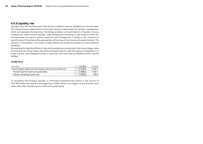### 4.5.5 Liquidity risk

Liquidity risk is the risk that arises if the Group is unable to meet its obligations on the due date. The Group Treasury department of the Axpo Group is responsible for liquidity management, which encompasses the planning, monitoring, provision and optimisation of liquidity. Various measures are used to ensure liquidity. Cash pooling and smoothing of cash balances within the business areas are used to achieve optimum cash management. Liquidity is also ensured via specific project financing and by appropriate refinancing on the money and capital markets. The majority of receivables in European energy trading are netted and settled on fixed payment deadlines.

By analysing the liquidity effects of risks and by adopting a conservative financing strategy, Axpo ensures that the Group always has sufficient liquid funds to meet the payment obligations in a timely manner. Such obligations arise, in particular, from the financial liabilities which must be fulfilled.

### Credit lines

| CHF million                                                    | 30 9 2020 | 30 9 2019 |
|----------------------------------------------------------------|-----------|-----------|
| Uncommitted credit lines from banks and financial institutions | 3 1 1 5 2 | - 2.336.1 |
| Thereof used for loans and quarantees                          | 15446     | 1.606.1   |
| Thereof remaining credit lines                                 | 15706     | 730.0     |

To strengthen the strategic liquidity, a committed syndicated loan facility in the amount of CHF 550 million was raised at the beginning of 2020, which is not subject to any financial covenants other than maintaining the investment grade rating.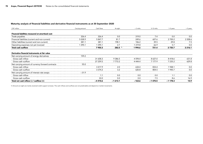### Maturity analysis of financial liabilities and derivative financial instruments as at 30 September 2020

| CHF million                                                                                                                                                                          | Carrying amount | Cash flows | At sight           | $<$ 3 mths  | $3-12$ mths | 1-5 years   | $> 5$ years |
|--------------------------------------------------------------------------------------------------------------------------------------------------------------------------------------|-----------------|------------|--------------------|-------------|-------------|-------------|-------------|
| Financial liabilities measured at amortised cost                                                                                                                                     |                 |            |                    |             |             |             |             |
| Trade payables                                                                                                                                                                       | 326.4           | 326.4      | 0.0                | 319.0       |             | 0.0         | 0.0         |
| Financial liabilities (current and non-current)                                                                                                                                      | 5 0 28.9        | 5 847.7    | 81.7               | 249.6       | 607.6       | 2 700.2     | 2 208.6     |
| Other liabilities (current and non-current)                                                                                                                                          | 381.            | 381.       | 198.               | 106.2       | 39.5        | 29.8        |             |
| Operating expenses not yet invoiced                                                                                                                                                  | 395.1           | 395.1      | 2.7                | 319.8       | 66.9        | 5.7         | 0.0         |
| <b>Total cash outflow</b>                                                                                                                                                            |                 | 7 950.3    | 282.5 <sup>1</sup> | 1994.6      | 721.4       | 2 7 3 5 . 7 | 2 2 1 6 . 1 |
| Derivative financial instruments at fair value                                                                                                                                       |                 |            |                    |             |             |             |             |
| Net carrying amount of energy derivatives <b>159.2</b> 2007 159.2 and the carrying amount of energy derivatives and the contract of the carrying amount of energy derivatives 6.31 8 |                 |            |                    |             |             |             |             |
| Gross cash inflow                                                                                                                                                                    |                 | 31 658.3   | 9 3 8 6.5          | 4 5 9 4 . 4 | 8 627.0     | 8 4 1 8 . 6 | 631.8       |
| Gross cash outflow                                                                                                                                                                   |                 | 27 259.5   | 7 772.2            | 4 4 4 4 4   | 7 177.9     | 7 235.2     | 629.8       |
|                                                                                                                                                                                      |                 |            |                    |             |             |             |             |
| Gross cash inflow                                                                                                                                                                    |                 | 3417.9     |                    |             | 833.4       | -948        |             |
| Gross cash outflow                                                                                                                                                                   |                 | 3.374.2    |                    |             | 804.5       | 945.7       |             |
| Net carrying amount of interest rate swaps                                                                                                                                           | $-31.9$         |            |                    |             |             |             |             |
| Gross cash inflow                                                                                                                                                                    |                 |            |                    |             |             |             |             |
| Gross cash outflow                                                                                                                                                                   |                 | 33.0       |                    |             |             | 8.6         | 16.9        |
| Total net cash inflow $\left(\cdot\right)$ / outflow $\left(\cdot\right)$                                                                                                            |                 | -4 410.6   | -1 613.1           | -163.6      | -1 470.5    | -1 178.3    | 14.9        |

1) Amounts at sight are mainly received credit support annexes. The cash inflows and outflows are not predictable and depend on market movements.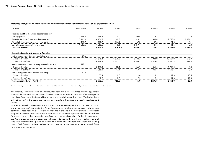#### Maturity analysis of financial liabilities and derivative financial instruments as at 30 September 2019

| CHF million                                                                                                                                                                                                                   | Carrying amount | Cash flows  | At sight           | $<$ 3 mths  | $3-12$ mths | 1-5 years | $> 5$ years |
|-------------------------------------------------------------------------------------------------------------------------------------------------------------------------------------------------------------------------------|-----------------|-------------|--------------------|-------------|-------------|-----------|-------------|
| Financial liabilities measured at amortised cost                                                                                                                                                                              |                 |             |                    |             |             |           |             |
| Trade payables                                                                                                                                                                                                                | 598.3           | 598.3       | 0.0                | 594.4       | 3.7         | 0.2       | 0.0         |
| Financial liabilities (current and non-current)                                                                                                                                                                               | 5 146.0         | 6 104 5     |                    | 318.1       | 683.4       | 2 728.4   | 2 334.1     |
| Other liabilities (current and non-current)                                                                                                                                                                                   | 422.7           | 422.7       | 266.               | 69.3        | 57.4        | 21.8      | 8.3         |
| Operating expenses not yet invoiced                                                                                                                                                                                           | 268.6           | 268.6       |                    | 217.4       | 39.6        | 11.5      | 0.0         |
| <b>Total cash outflow</b>                                                                                                                                                                                                     |                 | 8 3 9 4 . 1 | 306.7 <sup>1</sup> | 2 199.2     | 784.1       | 2 761.9   | 2 3 4 2 . 2 |
| Derivative financial instruments at fair value                                                                                                                                                                                |                 |             |                    |             |             |           |             |
| Net carrying amount of energy derivatives 25.6 2008 PS.6 2009 PS.6 2009 PS.6 2009 PS.6 2009 PS.6 2009 PS.6 2009 PS.6 2009 PS.6 2009 PS.6 2009 PS.6 2009 PS.6 2009 PS.6 2009 PS.6 2009 PS.7 2009 PS.7 2009 PS.7 2009 PS.7 2009 |                 |             |                    |             |             |           |             |
| Gross cash inflow                                                                                                                                                                                                             |                 | 31 875.3    | 8896.2             | 3 7 3 2 . 2 | 7 984.0     | 10.564.0  | 698.9       |
| Gross cash outflow                                                                                                                                                                                                            |                 | 26 369.2    | 8 133.0            | 3 685.2     | 6819.4      | 7 060.3   | 671.3       |
| Net carrying amount of currency forward contracts                                                                                                                                                                             |                 |             |                    |             |             |           |             |
| Gross cash inflow                                                                                                                                                                                                             |                 | 3 168.8     |                    | 566.9       | 866.5       |           |             |
| Gross cash outflow                                                                                                                                                                                                            |                 | 30652       |                    | 567.        | 822.6       |           |             |
| Net carrying amount of interest rate swaps                                                                                                                                                                                    | $-10.5$         |             |                    |             |             |           |             |
| Gross cash inflow                                                                                                                                                                                                             |                 | 55.9        |                    |             |             | 12.8      | 40.5        |
| Gross cash outflow                                                                                                                                                                                                            |                 | 67.0        |                    |             |             | 19.3      | 42.3        |
| Total net cash inflow (-) / outflow (+)                                                                                                                                                                                       |                 | -5 598.6    | -768.5             | -46.0       | -1 206.5    | $-3551.8$ | -25.8       |

1) Amounts at sight are mainly received credit support annexes. The cash inflows and outflows are not predictable and depend on market movements.

The maturity analysis is based on undiscounted cash flows. In accordance with the applicable standard, liquidity risk relates only to financial liabilities. In order to show the effective liquidity risk arising from derivative financial instruments, the cash inflow/outflow under "Derivative financial instruments" in the above table relates to contracts with positive and negative replacement values.

In order to hedge its own energy production and long-term energy sales and purchase contracts, known as "own use" contracts, the Axpo Group enters into both energy sales and purchase contracts. These hedging transactions are included in the above maturity analysis. As contracts assigned to own use books are executory contracts, no cash flow is presented in the table above for these contracts, thus generating significant accounting mismatches. Further, in some cases, the Axpo Group enters into stack and roll hedges to hedge the purchase or sales volume of long-term contracts for a period of around 36 months. These hedges are assigned to trading books. Cash flows from these hedges are not presented in the same time period as cash flows from long-term contracts.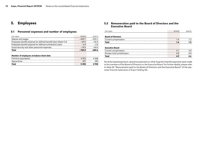# 5. Employees

### 5.1 Personnel expenses and number of employees

| CHF million                                                   | 2019/20  | 2018/19  |
|---------------------------------------------------------------|----------|----------|
| Salaries and wages                                            | $-609.1$ | $-553.1$ |
| Employee benefit expense for defined benefit plans (Note 5.3) | $-69.0$  | $-54.3$  |
| Employee benefit expense for defined contribution plans       | $-4.4$   | $-3.6$   |
| Social security and other personnel expenses                  | $-78.4$  | $-69.6$  |
| Total                                                         | $-760.9$ | $-680.6$ |
|                                                               |          |          |
| Number of employees at balance sheet date                     |          |          |
| Full-time equivalents                                         | 4953     | 4 5 6 8  |
| Apprentices                                                   | 397      | 390      |
| Total                                                         | 5 3 5 0  | 4958     |

### 5.2 Remuneration paid to the Board of Directors and the Executive Board

| 2019/20 | 2018/19          |
|---------|------------------|
|         |                  |
|         |                  |
| 1.6     | 1.2              |
| 1.6     | 1.2 <sub>2</sub> |
|         |                  |
|         |                  |
| 4.1     | 3.8              |
| 0.8     | 0.8              |
| 4.9     | 4.6              |
|         |                  |

No share-based payments, severance payments or other long-term benefit payments were made to the members of the Board of Directors or the Executive Board. For further details, please refer to Note 26 "Remuneration paid to the Board of Directors and the Executive Board" of the separate financial statements of Axpo Holding AG.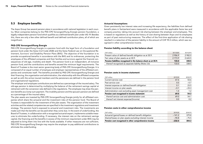### 5.3 Employee benefits

The Axpo Group has several pension plans in accordance with national legislation in each country. Most companies belong to the PKE-CPE Vorsorgestiftung Energie pension foundation, a legally independent pension fund which qualifies as a defined benefit plan under IAS 19. Besides this, there are only a few other defined benefit and defined contribution plans, all of which are insignificant.

#### PKE-CPE Vorsorgestiftung Energie

PKE-CPE Vorsorgestiftung Energie is a pension fund with the legal form of a foundation and pension fund under the Swiss Civil Code (ZGB) and the Swiss Federal Law on Occupational Retirement, Survivors' and Disability Pension Plans (BVG). The objective of the foundation is to provide occupational benefits in accordance with the BVG and its ordinances, protecting the employees of the affiliated companies and their families and survivors against the financial consequences of old age, invalidity and death. The pension fund is an independent, all-inclusive pension fund, and the contributions and benefits exceed the minimum legal requirements. The Board of Trustees is the most senior governing body of PKE-CPE Vorsorgestiftung Energie. It is composed of an equal number of employee and employer representatives of the affiliated companies and constitutes itself. The benefits provided by PKE-CPE Vorsorgestiftung Energie and their financing, the organisation and administration, the relationship with the affiliated companies as well as with the active insured members and the pensioners are defined in the pension fund and organisational regulations.

The employer and employee contributions are defined as a percentage of the insured salary. The old-age pension is determined by multiplying the balance of the retirement savings capital at retirement with the conversion rate defined in the regulations. The employee may draw the pension benefits as a lump-sum payment. The invalidity pension and the spouse's pension are defined as a percentage of the insured salary.

The plan assets are invested by PKE-CPE Vorsorgestiftung Energie jointly for all affiliated companies which share the actuarial and the investment risks of the pension fund. The Board of Trustees is responsible for the investment of the plan assets. The organisation of the investment activities and the related competencies are specified in the investment regulations and investment strategy. The pension fund is exposed to actuarial and investment risks. The investments are made such that the benefits can be paid when they come due. In the event of underfunding, the Board of Trustees, in collaboration with a recognised actuarial expert, implements suitable measures to eliminate the underfunding. If necessary, the interest rate on the retirement savings capital, the financing and the benefits in excess of the minimum requirement under BVG may be adjusted to bring them into line with the funds available. If other measures are not sufficient, PKE-CPE Vorsorgestiftung Energie may require the employer to pay additional contributions to eliminate the underfunding.

#### Actuarial Assumptions

Given persistently low interest rates and increasing life expectancy, the liabilities from defined benefit plans in Switzerland were measured in accordance with the applicable Swiss law and company practice, taking into account risk sharing between the employer and employees. This is based on regulations as well as the history of cost sharing between Axpo and its employees as part of past restructuring measures. The effect of the first-time application of risk sharing resulted in a reduction of the pension liability in the amount of CHF 95.5 million, which was recognised in other comprehensive income.

#### Pension liability according to the balance sheet

| CHF million                                                     | 30.9.2020  | 30.9.2019 |
|-----------------------------------------------------------------|------------|-----------|
| Present value of defined benefit obligation as at 30.9.         | 2 906.9    | 2982.0    |
| Fair value of plan assets as at 30.9.                           | 2 7 7 3 .9 | 2643.5    |
| Pension liabilities recognised in the balance sheet as at 30.9. | 133.0      | 338.5     |
| thereof recognised as separate liability (Note 3.6)             | 133.0      | 338.5     |

#### Pension costs in income statement

| CHF million                                         | 2019/20 | 2018/19 |
|-----------------------------------------------------|---------|---------|
| Current service cost                                | 67.6    | 53.6    |
| Past service cost                                   | 0.0     | $-0.7$  |
| Interest expense on defined benefit obligation      | 0.1     | 23.5    |
| Interest income on plan assets                      | $-0.1$  | $-23.3$ |
| Administration cost excluding asset management cost | 1.4     | 1.2     |
| Pension cost recognised in income statement         | 69.0    | 54.3    |
| thereof service cost and administration cost        | 69.0    | 54.1    |
| thereof net interest expense/(income)               | 0.0     | 0.2     |

#### Pension costs in other comprehensive income

| CHF million                                             | 2019/20  | 2018/19 |
|---------------------------------------------------------|----------|---------|
| Actuarial (gains)/losses on defined benefit obligation  | $-141.2$ | 379.8   |
| (Gains)/losses on plan assets excluding interest income | $-90.8$  | $-75.5$ |
| Pension cost recognised in other comprehensive income   | -232.0   | 304.3   |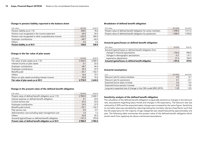#### Change in pension liability reported in the balance sheet

| CHF million                                           | 2019/20  | 2018/19 |
|-------------------------------------------------------|----------|---------|
| Pension liability as at 1.10.                         | 338.5    | 18.6    |
| Pension cost recognised in the income statement       | 69.0     | 54.3    |
| Pension cost recognised in other comprehensive income | $-232.0$ | 304.3   |
| <b>Employer contributions</b>                         | $-48.7$  | $-44.3$ |
| Others                                                | 6.2      | 5.6     |
| Pension liability as at 30.9.                         | 133.0    | 338.5   |

#### Change in the fair value of plan assets

| CHF million                                     | 2019/20   | 2018/19    |
|-------------------------------------------------|-----------|------------|
| Fair value of plan assets as at 1.10.           | 2 643.5   | 2 5 8 5 .5 |
| Interest income on plan assets                  | 0.1       | 23.3       |
| Employer contributions                          | 48.7      | 44.3       |
| Employee contributions                          | 29.3      | 27.9       |
| Benefits paid                                   | $-55.1$   | $-132.7$   |
| Others                                          | 16.6      | 19.7       |
| Return on plan assets excluding interest income | 90.8      | 75.5       |
| Fair value of plan assets as at 30.9.           | 2 7 7 3.9 | 2 643.5    |

#### Change in the present value of the defined benefit obligation

| CHF million                                             | 2019/20  | 2018/19  |
|---------------------------------------------------------|----------|----------|
| Present value of defined benefit obligation as at 1.10. | 2 982.0  | 2 604.1  |
| Interest expense on defined benefit obligation          | 0.1      | 23.5     |
| Current service cost                                    | 67.6     | 53.6     |
| Employee contributions                                  | 29.3     | 27.9     |
| Benefits paid in/(out)                                  | $-55.1$  | $-132.7$ |
| Past service cost                                       | 0.0      | $-0.7$   |
| Administration cost excluding asset management cost     | 1.4      | 1.2      |
| Others                                                  | 22.8     | 25.3     |
| Actuarial (gains)/losses on defined benefit obligation  | $-141.2$ | 379.8    |
| Present value of defined benefit obligation as at 30.9. | 2 906.9  | 2982.0   |

#### Breakdown of defined benefit obligation

| CHF million                                                    | 30 9 2020 | 30 9 2019 |
|----------------------------------------------------------------|-----------|-----------|
| Present value of defined benefit obligation for active members | 1 498 በ   | 15112     |
| Present value of defined benefit obligation for pensioners     | 1408.9    | 1 470 8   |

#### Actuarial gains/losses on defined benefit obligation

| CHF million                                                 | 2019/20  | 2018/19 |
|-------------------------------------------------------------|----------|---------|
| Actuarial (gains)/losses on defined benefit obligation from |          |         |
| changes in financial assumptions                            | $-156.0$ | 296.0   |
| changes in demographic assumptions                          | $-6.7$   | $-21.1$ |
| experience adjustments                                      | 21.5     | 104.9   |
| Actuarial (gains)/losses on defined benefit obligation      | $-141.2$ | 379.8   |

#### Actuarial assumptions

| in %                                                          | 30.9.2020 | 30.9.2019 |
|---------------------------------------------------------------|-----------|-----------|
| Discount rate for active members                              | 0.2       | 0.1       |
| Discount rate for pensioners                                  | 0.1       | $-0.1$    |
| Expected future salary increase                               | 0.5       | 0.5       |
| Expected future pension increase                              | 0.0       | 0.0       |
| Long-term expected rate of change in the CMI model (BVG 2015) | 1.25      | 1 25      |

#### Sensitivity analysis of the defined benefit obligation

The calculation of the defined benefit obligation is especially sensitive to changes in the discount rate, assumptions regarding salary trends and changes in life expectancy. The discount rate was reduced by 0.25% and the expected salary change was increased by the same figure. Sensitivity to mortality rates was calculated by reducing/raising the mortality rate by a fixed factor such that the life expectancy for the majority of age categories was raised/reduced by approximately one year. The following table summarises the present value of the defined benefit obligation which would result from applying the above-mentioned assumptions: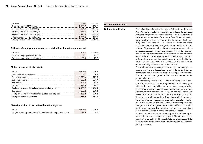| CHF million                         | 30.9.2020   | 30.9.2019   |
|-------------------------------------|-------------|-------------|
| Discount rate (-0.25% change)       | 2983.9      | 3 0 9 3 8   |
| Discount rate (+0.25% change)       | 28344       | 2877.3      |
| Salary increase (-0.25% change)     | 2897.2      | 2971.7      |
| Salary increase (+0.25% change)     | 2916.5      | 29924       |
| Life expectancy (-1 year change)    | 2 806.5     | 2877.2      |
| Life expectancy $(+1)$ year change) | 3 0 0 5 . 9 | 3 0 8 5 . 6 |

#### Estimate of employer and employee contributions for subsequent period

| CHF million                     | 30 9 2020 | 30 9 2019 |
|---------------------------------|-----------|-----------|
| Expected employer contributions |           | 45.5      |
| Expected employee contributions |           |           |

#### Major categories of plan assets

| CHF million                                               | 30.9.2020   | 30.9.2019   |
|-----------------------------------------------------------|-------------|-------------|
| Cash and cash equivalents                                 | 61.1        | 34.9        |
| Equity instruments                                        | 1 043.6     | 1 0 2 9 . 1 |
| Debt instruments                                          | 850.3       | 771.4       |
| Real estate                                               | 144.8       | 143.5       |
| Others                                                    | 285.9       | 294.0       |
| Total plan assets at fair value (quoted market price)     | 2 3 8 5 . 7 | 2 2 7 2 . 9 |
| Real estate                                               | 388.2       | 370.6       |
| Total plan assets at fair value (non-quoted market price) | 388.2       | 370.6       |
| Total plan assets at fair value                           | 2 7 7 3.9   | 2 643.5     |

#### Maturity profile of the defined benefit obligation

| CHF million                                                      | 30.9.2020 | 30.9.2019 |
|------------------------------------------------------------------|-----------|-----------|
| Weighted average duration of defined benefit obligation in years |           | 14.5      |

#### Accounting principles

The defined benefit obligation of the PKE attributable to the Axpo Group is calculated annually by an independent actuary using the projected unit credit method. The discount rate is determined on the basis of the return from Swiss and foreign corporate bonds that are listed on the Swiss Stock Exchange (SIX). Only institutions whose bonds are rated with one of the two highest credit quality categories (AAA and AA) are considered. Wage growth is based on the long-term expectations of Axpo. Additionally, wage increases according to valid collective working agreements or other contractual commitments are considered. Life expectancy is calculated using a projection of future improvements in mortality according to the Continuous Mortality Investigation (CMI) model, which is based on actual mortality data observed in Switzerland. Defined benefit plan

The service cost encompasses current service cost, past service cost, and gains and losses from plan settlements. Gains or losses from plan curtailments are part of the past service cost. The service cost is recognised in the income statement under personnel expenses.

Net interest expense is calculated by multiplying the net pension liability (or asset) at the beginning of the financial year with the discount rate, taking into account any changes during the year as a result of contributions and pension payments. Remeasurement components comprise actuarial gains and losses from the development in the present value of the defined benefit obligation arising from changes in the assumptions and experience adjustments, as well as the return on plan assets minus amounts included in the net interest expense, and changes in the unrecognised assets minus effects included in net interest expense. The net interest expense is recognised in the income statement under personnel expenses.

Remeasurement components are recognised in other comprehensive income and cannot be recycled. The amount recognised in the consolidated financial statements corresponds to the surplus or deficit of the defined benefit plans (net pension liability or asset).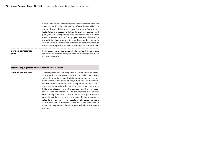|                                      | Risk sharing has been factored into financial assumptions since<br>financial year 2019/20. Risk sharing reflects the actual limit to<br>the employer's obligation to cover future benefits. Another<br>factor taken into account is that, under the Swiss pension fund<br>plan (and the corresponding laws, ordinances and directives<br>on occupational pensions), employees are also obligated to<br>pay additional contributions to remedy any underfunding. In<br>such an event, the employer's restructuring contributions must<br>be at least as high as the sum of the employees' contributions. |
|--------------------------------------|---------------------------------------------------------------------------------------------------------------------------------------------------------------------------------------------------------------------------------------------------------------------------------------------------------------------------------------------------------------------------------------------------------------------------------------------------------------------------------------------------------------------------------------------------------------------------------------------------------|
| <b>Defined contribution</b><br>plans | In the case of pension schemes with defined contribution plans,<br>the employer contributions paid or owed are recognised in the<br>income statement.                                                                                                                                                                                                                                                                                                                                                                                                                                                   |

#### Significant judgments and estimation uncertainties

#### Defined benefit plan

The recognised pension obligation is calculated based on statistical and actuarial assumptions. In particular, the present value of the defined benefit obligation depends on assumptions related to the discount rate, future wage and salary increases, and the expected increase in pension benefits. Additional assumptions include statistical data such as the probability of employees leaving the company and the life expectancy of insured members. The assumptions may deviate substantially from actual results due to changes in market conditions and the economic environment, higher or lower exit rates, longer or shorter life expectancy of insured members and other estimated factors. These deviations may have an impact on the pension obligations reported in future reporting periods.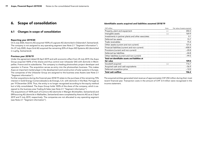## 6. Scope of consolidation

### 6.1 Changes in scope of consolidation

#### Reporting year 2019/20

On 6 July 2020, Avectris AG acquired 100% of Logicare AG (domiciled in Dübendorf, Switzerland). The company is not assigned to any operating segment (see Note 2.1 "Segment information"). On 27 July 2020, Axpo Grid AG acquired the remaining 20% of Axpo WZ-Systems AG (domiciled in Lupfig, Switzerland).

#### Previous year 2018/19

Under the agreement dated 30 April 2019 and with economic effect from 25 July 2019, the Axpo Group acquired 100% of the shares and thus control over Urbasolar SAS with domicile in Montpellier, France and its subsidiaries. The company is a leading photovoltaic project developer and operator in France. The acquisition serves as entry into the photovoltaic business. This makes Axpo an important market player in the development and construction of solar systems in Europe. The companies of the Urbasolar Group are assigned to the business area Assets (see Note 2.1 "Segment information").

Further acquisitions during the financial year 2018/19 relate to the purchase of the remaining 75% interest in Gold Energy-Comercializadora de Energía, S.A. with domicile in Vila Real, Portugal as per 19 December 2018. Thus, the entity is no longer recognised according to the equity method but is fully consolidated. The Axpo Group holds 100% of the share of the company, which is assigned to the business area Trading & Sales (see Note 2.1 "Segment information").

The acquisitions of 100% each of Comicro AG (domicile in Wangen-Brüttisellen, Switzerland) and ERPsourcing AG (domicile in Wallisellen, Switzerland) were completed by Avectris AG as at 2 April 2019 and 9 July 2019, respectively. The companies are not allocated to any operating segment (see Note 2.1 "Segment information").

#### Identifiable assets acquired and liabilities assumed 2018/19

| CHF million                                        | Note | Fair value of assets acquired |
|----------------------------------------------------|------|-------------------------------|
| Property, plant and equipment                      | 3.1  | 350.3                         |
| Intangible assets                                  | 3.3  | 169.9                         |
| Investments in partner plants and other associates |      | 0.1                           |
| Deferred tax assets                                |      | 15.7                          |
| Trade receivables                                  |      | 75.4                          |
| Other assets (current and non-current)             |      | 121.6                         |
| Financial liabilities (current and non-current)    |      | $-458.9$                      |
| Provisions (current and non-current)               |      | $-20.8$                       |
| Deferred tax liabilities                           |      | $-44.8$                       |
| Other liabilities (current and non-current)        |      | $-99.5$                       |
| Total net identifiable assets and liabilities at   |      |                               |
| fair value                                         |      | 109.0                         |
| Goodwill acquired                                  | 3.3  | 116.1                         |
| Acquired cash and cash equivalents                 |      | $-56.9$                       |
| Deferred acquisition price                         |      | $-12.0$                       |
| <b>Total cash outflow</b>                          |      | 156.2                         |

The acquired entities generated total revenue of approximately CHF 250 million during their most recent financial year. Transaction costs in the amount of CHF 3.4 million were recognised in the income statement.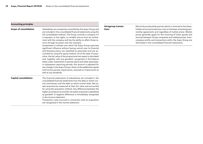### Accounting principles

| Scope of consolidation       | Subsidiaries are companies controlled by the Axpo Group and<br>are included in the consolidated financial statements using the<br>full consolidated method. The Group controls a company if it<br>is exposed, or has rights, to variable returns from its involve-<br>ment with the company and has the ability to affect those re-<br>turns through its power over the company.<br>Investments in entities over which the Axpo Group exercises<br>significant influence without having control over its financial<br>and business policy are classified as associates and are ac-<br>counted for using the equity method. As of the date of acqui-<br>sition, the fair value of the proportional net assets is calculated<br>and, together with any goodwill, recognised in the balance<br>sheet under investments in partner plants and other associates.<br>In subsequent reporting periods, this amount is adjusted for<br>any change in the Axpo Group's share of the additional capital<br>and income earned, impairments, reversals on impairments as<br>well as any dividends. | tions |
|------------------------------|----------------------------------------------------------------------------------------------------------------------------------------------------------------------------------------------------------------------------------------------------------------------------------------------------------------------------------------------------------------------------------------------------------------------------------------------------------------------------------------------------------------------------------------------------------------------------------------------------------------------------------------------------------------------------------------------------------------------------------------------------------------------------------------------------------------------------------------------------------------------------------------------------------------------------------------------------------------------------------------------------------------------------------------------------------------------------------------|-------|
| <b>Capital consolidation</b> | The financial statements of subsidiaries are included in the<br>consolidated financial statements from the date on which con-<br>trol commences until the date on which control ends. Net as-<br>sets acquired are measured at their fair value and accounted<br>for using the acquisition method. Any difference between the<br>higher purchase price and the net assets acquired is capitalised<br>as goodwill. A negative difference is immediately recognised<br>in the income statement.<br>Transaction costs incurred in connection with an acquisition<br>are recognised in the income statement.                                                                                                                                                                                                                                                                                                                                                                                                                                                                               |       |

## Intragroup transac-

Electricity produced by partner plants is invoiced to the shareholders at annual production cost on the basis of existing partnership agreements and regardless of market prices. Market prices generally apply for the invoicing of other goods and services between Group companies and related parties. Intercompany profits and transactions within the Axpo Group are eliminated in the consolidated financial statements.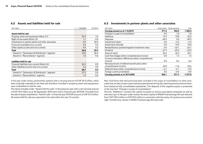### 6.2 Assets and liabilities held for sale

| CHF million                                                                                                                       | 30.9.2020 | 30.9.2019 |
|-----------------------------------------------------------------------------------------------------------------------------------|-----------|-----------|
|                                                                                                                                   |           |           |
| Assets held for sale                                                                                                              |           |           |
| Property, plant and equipment (Note 3.1)                                                                                          | 29.3      | 1.0       |
| Right-of-use assets (Note 3.2)<br>the contract of the contract of the contract of the contract of the contract of the contract of | 1.1       | 0.0       |
| Investments in partner plants and other associates                                                                                | 0.0       | 25.0      |
| Financial receivables (non-current)                                                                                               | 0.0       | 9.6       |
| Other assets (current and non-current)<br>the contract of the contract of the contract of the contract of the contract of         | 4.4       | 0.3       |
| Total                                                                                                                             | 34.8      | 35.9      |
| thereof in "Generation & Distribution" segment                                                                                    | 33.0      | 26.3      |
| thereof in "Reconciliation" segment                                                                                               | 1.8       | 9.6       |
|                                                                                                                                   |           |           |
| Liabilities held for sale                                                                                                         |           |           |
| Financial liabilities (non-current) (Note 4.4)                                                                                    | 26.3      | 0.0       |
| Other liabilities (current and non-current)                                                                                       | 2.4       | 0.0       |
| Total                                                                                                                             | 28.7      | 0.0       |
| thereof in "Generation & Distribution" segment                                                                                    | 27.3      | 0.0       |
| thereof in "Reconciliation" segment                                                                                               | 1.4       | 0.0       |

In the year under review, photovoltaic systems with a carrying amount of CHF 34.2 million, which were originally intended to be held and therefore included in property, plant and equipment, were reclassified to held for sale.

The items included under "Assets held for sale" in the previous year with a net carrying amount of CHF 35.9 million as at 30 September 2019 were sold in financial year 2019/20. Proceeds from the sale of assets classified as "held for sale" in financial year 2019/20 amount to CHF 41.9 million. All assets held for sale are expected to be sold within the next 12 months.

#### 6.3 Investments in partner plants and other associates

| CHF million                                           | Partner plants | Other associates | Total   |
|-------------------------------------------------------|----------------|------------------|---------|
| Carrying amount as at 1.10.2019                       | 911.4          | 554.0            | 1465.4  |
| Change in scope of consolidation                      | 0.0            | 1.8              | 1.8     |
| Additions                                             | 15.4           | 10.8             | 26.2    |
| Disposals                                             | $-49.9$        | 0.0              | $-49.9$ |
| Impairment losses                                     | 0.0            | $-5.3$           | $-5.3$  |
| Impairment reversals                                  | 0.0            | 19.8             | 19.8    |
| Reclassification positive/negative investment value   | 0.0            | $-32.1$          | $-32.1$ |
| Dividend                                              | $-31.9$        | $-25.0$          | $-56.9$ |
| Share of result                                       | 33.4           | 36.3             | 69.7    |
| Cash flow hedges (other comprehensive income)         | 0.0            | 1.5              | 1.5     |
| Currency translation differences (other comprehensive |                |                  |         |
| income)                                               | 0.0            | 0.6              | 0.6     |
| Remeasurement of defined benefit plans (other         |                |                  |         |
| comprehensive income)                                 | 33.8           | 11.8             | 45.6    |
| Deferred taxes (other comprehensive income)           | $-6.1$         | $-2.1$           | $-8.2$  |
| Foreign currency translation                          | 0.0            | $-0.4$           | $-0.4$  |
| Carrying amount as at 30.9.2020                       | 906.1          | 571.7            | 1477.8  |

New wind farms that had previously been included in the scope of consolidation as other associates due to their project status became operational during the reporting period and are therefore treated as fully consolidated subsidiaries. The disposal of the negative equity is presented in the line item "Change in scope of consolidation".

The line "Additions" contains the capital increases at various associated companies as well as new start-ups. In the year under review, the share capital of ENAG Finanzierungs AG was reduced from CHF 100.0 million to CHF 50.0 million in connection with the expiry of a power procurement right. Furthermore, shares in ENAG Finanzierungs AG were sold.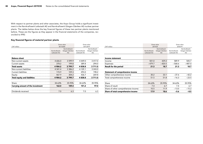With respect to partner plants and other associates, the Axpo Group holds a significant investment in the Kernkraftwerk Leibstadt AG and Kernkraftwerk Gösgen-Däniken AG nuclear partner plants. The tables below show the key financial figures of these two partner plants mentioned before. These are the figures as they appear in the financial statements of the companies, reconciled to IFRS:

#### Key financial figures of material partner plants

|                                     |               | Gross value    |               | Gross value    |
|-------------------------------------|---------------|----------------|---------------|----------------|
| CHF million                         | 30.9.2020     |                | 30.9.2019     |                |
|                                     |               | Kernkraftwerk  |               | Kernkraftwerk  |
|                                     | Kernkraftwerk | Gösgen-Däniken | Kernkraftwerk | Gösgen-Däniken |
|                                     | Leibstadt AG  | AG             | Leibstadt AG  | AG             |
|                                     |               |                |               |                |
| <b>Balance sheet</b>                |               |                |               |                |
| Non-current assets                  | 4 606.0       | 3599.9         | 4 4 4 9 .0    | 3 4 1 7 .0     |
| Current assets                      | 378.2         | 199.8          | 389.8         | 294.0          |
| <b>Total assets</b>                 | 4 984.2       | 3799.7         | 4838.8        | 3711.0         |
| Non-current liabilities             | 4 3 4 1 . 4   | 3 3 8 6 . 2    | 4 109.1       | 3 243.0        |
| <b>Current liabilities</b>          | 174.9         | 109.3          | 293.0         | 198.2          |
| Equity                              | 467.9         | 304.2          | 436.7         | 269.8          |
| <b>Total equity and liabilities</b> | 4 984.2       | 3799.7         | 4838.8        | 3711.0         |
|                                     |               |                |               |                |
| Share                               | 34.63%        | 35.95%         | 34.63%        | 35.95%         |
| Carrying amount of the investment   | 162.0         | 109.4          | 151.2         | 97.0           |
|                                     |               |                |               |                |
| Dividends received                  | 7.0           | 6.3            | 7.0           | 6.3            |

| CHF million                              | Gross value<br>2019/20 |                | Gross value<br>2018/19 |                |
|------------------------------------------|------------------------|----------------|------------------------|----------------|
|                                          |                        | Kernkraftwerk  |                        | Kernkraftwerk  |
|                                          | Kernkraftwerk          | Gösgen-Däniken | Kernkraftwerk          | Gösgen-Däniken |
|                                          | Leibstadt AG           | AG             | Leibstadt AG           | AG             |
|                                          |                        |                |                        |                |
| Income statement                         |                        |                |                        |                |
| Income                                   | 501.0                  | 439.2          | 589.9                  | 505.7          |
| <b>Expenses</b>                          | $-479.7$               | $-420.5$       | $-568.6$               | $-487.0$       |
| <b>Result for the period</b>             | 21.3                   | 18.7           | 21.3                   | 18.7           |
|                                          |                        |                |                        |                |
| <b>Statement of comprehensive income</b> |                        |                |                        |                |
| Other comprehensive income               | 30.2                   | 33.1           | $-37.6$                | $-42.2$        |
| Total comprehensive income               | 51.5                   | 51.8           | $-16.3$                | $-23.5$        |
|                                          |                        |                |                        |                |
| Share                                    | 34.63%                 | 35.95%         | 34.63%                 | 35.95%         |
| Share of result                          | 7.4                    | 6.7            | 7.4                    | 6.7            |
| Share of other comprehensive income      | 10.5                   | 11.9           | $-13.0$                | $-15.2$        |
| Share of total comprehensive income      | 17.9                   | 18.6           | $-5.6$                 | $-8.5$         |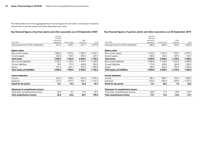The tables below show the aggregated key financial figures for the other, individually immaterial, investments in partner plants and other associates (pro rata):

### Key financial figures of partner plants and other associates as at 30 September 2020

#### Key financial figures of partner plants and other associates as at 30 September 2019

|                                     | Individual  |                |            |             |
|-------------------------------------|-------------|----------------|------------|-------------|
|                                     | disclosed   |                |            |             |
|                                     | investments |                | Other      |             |
| CHF million                         | aggregated  | Partner plants | associates | Total       |
| Carrying amount of the investments  | 271.4       | 634.7          | 571.7      | 1 477.8     |
| <b>Balance sheet</b>                |             |                |            |             |
| Non-current assets                  | 2889.2      | 1857.6         | 1807.9     | 6 5 5 4.7   |
| Current assets                      | 202.8       | 108.4          | 290.3      | 601.5       |
| <b>Total assets</b>                 | 3 092.0     | 1966.0         | 2098.2     | 7 156.2     |
| Non-current liabilities             | 2 7 2 0.7   | 1 1 5 4 . 4    | 1 279.1    | 5 1 5 4 . 2 |
| <b>Current liabilities</b>          | 99.9        | 177.5          | 224.8      | 502.2       |
| Equity                              | 271.4       | 634.1          | 594.3      | 1499.8      |
| <b>Total equity and liabilities</b> | 3 0 9 2.0   | 1966.0         | 2098.2     | 7 156.2     |
| <b>Income statement</b>             |             |                |            |             |
| Income                              | 331.4       | 438.6          | 461.6      | 1 231.6     |
| <b>Expenses</b>                     | $-317.3$    | $-419.3$       | $-425.3$   | $-1161.9$   |
| <b>Result for the period</b>        | 14.1        | 19.3           | 36.3       | 69.7        |
| Statement of comprehensive income   |             |                |            |             |
| Total other comprehensive income    | 22.4        | 5.3            | 11.8       | 39.5        |
| Total comprehensive income          | 36.5        | 24.6           | 48.1       | 109.2       |
|                                     |             |                |            |             |

|                                          | Individual  |                |                     |             |
|------------------------------------------|-------------|----------------|---------------------|-------------|
|                                          | disclosed   |                |                     |             |
| CHF million                              | investments | Partner plants | Other<br>associates | Total       |
|                                          | aggregated  |                |                     |             |
| Carrying amount of the investments       | 248.2       | 663.0          | 554.2               | 1 4 6 5.4   |
|                                          |             |                |                     |             |
| <b>Balance sheet</b>                     |             |                |                     |             |
| Non-current assets                       | 2769.2      | 1916.0         | 1 790.1             | 6475.3      |
| Current assets                           | 240.6       | 142.6          | 349.5               | 732.7       |
| <b>Total assets</b>                      | 3 009.8     | 2058.6         | 2 139.6             | 7 208.0     |
| Non-current liabilities                  | 2588.8      | 1 1 3 3 . 0    | 1 2 1 6 . 2         | 4 9 3 8.0   |
| Current liabilities                      | 172.8       | 263.0          | 364.4               | 800.2       |
| Equity                                   | 248.2       | 662.6          | 559.0               | 1469.8      |
| <b>Total equity and liabilities</b>      | 3 009.8     | 2058.6         | 2 139.6             | 7 208.0     |
|                                          |             |                |                     |             |
| Income statement                         |             |                |                     |             |
| Income                                   | 386.1       | 480.7          | 516.9               | 1 3 8 3 . 7 |
| Expenses                                 | $-372.0$    | $-460.5$       | $-509.0$            | $-1341.5$   |
| <b>Result for the period</b>             | 14.1        | 20.2           | 7.9                 | 42.2        |
|                                          |             |                |                     |             |
| <b>Statement of comprehensive income</b> |             |                |                     |             |
| Total other comprehensive income         | $-28.2$     | $-7.2$         | $-20.5$             | $-55.9$     |
| Total comprehensive income               | $-14.1$     | 13.0           | $-12.6$             | $-13.7$     |
|                                          |             |                |                     |             |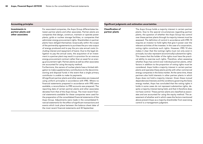#### Accounting principles

Investments in partner plants and other associates

For associated companies, the Axpo Group differentiates between partner plants and other associates. Partner plants are companies that design, construct, maintain or operate power plants, grids or nuclear storage facilities, or companies that administer energy procurement rights. Shareholders in partner plants have obliged themselves reciprocally within the scope of the partnership agreements to purchase the pro-rata output of energy produced and to pay the pro-rata annual costs (including interest and repayment of loans). Due to the legal obligation to pay the annual costs, the acquisition of an investment in a partner plant may result in a provision for an onerous energy procurement contract rather than an asset for an energy procurement right. Partner plants as well as other associates are accounted for using the equity method.

Furthermore, the owners of nuclear plants have a limited obligation to make supplementary contributions to the decommissioning and disposal funds in the event that a single primary contributor is unable to make its payments.

All significant partner plants and other associates are measured using uniform principles in accordance with IFRS. Where no financial statements prepared in accordance with IFRS were available, a reconciliation to IFRS accounts was prepared. The reporting date of certain partner plants and other associates deviates from that of the Axpo Group. The most recent financial statements available for these companies were used for the preparation of the consolidated financial statements of the Axpo Group. Adjustments were made in the consolidated financial statements for the effect of significant transactions and events which took place between the balance sheet date of the most recent financial statements and 30 September.

#### Significant judgments and estimation uncertainties

Classification of partner plants

The Axpo Group holds a majority interest in certain partner plants. Due to the special circumstances regarding partner plants, the question of whether the Axpo Group has control over these partner plants through its majority interest must be assessed. The definition of control in accordance with IFRS 10 requires an investor to hold rights that give it power over the relevant activities of the investee. In the case of a corporation, voting rights constitute such rights. However, IFRS 10 also makes it clear that the (voting) rights must not only exist in principle, but also represent (economically) substantive rights. This means that the holder of the rights must have the practical ability to exercise such rights. Therefore, when assessing whether Axpo has control over individual partner plants, other factors in addition to the proportion of voting rights must be considered. Axpo holds a majority interest in certain partner plants and operates these plants jointly with other commercial energy companies in the Swiss market. At the same time, these partners also hold interests in other partner plants in which Axpo does not hold a majority interest. Given these mutual dependencies/interests and the conditions governing the Swiss energy market, Axpo has concluded that the voting rights it holds in some cases do not represent substantive rights, despite a majority interest being held, and that it therefore does not have control. These partner plants are classified as associates and are accounted for using the equity method. The assessment of whether and in which cases the factors mentioned above prevent Axpo as a majority shareholder from exercising control is a management judgment.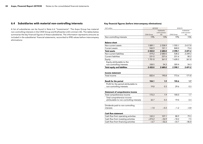### 6.4 Subsidiaries with material non-controlling interests

A list of subsidiaries can be found in Note 6.6 "Investments". The Axpo Group has material non-controlling interests in the CKW Group and Kraftwerke Linth-Limmern AG. The tables below summarise the key financial figures of these subsidiaries. The information represents amounts as included in the subsidiaries' financial statements, reconciled to IFRS values before intercompany eliminations:

#### Key financial figures (before intercompany eliminations)

| CHF million                                                        | 2019/20          |                                   | 2018/19          |                                   |
|--------------------------------------------------------------------|------------------|-----------------------------------|------------------|-----------------------------------|
|                                                                    | <b>CKW Group</b> | Kraftwerke<br>Linth-Limmern<br>AG | <b>CKW Group</b> | Kraftwerke<br>Linth-Limmern<br>AG |
| Non-controlling interests                                          | 19%              | 15%                               | 19%              | 15%                               |
| <b>Balance sheet</b>                                               |                  |                                   |                  |                                   |
| Non-current assets                                                 | 1889.1           | 2 5 5 8.9                         | 1 550.1          | 2617.8                            |
| Current assets                                                     | 542.9            | 121.1                             | 848.0            | 73.4                              |
| <b>Total assets</b>                                                | 2 432.0          | 2 680.0                           | 2 3 9 8.1        | 2 691.2                           |
| Non-current liabilities                                            | 419.2            | 2 0 8 0.5                         | 538.2            | 2 2 4 9 . 2                       |
| <b>Current liabilities</b>                                         | 231.0            | 237.6                             | 231.6            | 80.2                              |
| Equity                                                             | 1781.8           | 361.9                             | 1 628.3          | 361.8                             |
| Equity attributable to the                                         |                  |                                   |                  |                                   |
| non-controlling interests                                          | 338.5            | 54.3                              | 309.4            | 54.3                              |
| <b>Total equity and liabilities</b>                                | 2 432.0          | 2 680.0                           | 2 3 9 8.1        | 2 691.2                           |
| <b>Income statement</b>                                            |                  |                                   |                  |                                   |
| Total income                                                       | 820.4            | 190.8                             | 773.6            | 171.8                             |
| <b>Result for the period</b>                                       | 104.1            | 1.9                               | 155.6            | 1.7                               |
| Profit for the period attributable to<br>non-controlling interests | 19.8             | 0.3                               | 29.6             | 0.3                               |
| <b>Statement of comprehensive income</b>                           |                  |                                   |                  |                                   |
| Total comprehensive income                                         | 172.3            | 1.9                               | 100.0            | 1.7                               |
| Total comprehensive income                                         |                  |                                   | 19.0             | 0.3                               |
| attributable to non-controlling interests                          | 32.7             | 0.3                               |                  |                                   |
| Dividends paid to non-controlling<br>interests                     | $-1.8$           | $-0.3$                            | $-1.2$           | $-0.8$                            |
| <b>Cash flow statement</b>                                         |                  |                                   |                  |                                   |
| Cash flow from operating activities                                | 165.3            | 107.1                             | 88.9             | 79.3                              |
| Cash flow from investing activities                                | $-273.2$         | $-54.9$                           | $-18.2$          | 7.5                               |
| Cash flow from financing activities                                | -6.7             | $-52.2$                           | $-33.7$          | $-86.8$                           |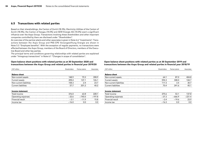### 6.5 Transactions with related parties

Based on their shareholdings, the Canton of Zurich (18.3%), Electricity Utilities of the Canton of Zurich (18.4%), the Canton of Aargau (14.0%) and AEW Energie AG (14.0%) exert a significant influence over the Axpo Group. Transactions involving these shareholders and other important companies controlled by them are disclosed under "Shareholders".

An overview of the partner plants and other associates is given in Note 6.6 "Investments". Transactions between the Axpo Group and PKE-CPE Vorsorgestiftung Energie are shown in Note 5.3 "Employee benefits". With the exception of regular payments, no transactions were effected between the Axpo Group, members of the Board of Directors, members of the Executive Board and other key parties.

The principal terms and conditions governing relationships with related parties are explained under "Intragroup transactions" in Note 6.1 "Changes in scope of consolidation".

#### Open balance sheet positions with related parties as at 30 September 2020 and transactions between the Axpo Group and related parties in financial year 2019/20

| CHF million             | Shareholders | Partner plants | Associates |
|-------------------------|--------------|----------------|------------|
| <b>Balance sheet</b>    |              |                |            |
| Non-current assets      | 148.9        | 75.5           | 398.9      |
| Current assets          | 498.4        | 137.1          | 126.1      |
| Non-current liabilities | 158.3        | 2.4            | 23.7       |
| Current liabilities     | 57.7         | 201.2          | 40.2       |
| Income statement        |              |                |            |
| Total income            | 376.0        | 63.8           | 228.1      |
| Operating expenses      | $-32.6$      | $-745.0$       | $-197.8$   |
| Financial result        | $-3.1$       | $-11.9$        | 15.8       |
| Income tax              | $-16.0$      | 0.0            | 0.0        |

#### Open balance sheet positions with related parties as at 30 September 2019 and transactions between the Axpo Group and related parties in financial year 2018/19

| CHF million                | Shareholders | Partner plants | Associates |
|----------------------------|--------------|----------------|------------|
| <b>Balance sheet</b>       |              |                |            |
| Non-current assets         | 64.1         | 87.0           | 404.8      |
| Current assets             | 594.3        | 308.0          | 144.7      |
| Non-current liabilities    | 117.3        | 3.4            | 30.7       |
| <b>Current liabilities</b> | 70.4         | 241.6          | 45.1       |
| Income statement           |              |                |            |
| Total income               | 375.6        | 53.1           | 137.8      |
| Operating expenses         | $-37.3$      | $-666.9$       | $-221.4$   |
| Financial result           | $-2.4$       | $-19.6$        | 23.9       |

 $I_n$  and the tax  $\sim$   $-16.3$  0.0 0.0 0.0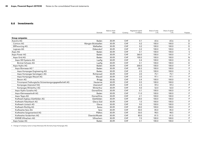### 6.6 Investments

|                                                         |                     | <b>Balance</b> sheet |            | Registered capital | Share of votes | Share of capital |         |
|---------------------------------------------------------|---------------------|----------------------|------------|--------------------|----------------|------------------|---------|
|                                                         | Domicile            | date                 | Currency   | in millions        | in $%$         | in $%$           | Purpose |
| <b>Group companies</b>                                  |                     |                      |            |                    |                |                  |         |
| Avectris AG                                             | Baden               | 30.09.               | CHF        | 0.1                | 65.6           | 65.6             | D.      |
| Comicro AG                                              | Wangen-Brüttisellen | 30.09.               | <b>CHF</b> | 0.2                | 100.0          | 100.0            | D       |
| <b>ERPsourcing AG</b>                                   | Wallisellen         | 30.09.               | <b>CHF</b> | 0.2                | 100.0          | 100.0            | D       |
| Logicare AG                                             | Dübendorf           | 30.09                | CHF        | 0.2                | 100.0          | 100.0            | D       |
| Axpo AG                                                 | Baden               | 30.09.               | <b>CHF</b> | 0.1<br>-----       | 100.0          | 100.0            |         |
| Axpo Power AG                                           | Baden               | 30.09.               | <b>CHF</b> | 360.0              | 100.0          | 100.0            |         |
| Axpo Grid AG                                            | Baden               | 30.09.               | CHF        | 100.0              | 100.0          | 100.0            | N       |
| Axpo WZ-Systems AG                                      | Lupfig              | 30.09.               | CHF        | 0.4                | 100.0          | 100.0            | D       |
| <b>BLUnet Schweiz AG</b>                                | Lupfig              | 30.09.               | <b>CHF</b> | 0.1                | 100.0          | 100.0            | ח       |
| Axpo Hydro AG                                           | Baden               | 30.09.               | <b>CHF</b> | 200.0              | 100.0          | 100.0            |         |
| Axpo Biomasse AG <sup>1)</sup>                          | Baden               | 30.09.               | <b>CHF</b> | 30.3               | 100.0          | 100.0            |         |
| Axpo Kompogas Engineering AG                            | Baden               | 30.09.               | <b>CHF</b> | 2.5                | 100.0          | 100.0            | S       |
| Axpo Kompogas Samstagern AG                             | Richterswil         | 30.09.               | CHF        | 2.0                | 75.1           | 75.1             | D       |
| Axpo Kompogas Wauwil AG                                 | Wauwil              | 30.09                | <b>CHF</b> | 3.5                | 97.1           | 97.7             |         |
| Berom AG                                                | <b>Brügg</b>        | 30.06.               | <b>CHF</b> | 0.4                | 100.0          | 100.0            | n       |
| Fricompost Freiburgische Grünentsorgungsgesellschaft AG | Hauterive           | 30.09.               | CHF        | 0.5                | 100.0          | 100.0            |         |
| Kompogas Utzenstorf AG                                  | Utzenstorf          | 30.09.               | CHF        | 2.3                | 59.3           | 59.3             |         |
| Kompogas Winterthur AG                                  | Winterthur          | 30.09.               | <b>CHF</b> | 4.0                | 52.0           | 52.0             |         |
| Axpo Hydro Surselva AG                                  | Domat/Ems           | 30.09.               | <b>CHF</b> | 0.1                | 100.0          | 100.0            |         |
| Axpo Kleinwasserkraft AG                                | Baden               | 30.09.               | <b>CHF</b> | 11.0               | 100.0          | 100.0            |         |
| Axpo Tegra AG                                           | Domat/Ems           | 30.09.               | CHF        | 2.1                | 100.0          | 100.0            |         |
| Kraftwerk Eglisau-Glattfelden AG                        | Glattfelden         | 30.09                | <b>CHF</b> | 20.0               | 100.0          | 100.0            |         |
| Kraftwerk Fätschbach AG                                 | Glarus Süd          | 30.09                | <b>CHF</b> | 1.0                | 100.0          | 100.0            |         |
| Kraftwerk Löntsch AG                                    | Glarus              | 30.09.               | <b>CHF</b> | 9.0                | 100.0          | 100.0            |         |
| Kraftwerk Rüchlig AG                                    | Aarau               | 30.09.               | <b>CHF</b> | 20.0               | 100.0          | 100.0            |         |
| Kraftwerke Ilanz AG                                     | Ilanz               | 30.09.               | <b>CHF</b> | 50.0               | 85.0           | 85.0             |         |
| Kraftwerke Sarganserland AG                             | Pfäfers             | 30.09                | <b>CHF</b> | 50.0               | 98.5           | 98.5             |         |
| Kraftwerke Vorderrhein AG                               | Disentis/Mustér     | 30.09.               | <b>CHF</b> | 80.0               | 81.5           | 81.5             |         |
| <b>KWWB Villnachern AG</b>                              | Villnachern         | 30.09.               | <b>CHF</b> | 7.0                | 100.0          | 100.0            | D<br>.  |
| Axpo Suisse AG                                          | Baden               | 30.09.               | CHF        | 0.1                | 100.0          | 100.0            | V       |

1) Change of company name to Axpo Biomasse AG (formerly Axpo Kompogas AG).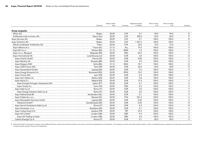|                                       |                  | <b>Balance</b> sheet<br>Registered capital |            | Share of votes | Share of capital |        |                            |
|---------------------------------------|------------------|--------------------------------------------|------------|----------------|------------------|--------|----------------------------|
|                                       | Domicile         | date                                       | Currency   | in millions    | in $%$           | in $%$ | Purpose                    |
| <b>Group companies</b>                |                  |                                            |            |                |                  |        |                            |
| Elblox AG                             | Baden            | 30.09.                                     | <b>CHF</b> | 0.1            | 94.0             | 94.0   | D                          |
| Kraftwerke Linth-Limmern AG           | Glarus Süd       | 30.09.                                     | <b>CHF</b> | 350.0          | 85.0             | 85.0   |                            |
| Axpo Services AG                      | Baden            | 30.09.                                     | CHF        | 0.1            | 100.0            | 100.0  | D                          |
| Axpo Solutions AG                     | Baden            | 30.09.                                     | CHF        | 1 567.0        | 100.0            | 100.0  |                            |
| Albula-Landwasser Kraftwerke AG       | Filisur          | 30.09.                                     | <b>CHF</b> | 22.0           | 75.0             | 75.0   |                            |
| Axpo Albania sh.a.                    | Tirana (AL)      | 31.12.                                     | ALL        | 19.2           | 100.0            | 100.0  | $\vee$                     |
| Axpo BH d.o.o.                        | Mostar (BA)      | 31.12.                                     | <b>BAM</b> | 1.0            | 100.0            | 100.0  | $\vee$                     |
| Axpo d.o.o. Beograd                   | Belgrade (RS)    | 30.09.                                     | <b>RSD</b> | 49.3           | 100.0            | 100.0  | V<br>. . 1 .               |
| Axpo International SA                 | Luxembourg (LU)  | 30.09.                                     | <b>EUR</b> | 3.8            | 100.0            | 100.0  | D                          |
| Axpo Austria GmbH                     | Vienna (AT)      | 30.09.                                     | <b>EUR</b> | 0.04           | 100.0            | 100.0  | $- - - - -$<br>$\vee$<br>. |
| Axpo Benelux SA                       | Brussels (BE)    | 30.09.                                     | <b>EUR</b> | 0.5            | 100.0            | 100.0  | $\vee$<br>.                |
| Axpo Bulgaria EAD                     | Sofia (BG)       | 31.12.                                     | <b>BGN</b> | 18.1           | 100.0            | 100.0  | D                          |
| Axpo CKW France SAS                   | Paris (FR)       | 30.09.                                     | <b>EUR</b> | 26.4           | 60.0             | 60.0   | D                          |
| Axpo Deutschland GmbH                 | Leipzig (DE)     | 30.09.                                     | <b>EUR</b> | 3.5            | 100.0            | 100.0  |                            |
| Axpo Energy Romania S.A.              | Bucharest (RO)   | 30.09.                                     | <b>RON</b> | 12.0           | 100.0            | 100.0  |                            |
| Axpo France SAS                       | Lyon (FR)        | 30.09.                                     | <b>EUR</b> | 0.4            | 100.0            | 100.0  |                            |
| Axpo Gen Hellas S.A.                  | Athens (GR)      | 30.09.                                     | <b>EUR</b> | 0.8            | 100.0            | 100.0  |                            |
| Axpo Iberia S.L.                      | Madrid (ES)      | 30.09.                                     | <b>EUR</b> | 11.0           | 100.0            | 100.0  | v                          |
| Axpo Energia Portugal, Unipessoal LDA | Lisbon (PT)      | 30.09.                                     | <b>EUR</b> | 0.1            | 100.0            | 100.0  | $\vee$                     |
| Axpo Tunisia S.L.                     | Tunis (TN)       | 30.09.                                     | <b>TND</b> | 0.2            | 100.0            | 100.0  | $\vee$                     |
| Axpo Italia S.p.A.                    | Rome (IT)        | 30.09.                                     | <b>EUR</b> | 3.0            | 100.0            | 100.0  | V                          |
| Axpo Energy Solutions Italia S.p.A.   | Rome (IT)        | 30.09                                      | <b>EUR</b> | 2.0            | 100.0            | 100.0  | $\sqrt{}$                  |
| Axpo Netherlands BV                   | Amsterdam (NL)   | 30.09.                                     | <b>EUR</b> | 0.1            | 100.0            | 100.0  | $\vee$                     |
| Axpo Polska Sp.z.o.o.                 | Warsaw (PL)      | 30.09.                                     | <b>PLN</b> | 241.3          | 100.0            | 100.0  | V<br>.                     |
| Axpo Renewable Germany GmbH           | Leipzig (DE)     | 30.09.                                     | <b>EUR</b> | 0.03           | 100.0            | 100.0  | S                          |
| Volkswind GmbH <sup>2)</sup>          | Ganderkesee (DE) | 30.09.                                     | <b>EUR</b> | 0.03           | 100.0            | 100.0  | D                          |
| Axpo Servizi Produzione Italia S.p.A. | Rome (IT)        | 30.09.                                     | <b>EUR</b> | 0.3            | 100.0            | 100.0  | $\mathsf{D}$               |
| Axpo Slovensko, s.r.o.                | Bratislava (SK)  | 30.09.                                     | <b>EUR</b> | 0.1            | 100.0            | 100.0  | $\vee$<br>.                |
| Axpo Turkey Enerji A.S.               | Istanbul (TR)    | 30.09.                                     | <b>TRY</b> | 27.0           | 100.0            | 100.0  | $\vee$                     |
| Axpo UK Limited                       | London (GB)      | 30.09                                      | <b>GBP</b> | 9.5            | 100.0            | 100.0  | $\mathcal{U}$              |
| Axpo UK Trading Limited               | London (GB)      | 30.09                                      | <b>GBP</b> | 0.2            | 100.0            | 100.0  |                            |
| Calenia Energia S.p.A.                | Rome (IT)        | 30.09.                                     | <b>EUR</b> | 0.1            | 85.0             | 85.0   | P                          |

2) Volkswind GmbH is the parent company of the Volkswind Group, which has business activities in the area of wind farm development and operation. The company controls and holds majority stakes in fully consolidated group c using the equity method. They are not listed here.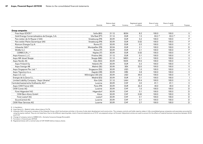|                                                   |                    | <b>Balance</b> sheet |            | Registered capital | Share of votes    | Share of capital  |         |
|---------------------------------------------------|--------------------|----------------------|------------|--------------------|-------------------|-------------------|---------|
|                                                   | Domicile           | date                 | Currency   | in millions        | in $%$            | in $%$            | Purpose |
| <b>Group companies</b>                            |                    |                      |            |                    |                   |                   |         |
| Frea Axpo EOOD <sup>3)</sup>                      | Sofia (BG)         | 31.12.               | <b>BGN</b> | 8.2                | 100.0             | 100.0             |         |
| Gold Energy-Comercializadora de Energía, S.A.     | Vila Real (PT)     | 31.12.               | <b>EUR</b> | 1.5                | 83.3 <sup>4</sup> | 83.3 <sup>4</sup> |         |
| Parc éolien de St Riquier 2 SAS                   | Strasbourg (FR)    | 30.09.               | <b>EUR</b> | 0.2                | 100.0             | 100.0             |         |
| Parc éolien Plaine Dynamique SAS                  | Strasbourg (FR)    | 30.09.               | <b>EUR</b> | 0.02               | 100.0             | 100.0             |         |
| Rizziconi Energia S.p.A.                          | Rome (IT)          | 30.09.               | <b>EUR</b> | 0.5                | 100.0             | 100.0             |         |
| Urbasolar SAS <sup>5)</sup>                       | Montpellier (FR)   | 30.04.               | <b>EUR</b> | 2.1                | 100.0             | 100.0             |         |
| WinBis S.r.l.                                     | Rome (IT)          | 30.09.               | <b>EUR</b> | 0.1                | 100.0             | 100.0             |         |
| CERBIS S.R.L. <sup>6)</sup>                       | Naples (IT)        | 30.09.               | <b>EUR</b> | 0.02               | 100.0             | 100.0             |         |
| Axpo Kosovo L.L.C.                                | Pristina (XK)      | 31.12.               | <b>EUR</b> | 0.1                | 100.0             | 100.0             |         |
| Axpo MK dooel Skopje                              | Skopje (MK)        | 31.12.               | <b>MKD</b> | 6.1                | 100.0             | 100.0             |         |
| Axpo Nordic AS                                    | Oslo (NO)          | 30.09.               | <b>NOK</b> | 59.0               | 100.0             | 100.0             |         |
| Axpo Finland Oy                                   | Helsinki (FI)      | 30.09.               | <b>EUR</b> | 0.3                | 100.0             | 100.0             |         |
| Axpo Sverige AB                                   | Malmö (SE)         | 30.09.               | <b>SEK</b> | 52.0               | 100.0             | 100.0             |         |
| Axpo Singapore Pte. Ltd. <sup>7)</sup>            | Singapore (SG)     | 30.09.               | <b>USD</b> | 1.0                | 100.0             | 100.0             |         |
| Axpo Trgovina d.o.o.                              | Zagreb (HR)        | 30.09.               | <b>HRK</b> | 0.8                | 100.0             | 100.0             |         |
| Axpo U.S. LLC                                     | Wilmington DE (US) | 30.09.               | <b>USD</b> | 44.0               | 100.0             | 100.0             |         |
| Energia de la Zarza S.L.                          | Madrid (ES)        | 30.09.               | <b>EUR</b> | 0.1                | 100.0             | 100.0             |         |
| Limited Liability Company "Axpo Ukraine"          | Kiev (UA)          | 31.12.               | <b>UAH</b> | 29.4               | 100.0             | 100.0             |         |
| Centralschweizerische Kraftwerke AG <sup>8)</sup> | Lucerne            | 30.09.               | <b>CHF</b> | 3.0                | 81.1              | 81.1              |         |
| Axpo CKW France SAS                               | Paris (FR)         | 30.09.               | <b>EUR</b> | 26.4               | 40.0              | 40.0              |         |
| <b>CKW Conex AG</b>                               | Lucerne            | 30.09.               | <b>CHF</b> | 1.0                | 100.0             | 100.0             |         |
| Fürst Hägendorf AG                                | Hägendorf          | 30.09.               | <b>CHF</b> | 0.1<br>            | 100.0             | 100.0             | D.<br>. |
| CKW Bern-Köniz GmbH                               | Köniz              | 30.09.               | <b>CHF</b> | 0.02               | 100.0             | 100.0             | D.      |
| Fürst Lostorf AG                                  | Lostorf            | 30.09.               | <b>CHF</b> | 0.1                | 100.0             | 100.0             |         |
| SicuroCentral AG                                  | ucerne             | 30.09                | <b>CHF</b> | 0.1                | 100.0             | 100.0             |         |
| <b>CKW Fiber Services AG</b>                      | Lucerne            | 30.09.               | <b>CHF</b> | 2.7                | 100.0             | 100.0             | D       |

3) In liquidation.

4) Axpo Iberia S.L., Madrid, holds a direct share of 16.7%.

5) Urbasolar SAS is the parent company of the Urbasolar Group, which has business activities in the area of solar plant development and construction. The company controls and holds majority stakes in fully consolidated gro using the equity method. They are not listed here. Due to the different reporting date, interim financial statements as of 31.07. are prepared using a roll forward. Adjustment entries are used to account for the effects of and 31.07.

6) Change of company name to CERBIS S.R.L. (formerly Consorzio Energie Rinnovabili).

7) Formation in financial year 2019/20.

8) Registered shares with a nominal value of CHF 29,692 held as treasury shares.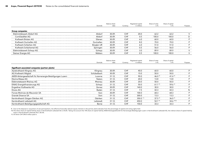|                                                              | <b>Balance</b> sheet<br>Registered capital |                      | Share of votes<br>Share of capital |                    |                |                   |               |
|--------------------------------------------------------------|--------------------------------------------|----------------------|------------------------------------|--------------------|----------------|-------------------|---------------|
|                                                              | Domicile                                   | date                 | Currency                           | in millions        | in $%$         | in $%$            | Purpose       |
| <b>Group companies</b>                                       |                                            |                      |                                    |                    |                |                   |               |
| Elektrizitätswerk Altdorf AG                                 | Altdorf                                    | 30.09.               | <b>CHF</b>                         | 20.0               | 62.2           | 62.2              |               |
| ComDataNet AG                                                | Altdorf                                    | 30.09.               | <b>CHF</b>                         | 0.5                | 100.0          | 100.0             |               |
| Kraftwerk Bristen AG                                         | Silenen                                    | 30.09.               | CHF                                | 6.0                | 60.0           | 60.0              |               |
| Kraftwerk Gurtnellen AG                                      | Gurtnellen                                 | 30.09.               | <b>CHF</b>                         | 8.0                | 70.0           | 70.0              |               |
| Kraftwerk Schächen AG                                        | Bürglen UR                                 | 30.09.               | <b>CHF</b>                         | 6.0                | 51.0           | 51.0              |               |
| Kraftwerk Schächental AG                                     | Spiringen                                  | 30.09.               | <b>CHF</b>                         | 0.5                | 56.0           | 56.0              |               |
| Elektrizitätswerk Schwyz AG                                  | Schwyz                                     | 30.09.               | CHF                                | .<br>3.0           | 89.9           | 89.9              |               |
| Steiner Energie AG                                           | Malters                                    | 30.09.               | <b>CHF</b>                         | 0.5                | 100.0          | 100.0             | $\mathcal{L}$ |
|                                                              |                                            |                      |                                    |                    |                |                   |               |
|                                                              |                                            | <b>Balance</b> sheet |                                    | Registered capital | Share of votes | Share of capital  |               |
|                                                              | Domicile                                   | date                 | Currency                           | in millions        | in $%$         | in $%$            | Purpose       |
| Significant associated companies (partner plants)            |                                            |                      |                                    |                    |                |                   |               |
| Aarekraftwerk Klingnau AG                                    | Klingnau                                   | 30.09.               | CHF                                | 40.0               | 60.0           | 60.0              |               |
| AG Kraftwerk Wägital                                         | Schübelbach                                | 30.09.               | <b>CHF</b>                         | 15.0               | 50.0           | 50.0              |               |
| AKEB Aktiengesellschaft für Kernenergie-Beteiligungen Luzern | Lucerne                                    | 31.12.               | <b>CHF</b>                         | 90.0<br>.          | 46.0 $9$       | 41.4 $9$          |               |
| Electra-Massa AG                                             | Naters                                     | 31.12.               | <b>CHF</b>                         | 20.0               | 13.8           | 13.8              |               |
| Elektrizitätswerk Rheinau AG                                 | Rheinau                                    | 30.09.               | <b>CHF</b>                         | 20.0               | 50.0           | 50.0              |               |
| <b>ENAG Energiefinanzierungs AG</b>                          | Schwyz                                     | 31.12.               | <b>CHF</b>                         | 50.0               | 61.7 $^{9}$    | 59.6 $9$          |               |
| Engadiner Kraftwerke AG                                      | Zernez                                     | 30.09.               | <b>CHF</b>                         | 140.0              | 30.0           | 30.0              |               |
| Etrans AG                                                    | Baden                                      | 31.12.               | <b>CHF</b>                         | 7.5                | 42.3           | 42.3              |               |
| Forces Motrices de Mauvoisin SA                              | Sion                                       | 30.09.               | <b>CHF</b>                         | 100.0              | 68.3           | 68.3              | D             |
| Grande Dixence SA                                            | Sion                                       | 31.12.               | <b>CHF</b>                         | 300.0              | 13.3           | 13.3              | ה             |
| Kernkraftwerk Gösgen-Däniken AG                              | Däniken                                    | 31.12.               | <b>CHF</b>                         | 350.0 11)          | $37.5$ %       | 36.0 <sup>9</sup> |               |
| Kernkraftwerk Leibstadt AG                                   | Leibstadt                                  | 31.12.               | <b>CHF</b>                         | 450.0              | 52.7 $9$       | 34.6 910)         |               |
| Kernkraftwerk-Beteiligungsgesellschaft AG                    | Berne                                      | 31.12.               | <b>CHF</b>                         | 150.0              | 33.3           | 33.3              | P             |

9) Due to the disposal or acquisition of sub-participations, the effective financially relevant equity interests in the partner plants deviates from the percentage of capital and voting rights held.

10 The direct share of capital held by Axpo in Kernkraftwerk Leibstadt AG is 34.6%. Taking into account the 15% share of capital held by AKEB Aktiengesellschaft für Kernenergie-Beteiligungen Luzern in Kernkraftwerk Leibsta Axpo in Kernkraftwerk Leibstadt AG is 38.3%.

11) Of which CHF 290.0 million paid in.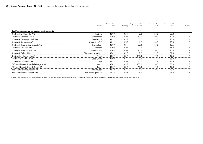|         |             | Share of capital<br>Share of votes |             | Registered capital |        |                    |                                                   |
|---------|-------------|------------------------------------|-------------|--------------------|--------|--------------------|---------------------------------------------------|
| Purpose | in $%$      | in $%$                             | in millions | Currency           | date   | Domicile           |                                                   |
|         |             |                                    |             |                    |        |                    | Significant associated companies (partner plants) |
|         | 38.0        | 38.0                               | 2.0         | <b>CHF</b>         | 30.09. | Erstfeld           | Kraftwerk Erstfeldertal AG                        |
|         | 50.C        | 50.0                               | 60.0        | CHF                | 30.09. | Göschenen          | Kraftwerk Göschenen AG                            |
|         | 15.0        | 15.C                               |             | CHF                | 31.12. | Seedorf UR         | Kraftwerk Palanggenbach AG                        |
|         | 20.0        | 20.0                               |             | EUR                | 31.12. | Küssaberg (DE)     | Kraftwerk Reckingen AG                            |
|         | 13.5        | 13.5                               | 30.0        | CHF                | 30.09. | Rheinfelden        | Kraftwerk Ryburg-Schwörstadt AG                   |
|         | 18.C        | 18.C                               | 2.0         | CHF                | 30.09. | Alpnach            | Kraftwerk Sarneraa AG                             |
|         | 30.C        | 30.C                               | 10.0        | CHF                | 30.09. | atthausen          | Kraftwerk Schaffhausen AG                         |
|         | 51.0        | 51.0                               | 9.2         | CHF                | 30.09. | Obersaxen Mundaun  | Kraftwerk Tschar AG                               |
|         | 19.5        | 19.5                               | 100.0       | <b>CHF</b>         | 30.09. | Thusis             | Kraftwerke Hinterrhein AG                         |
|         | $58.3^{12}$ | 66.712                             | 90.O        | CHF                | 30.09. |                    | Kraftwerke Mattmark AG                            |
|         | 21.6        | 21.6                               | 50.0        | CHF                | 31.12. |                    | Kraftwerke Zervreila AG                           |
|         | 30.0        | 30.0                               | 100.0       | CHF                | 30.09. | Locarno            | Officine Idroelettriche della Maggia SA           |
|         | 17.0        | 17 N                               | 60.0        | <b>CHF</b>         | 30.09. | Blenio             | Officine Idroelettriche di Blenio SA              |
|         | 40.C        |                                    | 1 ቦ         | CH <sub>F</sub>    | 31.12. | Neuhausen          | Rheinkraftwerk Neuhausen AG                       |
|         | 25.0        | 25.0                               | 5.0         | <b>EUR</b>         | 31.12. | Bad Säckingen (DE) | Rheinkraftwerk Säckingen AG                       |
|         |             |                                    |             |                    |        |                    |                                                   |

12) Due to the disposal or acquisition of sub-participations, the effective financially relevant equity interests in the partner plants deviates from the percentage of capital and voting rights held.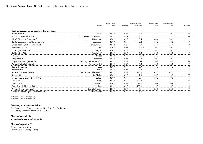|                                                     | Balance sheet               |        |            | Registered capital |        | Share of capital |         |
|-----------------------------------------------------|-----------------------------|--------|------------|--------------------|--------|------------------|---------|
|                                                     | Domicile                    | date   | Currency   | in millions        | in $%$ | in $%$           | Purpose |
| Significant associated companies (other associates) |                             |        |            |                    |        |                  |         |
| Albula Netz AG                                      | Filisur                     | 31.12. | CHF        | 17                 | 33.3   | 60.0             |         |
| Alleanza Luce&Gas S.p.A.                            | Villanova Di Castenaso (IT) | 31.12. | <b>EUR</b> | 5.0                | 5.0    | 5.0              |         |
| <b>BiEAG Biomasse Energie AG</b>                    | Hünenberg                   | 30.09. | <b>CHF</b> |                    | 40.4   | 74.1             |         |
| BV Kompostieranlage Oensingen AG                    | Oensingen                   | 30.09. | <b>CHF</b> | 0.3                | 50.0   | 50.0             |         |
| Global Tech I Offshore Wind GmbH                    | Hamburg (DE)                | 31.12  | <b>EUR</b> |                    | 24.    | 24.7             |         |
| Grischelectra AG                                    | Chur                        | 30.09. | <b>CHF</b> | 1.0 <sup>13</sup>  | 20.0   | 20.0             |         |
| Kompogas Bioriko AG                                 | Klingnau                    | 30.09  | <b>CHF</b> | 0.1                | 50.0   | 50.0             |         |
| KW Seedorf AG                                       | Seedorf UR                  | 30.09. | <b>CHF</b> | 1.0                | 20.0   | 20.0             |         |
| NIS AG                                              | Sursee                      | 31.12. | <b>CHF</b> | 1.014              | 25.0   | 25.0             |         |
| Okopower AG                                         | Ottenbach                   | 31.12. | <b>CHF</b> | 0.5                | 50.0   | 50.0             |         |
| Oxygen Technologies GmbH                            | Freiburg im Breisgau (DE)   | 31.12. | <b>EUR</b> | 0.04               | 20.9   | 94.7             |         |
| Parque Eólico la Peñuca S.L.                        | Ponferrada (ES)             | 31.12. | <b>EUR</b> | 3.3                | 46.0   | 46.0             |         |
| Realta Biogas AG                                    | Cazis                       | 30.09. | <b>CHF</b> | 0.7                | 41.7   | 41.7             |         |
| Repower AG                                          | <b>Brusio</b>               | 31.12. | <b>CHF</b> | 7.4                | 12.7   | 12.7             |         |
| Società EniPower Ferrara S.r.l.                     | San Donato Milanese (IT)    | 31.12. | <b>EUR</b> | 140.0              | 49.0   | 49.0             |         |
| Sogesa SA                                           | Le Chable                   | 30.09. | <b>CHF</b> | 2.0                | 30.0   | 30.0             |         |
| SV Kompostieranlage Bellach AG                      | Bellach                     | 30.09. | <b>CHF</b> | 0.1                | 50.0   | 50.0             |         |
| Swissgrid AG                                        | Aarau                       | 31.12. | <b>CHF</b> | 320.4              | 37.3   | 37.3             |         |
| <b>Terravent AG</b>                                 | ucerne                      | 30.09  | <b>CHF</b> | 18.0               | 20.9   | 20.9             |         |
| Trans Adriatic Pipeline AG                          | Baar                        | 31.12  | <b>CHF</b> | 405.6              | 5.0    | 5.0              |         |
| Windpark Lindenberg AG                              | Beinwil (Freiamt)           | 30.09  | <b>CHF</b> | 0.1                | 25.0   | 25.0             |         |
| Zwilag Zwischenlager Würenlingen AG                 | Würenlingen                 | 31.12. | <b>CHF</b> | 5.0                | 24.3   | 24.3             |         |

13) Of which CHF 0.2 million paid in. 14) Of which CHF 0.8 million paid in.

#### Company's business activities:

 $D =$  Services  $I =$  Project company  $N =$  Grid  $P =$  Production  $V =$  Energy supply and trading  $S =$  Other

Share of votes in %: Direct legal share of voting rights

Share of capital in %: Direct share of capital (including sub-participations)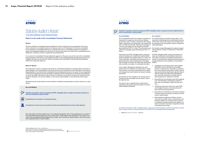## КРМС

## **Statutory Auditor's Report**

**To the General Meeting of Axpo Holding AG, Baden**

#### **Report on the Audit of the Consolidated Financial Statements**

#### **Opinion**

We have audited the consolidated financial statements of Axpo Holding AG and its subsidiaries (the Group), which comprise the consolidated statement of balance sheet as at 30 September 2019 and the consolidated income statement, consolidated statement of comprehensive income, consolidated statement of changes in equity and consolidated statement of cash flows for the year then ended, and notes to the consolidated financial statements, including a summary of significant accounting policies.

In our opinion the consolidated financial statements (pages 5 to 90) give a true and fair view of the consolidated financial position of the Group as at 30 September 2020, and its consolidated financial performance and its consolidated cash flows for the year then ended in accordance with International Financial Reporting Standards (IFRS) and comply with Swiss law.

#### **Basis for Opinion**

We conducted our audit in accordance with Swiss law, International Standards on Auditing (ISAs) and Swiss Auditing Standards. Our responsibilities under those provisions and standards are further described in the Auditor's Responsibilities for the Audit of the Consolidated Financial Statements section of our report. We are independent of the Group in accordance with the provisions of Swiss law and the requirements of the Swiss audit profession, as well as the IESBA International Code of Ethics for Professional Accountants (including the International Independence Standard), and we have fulfilled our other ethical responsibilities in accordance with these requirements.

We believe that the audit evidence we have obtained is sufficient and appropriate to provide a basis for our audit opinion.

#### **Key Audit Matters**

誟

**Valuation of property, plant and equipment (PPE), intangible assets, energy procurement contracts as well as investments in partner plants**

**Classification and valuation of energy derivatives**

**Completeness and accuracy of provisions for the decommissioning and nuclear waste disposal**

Key audit matters are those matters that, in our professional judgment, were of most significance in our audit of the consolidated financial statements of the current period. These matters were addressed in the context of our audit of the consolidated financial statements as a whole, and in forming our opinion thereon, and we do not provide a separate opinion on these matters.

KPMG AG, Räffelstrasse 28, P.O. Box , CH-8036 Zurich © 2020 KPMG AG is a subsidiary of KPMG Holding AG. KPMG Holding AG is a member of the KPMG network of independent firms affiliated with KPMG International Cooperative ("KPMG Interna-**CRY** EXPERTIGUOUS ANTIFICIAL LOANCORD tional"), a Swiss legal entity. All rights reserved.

## КРМС

**Valuation of property, plant and equipment (PPE), intangible assets, energy procurement agreements as well as investments in partner plants**

#### **Key Audit Matter Our response**

impairments on assets and net provisions released CHF 3.6 million and the item "Expenses for energy pro-uation parameters. curement, grid usage and cost of goods purchased"

million.

curement contracts and investments in partner plants tracts and investments in partner plants where there pected production costs, developments in exchange rates of foreign currencies, the useful lives and discount aspects: rates estimates are subject to considerable discretion.

In this respect, Management assesses every year whether there are indications for impairments or impairment reversal, or provision requirements due to significant changes that could influence the relevant valuation parameters.

Should there be such indications, the carrying value is compared to the recoverable amount (value in use) or the expected loss.

The value in use or expected loss is determined by modeling the discounted cash flows based on the estimated valuation parameters.

As at 30 September 2020, the company recognised net Our audit procedures consisted, among others, of asamounting to CHF 5.8 million, whereas the item "Depre-of the model used for the valuation and of determining ciation, amortisation and impairments" was credited with the adequacy of the assumptions made for material valsessing the methodological and mathematical accuracy

was credited with CHF 2.2 million The carrying amounts We critically reviewed Management's judgment regardof PPE and intangible assets diminished by CHF 11.0 ing the presence of signs of impairment or impairment reversals.

Axpo Group owns PPE, intangible assets, energy pro-For PPE, intangible assets, energy procurement conwhose profitability and valuation depend on various val- were signs of impairment or significant impairment reuation parameters. Especially future energy prices, ex-versals, we performed the following audit procedures on samples selected for their qualitative and quantitative

- Challenged the robustness of the most important parameters used to calculate the recoverable amount or expected loss, especially by comparing the future expected energy prices, foreign currency rates and the discounting interest rates with data of external studies and market data. Management also uses these parameters to identify signs of value impairment or impairment reversals.
- Reconciled the cost estimates used with budget figures, and performed a retrospective analysis of prior-year cost estimates to determine their accuracy;
- Verified the useful lives used for the valued PPE and intangible assets by reconciling these with Axpo-internal accounting policies;
- Examined the contractual and concession durations of valued energy procurement contracts and investments in partner plants:
- Recalculated the differences between carrying value and recoverable value or expected loss, and assessed whether any resulting value impairment or impairment reversal as well as the creation or release of provisions have been recognised correctly in the financial accounting.

2

For further information on PPE, intangible assets, energy procurement contracts as well as investments in partner plants, please consult the following sections of the notes to the consolidated financial statements:

— Notes 2.2, 2.4, 3.1, 3.3, 3.7, 1 and 6.3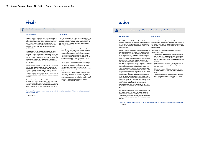## КРМС

**Classification and valuation of energy derivatives**

**Key Audit Matter Our response**

₿

September 2020 are disclosed in the line item "Derivative financial instruments" in non-current assets with CHF 1,570.7 million and in current assets with CHF 1,359.6 million, as well as in the non-current liabilities with CHF 1,409.7 million and current liabilities with CHF 1,338.3 million.

Fluctuations in the replacement values as well as the settlement of the relevant contracts affect the income statement, other comprehensive income and equity, depending on their classification as "own-use" contracts, as energy trading transactions or hedges. Moreover, the classification of derivative financial instruments influences the presentation and disclosure requirements of such contracts.

For subsequent valuation of the energy derivatives as at balance sheet date, models with observable input parameters are used. The definition of such input parameters and the use of suitable valuation models are subject to considerable discretion. Moreover, the assessment of an energy derivative's purpose is decisive for its correct classification and is also subject to considerable discretion.

The valuation is based on the complete and correct recording of all contractual parameters. The recording of the contract is subject to operational risk in the business workflows that stem from the organisational structure of Axpo Group and the numerous energy products traded.

The replacement values of energy derivatives as at 30 Our audit procedures are based on a complete list of reported energy derivatives. We have performed the following audit procedures with regard to the reported energy derivatives, using both valuation specialists and data analysis techniques:

- Testing of controls implemented to ensure the complete and accurate recording of energy derivatives; we thereby focused on the segregation of duties and the reconciliation of internal contractual data with external confirmations as well as on the IT controls relevant to the business workflows for energy derivatives and interfaces between the IT solutions used in the information flow;
- We examined the calculation methods used in the models for consistency and appropriateness with the support from valuation specialists. Together with valuation specialists, we also reviewed whether appropriate energy price curves had been used;
- Full recalculation of the valuation of energy derivatives for a substantial part of the portfolio using our own valuation methods and applying independently procured market data; the remaining amount of derivatives was assessed on a sample basis to ensure they were correctly valued.

 $\overline{a}$ 

For further information on the energy derivatives, refer to the following sections of the notes to the consolidated financial statements:

 $-$  Notes 2.5 and 4.5

**Completeness and accuracy of provisions for the decommissioning and nuclear waste disposal**

#### **Key Audit Matter Our response**

As at 30 September 2020, Axpo Group discloses pro-For our audit, we primarily rely on the 2016 cost analytions in regard to the decommissioning and nuclear waste disposal.

clear power plants at the end of their operational life and to adequately dispose of the nuclear waste. The future costs for this are re-estimated periodically by swissnuclear (swisselectric's nuclear power task force). Its findings are submitted to the administrative commission of the nuclear disposal fund. The temporary cost contributions are calculated on this basis. The last cost analysis took place in  $2015 - 2016$  (2016 • cost analysis) which serves as the basis for the provisions recorded for the decommissioning and nuclear waste disposal in the 2019/20 consolidated financial statements. The provisioning budget contained in the 2016 cost analysis as well as its modeling and mathematical accuracy are reviewed by external experts. Moreover, the Swiss Federal Nuclear Safety Inspectorate (ENSI) as well as the experts involved review whether the costs in the cost analysis were estimated realistically and in sufficient detail, and whether these were presented transparently. Based on this, the Swiss Federal Department for the Environment, Transport, Energy and Communication (UVEK) proposes the final amounts to the administrative commission.

The cost estimates as well as the discount rates used and due to this, the provisions' accuracy and completeness, are subject to significant uncertainty because of the long-term horizon as well as the partially missing empirical data especially in the area of waste disposal

visions in the amount of CHF 4,017.9 million. Of these, sis prepared by swissnuclear as well as its methodologi-CHF 3,142.4 million are earmarked for future obliga-cal review by the external expert. During our audit, we assessed the expertise of swissnuclear as well as of the external expert.

By law, Axpo Group is obliged to decommission its nu-Specifically, we performed the following audit procedures, among others:

- Reconciliation of the amounts, creation and use of provisions in the financial accounting as at balance sheet date with the amounts stated in the cost analysis and their recording in accordance with IFRS requirements;
- Reconciliations of the use of the current provision for nuclear waste disposal by inspecting invoices on a sample basis;
- Critical comparison of the discount rate with data from external studies, past experience and market data.

• Critical appraisal of the disclosure to the provisions in the consolidated financial statements in accordance with the requirements of IFRS;

Further information on the provisions for the decommissioning and nuclear waste disposal refer to the following:

 $-$  Notes 3.7.1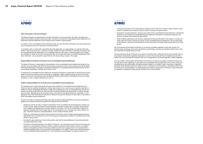

#### **Other Information in the Annual Report**

The Board of Directors is responsible for the other information in the annual report. The other information comprises all information included in the annual report, but does not include the consolidated financial statements, the stand-alone financial statements of the company and our auditor's reports thereon.

Our opinion on the consolidated financial statements does not cover the other information in the annual report and we do not express any form of assurance conclusion thereon.

In connection with our audit of the consolidated financial statements, our responsibility is to read the other information in the annual report and, in doing so, consider whether the other information is materially inconsistent with the consolidated financial statements or our knowledge obtained in the audit, or otherwise appears to be materially misstated. If, based on the work we have performed, we conclude that there is a material misstatement of this other information, we are required to report that fact. We have nothing to report in this regard.

#### **Responsibility of the Board of Directors for the Consolidated Financial Statements**

The Board of Directors is responsible for the preparation of the consolidated financial statements that give a true and fair view in accordance with IFRS and the provisions of Swiss law, and for such internal control as the Board of Directors determines is necessary to enable the preparation of consolidated financial statements that are free from material misstatement, whether due to fraud or error.

In preparing the consolidated financial statements, the Board of Directors is responsible for assessing the Group's ability to continue as a going concern, disclosing, as applicable, matters related to going concern and using the going concern basis of accounting unless the Board of Directors either intends to liquidate the Group or to cease operations, or has no realistic alternative but to do so.

#### **Auditor's Responsibilities for the Audit of the Consolidated Financial Statements**

Our objectives are to obtain reasonable assurance about whether the consolidated financial statements as a whole are free from material misstatement, whether due to fraud or error, and to issue an auditor's report that includes our opinion. Reasonable assurance is a high level of assurance, but is not a guarantee that an audit conducted in accordance with Swiss law, ISAs and Swiss Auditing Standards will always detect a material misstatement if it exists. Misstatements can arise from fraud or error and are considered material if, individually or in the aggregate, they could reasonably be expected to influence the economic decisions of users taken on the basis of these consolidated financial statements.

As part of an audit in accordance with Swiss law, ISAs and Swiss Auditing Standards, we exercise professional judgment and maintain professional skepticism throughout the audit. We also:

- Identify and assess the risks of material misstatement of the consolidated financial statements, whether due to fraud or error, design and perform audit procedures responsive to those risks, and obtain audit evidence that is sufficient and appropriate to provide a basis for our opinion. The risk of not detecting a material misstatement resulting from fraud is higher than for one resulting from error, as fraud may involve collusion, forgery, intentional omissions, misrepresentations, or the override of internal control.
- Obtain an understanding of internal control relevant to the audit in order to design audit procedures that are appropriate in the circumstances, but not for the purpose of expressing an opinion on the effectiveness of the Group's internal control.
- Evaluate the appropriateness of accounting policies used and the reasonableness of accounting estimates and related disclosures made.
- Conclude on the appropriateness of the Board of Directors' use of the going concern basis of accounting and, based on the audit evidence obtained, whether a material uncertainty exists related to events or conditions that may cast significant doubt on the Group's ability to continue as a going concern. If we conclude that a material uncertainty exists, we are required to draw attention in our auditor's report to the related disclosures in the consolidated financial statements or, if such disclosures are inadequate, to modify our opinion. Our

5



conclusions are based on the audit evidence obtained up to the date of our auditor's report. However, future events or conditions may cause the Group to cease to continue as a going concern.

- Evaluate the overall presentation, structure and content of the consolidated financial statements, including the disclosures, and whether the consolidated financial statements represent the underlying transactions and events in a manner that achieves fair presentation.
- Obtain sufficient appropriate audit evidence regarding the financial information of the entities or business activities within the Group to express an opinion on the consolidated financial statements. We are responsible for the direction, supervision and performance of the Group audit. We remain solely responsible for our audit opinion.

We communicate with the Board of Directors or its relevant committee regarding, among other matters, the planned scope and timing of the audit and significant audit findings, including any significant deficiencies in internal control that we identify during our audit.

We also provide the Board of Directors or its relevant committee with a statement that we have complied with relevant ethical requirements regarding independence, and to communicate with them all relationships and other matters that may reasonably be thought to bear on our independence, and where applicable, related safeguards.

From the matters communicated with the Board of Directors or its relevant committee, we determine those matters that were of most significance in the audit of the consolidated financial statements of the current period and are therefore the key audit matters. We describe these matters in our auditor's report, unless law or regulation precludes public disclosure about the matter or when, in extremely rare circumstances, we determine that a matter should not be communicated in our report because the adverse consequences of doing so would reasonably be expected to outweigh the public interest benefits of such communication.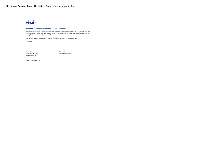

#### **Report on Other Legal and Regulatory Requirements**

In accordance with article 728a para. 1 item 3 CO and the Swiss Auditing Standard 890, we confirm that an internal control system exists, which has been designed for the preparation of consolidated financial statements ac-cording to the instructions of the Board of Directors.

We recommend that the consolidated financial statements submitted to you be approved.

KPMG AG

Daniel Haas Licensed Audit Expert Auditor-in-Charge

Silvan Jurt Licensed Audit Expert

7

Zurich, 9 December 2020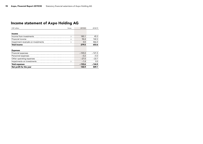# Income statement of Axpo Holding AG

| CHF million                         | Notes | 2019/20  | 2018/19  |
|-------------------------------------|-------|----------|----------|
|                                     |       |          |          |
| Income                              |       |          |          |
| Income from investments             | 3     | 185.1    | 45.3     |
| Financial income                    | 4     | 94.4     | 142.3    |
| Impairment reversals on investments | 5     | 0.0      | 466.0    |
| <b>Total income</b>                 |       | 279.5    | 653.6    |
|                                     |       |          |          |
| <b>Expenses</b>                     |       |          |          |
| Financial expenses                  |       | $-105.0$ | $-121.5$ |
| Personnel expenses                  |       | $-0.2$   | $-0.3$   |
| Other operating expenses            |       | $-27.0$  | $-22.7$  |
| Impairments on investments          | 5     | $-1.4$   | 0.0      |
| <b>Total expenses</b>               |       | $-133.6$ | $-144.5$ |
| Net profit for the year             |       | 145.9    | 509.1    |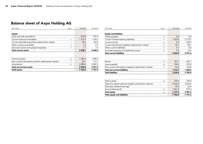# Balance sheet of Axpo Holding AG

| CHF million                                           | <b>Notes</b> | 30.9.2020   | 30.9.2019   |
|-------------------------------------------------------|--------------|-------------|-------------|
|                                                       |              |             |             |
| <b>Assets</b>                                         |              |             |             |
| Cash and cash equivalents                             |              | 819.8       | 791.9       |
| Current financial receivables                         | 6            | 1 3 1 2 . 9 | 1 1 2 0.7   |
| Current derivatives (positive replacement values)     |              | 94.3        | 122.6       |
| Other current receivables                             | 8            | 9.4         | 8.7         |
| Accrued income and prepaid expenses                   | 9            | 1.7         | 1.5         |
| <b>Total current assets</b>                           |              | 2 2 3 8 . 1 | 2 0 4 5 . 4 |
|                                                       |              |             |             |
|                                                       |              |             |             |
| Financial assets                                      | 10           | 1 3 8 7 .5  | 1498.7      |
| Non-current derivatives (positive replacement values) | 11           | 60.7        | 111.1       |
| Investments                                           | 12           | 4 080.6     | 4 0 8 2 . 1 |
| Total non-current assets                              |              | 5 5 28.8    | 5691.9      |
| <b>Total assets</b>                                   |              | 7 766.9     | 7 737.3     |

| CHF million                                               | <b>Notes</b> | 30.9.2020   | 30.9.2019 |
|-----------------------------------------------------------|--------------|-------------|-----------|
|                                                           |              |             |           |
| <b>Equity and liabilities</b>                             |              |             |           |
| Trade payables                                            | 13           | 0.4         | 0.2       |
| Current interest-bearing liabilities                      | 14           | 1 923.0     | 2 172.7   |
| Current bonds                                             | 15           | 0.0         | 429.5     |
| Current derivatives (negative replacement values)         | 16           | 92.1        | 83.7      |
| Other current liabilities                                 | 17           | 0.1         | 0.0       |
| Accrued expenses and deferred income                      | 18           | 9.3         | 15.3      |
| <b>Total current liabilities</b>                          |              | 2024.9      | 2 701.4   |
|                                                           |              |             |           |
| <b>Bonds</b>                                              |              | 781.1       |           |
|                                                           | 19           |             | 647.7     |
| Loans payable                                             | 20           | 750.0       | 270.0     |
| Non-current derivatives (negative replacement values)     | 21           | 83.6        | 136.8     |
| <b>Total non-current liabilities</b>                      |              | 1614.7      | 1054.5    |
| <b>Total liabilities</b>                                  |              | 3639.6      | 3755.9    |
|                                                           |              |             |           |
| Share capital                                             | 22           | 370.0       | 370.0     |
|                                                           |              |             |           |
| Statutory capital reserves (capital contribution reserve) |              | 2 633.0     | 2 633.0   |
| Voluntary retained earnings                               |              | 63.0        | 63.0      |
| Accumulated profit                                        | 23           | 1 0 6 1 . 3 | 915.4     |
| <b>Total equity</b>                                       | 24           | 4 127.3     | 3 981.4   |
| <b>Total equity and liabilities</b>                       |              | 7766.9      | 7 737.3   |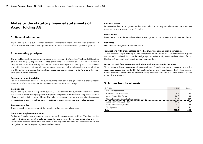## Notes to the statutory financial statements of Axpo Holding AG

### 1 General information

Axpo Holding AG is a public limited company incorporated under Swiss law with its registered office in Baden. The annual average number of full-time employees was 1 (previous year: 1)

### 2 Accounting principles

The annual financial statements are prepared in accordance with Swiss law. The Board of Directors of Axpo Holding AG approved these statutory financial statements on 9 December 2020 and they are still to be approved by the Annual General Meeting on 15 January 2021. The policies applied in the statutory financial statements are presented below unless otherwise required by law. The option to create and release hidden reserves was exercised in order to ensure the longterm growth of the company.

#### Foreign currency translation

For more information about foreign currency translation, see "Foreign currency exchange rates" in Note 1.2 of the consolidated financial statements of the Axpo Group.

#### Cash pooling

Axpo Holding AG has a cash pooling system (zero balancing). The current financial receivables and current interest-bearing payables from group companies are transferred daily to the account of Axpo Holding AG at the pool bank. The balance per group company or associated company is recognised under receivables from or liabilities to group companies and related parties.

#### Trade receivables

Trade receivables are recorded at their nominal value less loss allowances.

#### Derivatives (replacement values)

Derivative financial instruments are used to hedge foreign currency positions. The financial derivatives that are open on the balance sheet date are measured at stock market value or at fair value on the balance sheet date. The positive and negative derivative financial instruments are recognised in the corresponding balance sheet items.

#### Financial assets

Loan receivables are recognised at their nominal value less any loss allowances. Securities are measured at the lower of cost or fair value.

#### Investments

Investments in subsidiaries and associates are recognised at cost, subject to any impairment losses.

#### Liabilities

Liabilities are recognised at nominal value.

#### Transactions with shareholders as well as investments and group companies

The investors of Axpo Holding AG are recognised as "shareholders". "Investments and group companies" includes all fully consolidated group companies, equity-accounted associates of Axpo Holding AG and significant investments of shareholders.

#### Waiver of cash flow statement and additional information in the notes

Since the Axpo Group has prepared its consolidated financial statements in accordance with a recognised accounting standard (IFRS), as stipulated by law, it has dispensed with the presentation of additional information on interest-bearing liabilities and audit fees in the notes as well as a cash flow statement.

### 3 Income from investments

| CHF million                                  | 2019/20 | 2018/19 |
|----------------------------------------------|---------|---------|
| Dividend income from                         |         |         |
| Repower AG, Poschiavo                        | 0.5     | 0.5     |
| Axpo Power AG, Baden                         | 80.0    | 0.0     |
| Centralschweizerische Kraftwerke AG, Lucerne | 14.4    | 28.9    |
| Axpo Solutions AG, Baden                     | 80.0    | 0.0     |
| Axpo Services AG, Baden                      | 5.0     | 10.0    |
| Third parties                                | 5.2     | 5.9     |
| Total                                        | 185.1   | 45 3    |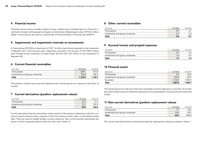## 4 Financial income

Financial income mainly includes interest income, realised and unrealised gains on financial investments, foreign exchange gains and gains on derivatives. Realised gains were CHF 45.3 million higher in the previous year due to a partial sale of financial assets in financial year 2018/19.

### 5 Impairments and impairment reversals on investments

In financial year 2019/20 an impairment of CHF 1.4 million had to be recognised on the investment in Repower AG. In the previous year, impairment reversals in the amount of CHF 450.0 million were booked on the investment in Axpo Power AG and CHF 16.0 million on the investment in Repower AG.

### 6 Current financial receivables

| CHF million                     | 30.09.2020  | 30 9 2019 |
|---------------------------------|-------------|-----------|
| Third parties                   | 6091        | 373 8     |
| Investments and group companies | 703.8       | 746.9     |
| Total                           | 1 3 1 2 . 9 | 1 120.7   |

This position contains loans and time deposits with a remaining term to maturity of less than 12 months.

### 7 Current derivatives (positive replacement values)

| CHF million                     | 30.9.2020 | 30 9 2019 |
|---------------------------------|-----------|-----------|
| Third parties                   | 21.2      |           |
| Investments and group companies | 73.1      | 101 4     |
| Total                           | 94.3      |           |

Current derivative financial instruments mainly consist of the positive replacement value for currency forward contracts with a maturity of less than twelve months, open on the balance sheet date. They are used to hedge foreign currency positions. Non-current positive derivatives are shown in both a separate balance sheet line item and in Note 11.

#### 8 Other current receivables

| CHF million                     | 30.9.2020 | 30 9 2019 |
|---------------------------------|-----------|-----------|
| Third parties                   |           |           |
| Investments and group companies |           |           |
| Total                           |           |           |

### 9 Accrued income and prepaid expenses

| CHF million                     | 30 9 2020 | 30 9 2019 |
|---------------------------------|-----------|-----------|
| Third parties                   |           |           |
| Investments and group companies |           |           |
| <b>Total</b>                    |           |           |

## 10 Financial assets

| CHF million                     | 30.9.2020   | 30.9.2019 |
|---------------------------------|-------------|-----------|
| Third parties                   | 0.0         | 20.0      |
| Investments and group companies | 254.0       | 196.9     |
| Securities                      | 1 1 3 3 5   | 1 281.8   |
| Total                           | 1 3 8 7 . 5 | 1498.7    |

The remaining term to maturity of the loan receivables and time deposits is more than 12 months. Securities mainly consist of collective investment instruments (bank in-house funds and investment funds).

#### 11 Non-current derivatives (positive replacement values)

| CHF million                     | 30.9.2020 | 30.9.2019 |
|---------------------------------|-----------|-----------|
| Third parties                   |           |           |
| Investments and group companies |           | 85.5.     |
| <b>Total</b>                    | 60.7      | 111.1     |

The current derivative financial instruments (positive replacement values) are stated in Note 7.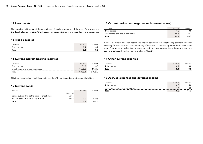### 12 Investments

The overview in Note 6.6 of the consolidated financial statements of the Axpo Group sets out the details of Axpo Holding AG's direct or indirect equity interests in subsidiaries and associates.

### 13 Trade payables

| CHF million   | 30.9.2020 | 30.9.2019 |
|---------------|-----------|-----------|
| Third parties | v.4       | ◡.∠       |
| <b>Total</b>  | 0.4       | .,<br>v.z |

### 14 Current interest-bearing liabilities

| CHF million                     | 30 9 2020 | 30 9 2019 |
|---------------------------------|-----------|-----------|
| Third parties                   | ่ 31 N    |           |
| Investments and group companies | 18920     | 2 172 7   |
| <b>Total</b>                    | 1923.0    | 2 172.7   |

This item includes loan liabilities due in less than 12 months and current account liabilities.

### 15 Current bonds

| CHF million                                  |         | 30.9.2020 | 30 9 2019 |
|----------------------------------------------|---------|-----------|-----------|
|                                              | Nominal |           |           |
| Bonds outstanding at the balance sheet date: | value   |           |           |
| 2.625% bond 26.2.2010 - 26.2.2020            | 429 R   | n n       | 429.5     |
| Total                                        |         | 0.0       | 429.5     |

### 16 Current derivatives (negative replacement values)

| CHF million                     | 30 9 2020 | 30.9.2019 |
|---------------------------------|-----------|-----------|
| Third parties                   |           |           |
| Investments and group companies | 90.8      | 83.2      |
| Total                           | 92.1      | 83.7      |

Current derivative financial instruments mainly consist of the negative replacement value for currency forward contracts with a maturity of less than 12 months, open on the balance sheet date. They serve to hedge foreign currency positions. Non-current derivatives are shown in a separate balance sheet line item as well as in Note 21.

### 17 Other current liabilities

| CHF million               | 30.9.2020 | 30.9.2019 |
|---------------------------|-----------|-----------|
| Third parties<br>-------- | 0.        |           |
| <b>Total</b>              | 0.1       | 0.0       |

### 18 Accrued expenses and deferred income

| CHF million                     | 30 9 2020 | 30 9 2019 |
|---------------------------------|-----------|-----------|
| Third parties                   |           |           |
| Investments and group companies |           |           |
| <b>Total</b>                    |           | 15.3      |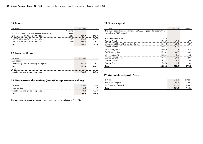### 19 Bonds

| CHF million                                  |         | 30.9.2020 | 30.9.2019 |
|----------------------------------------------|---------|-----------|-----------|
|                                              | Nominal |           |           |
| Bonds outstanding at the balance sheet date: | value   |           |           |
| 3.125% bond 26.2.2010 - 26.2.2025            | 300.0   | 298.7     | 298.3     |
| 1.750% bond 28.7.2016 - 29.5.2024            | 350.0   | 3494      | 3494      |
| 1.002% bond 23.7.2020 - 23.7.2027            | 1330    | 133.0     | 0.0       |
| Total                                        |         | 781.1     | 647.7     |

### 20 Loan liabilities

| CHF million                              | 30.9.2020 | 30.9.2019 |
|------------------------------------------|-----------|-----------|
| Due dates:                               |           |           |
| Remaining term to maturity $1 - 5$ years | 750.0     | 270.0     |
| <b>Total</b>                             | 750.0     | 270.0     |
| of which:                                |           |           |
| Investments and group companies          | 750.0     | 270.0     |

## 21 Non-current derivatives (negative replacement values)

| CHF million                     | 30.9.2020 | 30.9.2019 |
|---------------------------------|-----------|-----------|
| Third parties                   |           |           |
| Investments and group companies | 74.3      |           |
| Total                           | 83.6      | 136.8     |

The current derivatives (negative replacement values) are stated in Note 16.

## 22 Share capital

| CHF million                                                           |         | 30.9.2020 | 30.9.2019 |
|-----------------------------------------------------------------------|---------|-----------|-----------|
| The share capital is divided into 37,000,000 registered shares with a |         |           |           |
| par value of CHF 10 each.                                             |         |           |           |
|                                                                       |         |           |           |
| The shareholders are:                                                 | in $%$  |           |           |
| Canton Zurich                                                         | 18.342  | 67.9      | 67.9      |
| Electricity utilities of the Canton Zurich                            | 18.410  | 68.1      | 68.1      |
| Canton Aargau                                                         | 13.975  | 51.7      | 51.7      |
| <b>AEW Energie AG</b>                                                 | 14.026  | 51.9      | 51.9      |
| <b>SAK Holding AG</b>                                                 | 12.501  | 46.3      | 46.3      |
| <b>EKT Holding AG</b>                                                 | 12.251  | 45.3      | 45.3      |
| Canton Schaffhausen                                                   | 7.875   | 29.1      | 29.1      |
| <b>Canton Glarus</b>                                                  | 1.747   | 6.5       | 6.5       |
| Canton Zug                                                            | 0.873   | 3.2       | 3.2       |
| Total                                                                 | 100.000 | 370.0     | 370.0     |

## 23 Accumulated profit/loss

| CHF million            | 30.9.2020   | 30.9.2019 |
|------------------------|-------------|-----------|
| Result for the year    | 1459        | 509.1     |
| Profit carried forward | 9154        | 406.3     |
| <b>Total</b>           | 1 0 6 1 . 3 | 915.4     |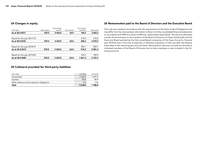### 24 Changes in equity

|                             |               | General legal |               | Accumulated |              |
|-----------------------------|---------------|---------------|---------------|-------------|--------------|
| CHF million                 | Share capital | reserves      | Free reserves | profit/loss | Total equity |
| As at 30.9.2017             | 370.0         | 2 633.0       | 63.0          | 196.3       | 3 262.3      |
| Result for the year 2017/18 |               |               |               | 210.0       | 210.0        |
| As at 30.9.2018             | 370.0         | 2 633.0       | 63.0          | 406.3       | 3 4 7 2 . 3  |
| Result for the year 2018/19 |               |               |               | 509.1       | 509.1        |
| As at 30.9.2019             | 370.0         | 2 633.0       | 63.0          | 915.4       | 3 981.4      |
| Result for the year 2019/20 |               |               |               | 145.9       | 145.9        |
| As at 30.9.2020             | 370.0         | 2633.0        | 63.0          | 1061.3      | 4 127.3      |

### 26 Remuneration paid to the Board of Directors and the Executive Board

This note was created in accordance with the requirements of the Swiss Code of Obligations and may differ from the remuneration information in Note 5.2 of the consolidated financial statements (in accordance with IFRS) as a result of differing measurement approaches. The amounts disclosed include all remuneration to the members of the Board of Directors of Axpo Holding AG and the Executive Board granted by the fully consolidated companies of the Axpo Group for financial year 2019/20 even if the time of payment or definitive acquisition of title was after the balance sheet date of the reporting year (accrual basis). Remuneration that was not paid out directly to individual members of the Board of Directors but to their employers is also included in the following amounts.

### 25 Collateral provided for third-party liabilities

| Total                                     | 1614.0    | 1788.8    |
|-------------------------------------------|-----------|-----------|
| Other delivery and acceptance obligations | 0.3       | በ 4       |
| Sureties                                  | 90.9      | 90.9      |
| Guarantees                                | 15228     | 1 697.5   |
| CHF million                               | 30.9.2020 | 30 9 2019 |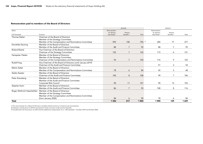#### Remuneration paid to members of the Board of Directors

|                            |                                                              |                            | 2019/20                |           |                            | 2018/19                |         |
|----------------------------|--------------------------------------------------------------|----------------------------|------------------------|-----------|----------------------------|------------------------|---------|
| Name                       |                                                              | Remuneration               |                        |           | Remuneration               |                        |         |
|                            |                                                              | for director-              | Pension                |           | for director-              | Pension                |         |
| CHF thousand               | Function                                                     | ship (fixed) <sup>1)</sup> | benefits <sup>2)</sup> | Total     | ship (fixed) <sup>1)</sup> | benefits <sup>2)</sup> | Total   |
| <b>Thomas Sieber</b>       | Chairman of the Board of Directors                           |                            |                        |           |                            |                        |         |
|                            | Member of the Strategy Committee,                            |                            |                        |           |                            |                        |         |
|                            | Member of the Compensation and Nominations Committee         | 592                        | 158                    | $750^{3}$ | 300                        |                        | 377     |
| Dorothée Deuring           | Member of the Board of Directors                             |                            |                        |           |                            |                        |         |
|                            | Member of the Audit and Finance Committee                    | 88                         |                        | 95        | 88                         |                        | 95      |
| Roland Eberle              | Vice Chairman of the Board of Directors                      |                            |                        |           |                            |                        |         |
|                            | Chairman of the Strategy Committee                           | 125                        |                        | 132       | 115                        |                        | 121     |
| Hanspeter Fässler          | Member of the Board of Directors                             |                            |                        |           |                            |                        |         |
|                            | Member of the Strategy Committee,                            |                            |                        |           |                            |                        |         |
|                            | Chairman of the Compensation and Nominations Committee       | 93                         |                        | 100       | 116                        |                        | 125     |
| Rudolf Hug                 | Vice Chairman of the Board of Directors (until January 2019) |                            |                        |           |                            |                        |         |
|                            | Chairman of the Audit and Finance Committee                  |                            |                        |           | .51                        |                        | 54      |
| Martin Keller              | Member of the Board of Directors                             |                            |                        |           |                            |                        |         |
|                            | Member of the Compensation and Nominations Committee         |                            |                        | 84        | 45                         | ર                      | 48      |
| Stefan Kessler             | Member of the Board of Directors                             |                            |                        |           |                            |                        |         |
|                            | Chairman of the Audit and Finance Committee                  | 100                        |                        | 108       | 99                         |                        | 106     |
| Peter Kreuzberg            | Member of the Board of Directors                             |                            |                        |           |                            |                        |         |
|                            | Member of the Audit and Finance Committee                    |                            |                        |           |                            |                        |         |
|                            | Corporate Risk Council                                       |                            |                        | 101       | 90                         |                        | 103     |
| Stephan Kuhn               | Member of the Board of Directors                             |                            |                        |           |                            |                        |         |
|                            | Member of the Audit and Finance Committee                    | 86                         |                        | 93        | 108                        | 8                      | 116     |
| Roger Wüthrich-Hasenböhler | Member of the Board of Directors                             |                            |                        |           |                            |                        |         |
|                            | Member of the Strategy Committee                             |                            |                        |           |                            |                        |         |
|                            | Member of the Compensation and Nominations Committee         |                            |                        |           |                            |                        |         |
|                            | (from January 2020)                                          | 84                         |                        | 90        | 78                         |                        | 84      |
| Total                      |                                                              | 1 3 3 6                    | 217                    | 1553      | 1090                       | 139                    | 1 2 2 9 |

1) The remuneration for a Board of Directors mandate (fixed) consists of a fixed annual remuneration.

2) Employer contributions to AHV/IV and pension funds are shown under pension benefits.

3) Includes both the honorarium as CEO and the additional compensation as a.i. CEO between 1 October 2019 and 30 April 2020.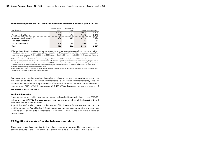#### Remuneration paid to the CEO and Executive Board members in financial year 2019/20 1)

|                                 | Christoph Brand | Andrew Walo |         |                                         |
|---------------------------------|-----------------|-------------|---------|-----------------------------------------|
| CHF thousand                    | CEO $^{2}$      | CEO         |         | Total for Executive Board <sup>1)</sup> |
|                                 | 2019/20         | 2018/19     | 2019/20 | 2018/19                                 |
| Gross salaries (fixed)          | 262             | 650         | 2024    | 2 4 0 9                                 |
| Gross salaries (variable) 3)    | 243             | 325         | 2056    | 1 3 1 9                                 |
| Non-cash benefits <sup>4)</sup> | 0               |             | 36      | 37                                      |
| Pension benefits <sup>5)</sup>  | 109             | 244         | 803     | 830                                     |
| Total                           | 614             | 1 2 2 6     | 4919    | 4595                                    |

1) The total for the Executive Board does not take into account payments and remuneration paid to former members of the Executive Board in the period between when they left the Executive Board function and the end of their employment contract. The additional remuneration to T. Sieber (CEO) as a.i. CEO between 1 October 2019 and 30 April 2020 is disclosed under the remuneration paid to the Board of Directors.

2) The remuneration paid to CEO C. Brand covers the period from 1 May 2020 to 30 September 2020 (p.r. for five months).

3) Gross salaries (variable) include variable salary components that are dependent on the achievement of company targets and individual objectives. These are values for financial year 2019/20 just ended which are based on the provisional target assessment and the forecast of the results of the corporate financial targets. The payments will be made in the following financial year. 4) Private use of company vehicles and SBB rail pass.

5) Employer contributions to the AHV/IV, the company pension fund, occupational and non-occupational accident insurance, and sick pay insurance are shown under pension benefits.

Expenses for performing directorships on behalf of Axpo are also compensated as part of the remuneration paid to the Executive Board members, i.e. Executive Board members may not claim separate remuneration for the performance of directorships within the Axpo Group. This remuneration totals CHF 132,567 (previous year: CHF 178,666) and was paid out to the employers of the Executive Board members.

#### Further information

No remuneration was paid to former members of the Board of Directors in financial year 2019/20. In financial year 2019/20, the total compensation to former members of the Executive Board amounted to CHF 1,522 thousand.

Axpo Holding AG is wholly owned by the cantons of Northeastern Switzerland and their cantonal utility companies. Axpo Holding AG and its group companies have not granted any securities, loans, advances or credits to the members of the Board of Directors and the Executive Board or related parties.

#### 27 Significant events after the balance sheet date

There were no significant events after the balance sheet date that would have an impact on the carrying amounts of the assets or liabilities or that would have to be disclosed at this point.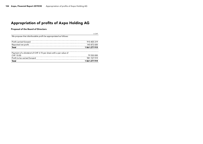# Appropriation of profits of Axpo Holding AG

### Proposal of the Board of Directors

|                                                                  | in CHF      |
|------------------------------------------------------------------|-------------|
| We propose that distributable profit be appropriated as follows: |             |
| Profit carried forward                                           | 915 405 319 |
| Reported net profit                                              | 145 872 600 |
| <b>Total</b>                                                     | 1061277919  |
| Payment of a dividend of CHF 2.15 per share with a par value of  |             |
| CHF 10.00                                                        | 79 550 000  |
| Profit to be carried forward                                     | 981 727 919 |
| <b>Total</b>                                                     | 1061277919  |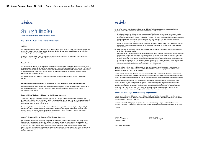

# Statutory Auditor's Report

#### **To the General Meeting of Axpo Holding AG, Baden**

#### **Report on the Audit of the Financial Statements**

#### **Opinion**

We have audited the financial statements of Axpo Holding AG, which comprise the income statement for the year then ended and the balance sheet as at 30 September 2020 and notes to the financial statements, including a summary of significant accounting policies.

In our opinion the financial statements (pages 94 to 103) for the year ended 30 September 2020 comply with Swiss law and the company's articles of incorporation.

#### **Basis for Opinion**

We conducted our audit in accordance with Swiss law and Swiss Auditing Standards. Our responsibilities under those provisions and standards are further described in the Auditor's Responsibilities for the Audit of the Financial Statements section of our report. We are independent of the entity in accordance with the provisions of Swiss law and the requirements of the Swiss audit profession and we have fulfilled our other ethical responsibilities in accordance with these requirements.

We believe that the audit evidence we have obtained is sufficient and appropriate to provide a basis for our opinion.

#### **Report on Key Audit Matters based on the circular 1/2015 of the Federal Audit Oversight Authority**

Key audit matters are those matters that, in our professional judgment, were of most significance in our audit of the financial statements of the current period. We have determined that there are no key audit matters to communicate in our report.

#### **Responsibility of the Board of Directors for the Financial Statements**

The Board of Directors is responsible for the preparation of the financial statements in accordance with the provisions of Swiss law and the company's articles of incorporation, and for such internal control as the Board of Directors determines is necessary to enable the preparation of financial statements that are free from material misstatement, whether due to fraud or error.

In preparing the financial statements, the Board of Directors is responsible for assessing the entity's ability to continue as a going concern, disclosing, as applicable, matters related to going concern and using the going concern basis of accounting unless the Board of Directors either intends to liquidate the entity or to cease operations, or has no realistic alternative but to do so.

#### **Auditor's Responsibilities for the Audit of the Financial Statements**

Our objectives are to obtain reasonable assurance about whether the financial statements as a whole are free from material misstatement, whether due to fraud or error, and to issue an auditor's report that includes our opinion. Reasonable assurance is a high level of assurance, but is not a guarantee that an audit conducted in accordance with Swiss law and Swiss Auditing Standards will always detect a material misstatement when it exists. Misstatements can arise from fraud or error and are considered material if, individually or in the aggregate, they could reasonably be expected to influence the economic decisions of users taken on the basis of these financial statements.



As part of an audit in accordance with Swiss law and Swiss Auditing Standards, we exercise professional judgment and maintain professional skepticism throughout the audit. We also:

- Identify and assess the risks of material misstatement of the financial statements, whether due to fraud or error, design and perform audit procedures responsive to those risks, and obtain audit evidence that is sufficient and appropriate to provide a basis for our opinion. The risk of not detecting a material misstatement resulting from fraud is higher than for one resulting from error, as fraud may involve collusion, forgery, intentional omissions, misrepresentations, or the override of internal control.
- Obtain an understanding of internal control relevant to the audit in order to design audit procedures that are appropriate in the circumstances, but not for the purpose of expressing an opinion on the effectiveness of internal control.
- Evaluate the appropriateness of accounting policies used and the reasonableness of accounting estimates and related disclosures made.
- Conclude on the appropriateness of the Board of Directors' use of the going concern basis of accounting and, based on the audit evidence obtained, whether a material uncertainty exists related to events or conditions that may cast significant doubt on the entity's ability to continue as a going concern. If we conclude that a material uncertainty exists, we are required to draw attention in our auditor's report to the related disclosures in the financial statements or, if such disclosures are inadequate, to modify our opinion. Our conclusions are based on the audit evidence obtained up to the date of our auditor's report. However, future events or conditions may cause the entity to cease to continue as a going concern.

We communicate with the Board of Directors or its relevant committee regarding, among other matters, the planned scope and timing of the audit and significant audit findings, including any significant deficiencies in internal control that we identify during our audit.

We also provide the Board of Directors or its relevant committee with a statement that we have complied with relevant ethical requirements regarding independence, and to communicate with them all relationships and other matters that may reasonably be thought to bear on our independence, and where applicable, related safeguards.

From the matters communicated with the Board of Directors or its relevant committee, we determine those matters that were of most significance in the audit of the financial statements of the current period and are therefore the key audit matters. We describe these matters in our auditor's report, unless law or regulation precludes public disclosure about the matter or when, in extremely rare circumstances, we determine that a matter should not be communicated in our report because the adverse consequences of doing so would reasonably be expected to outweigh the public interest benefits of such communication.

#### **Report on Other Legal and Regulatory Requirements**

In accordance with article 728a para. 1 item 3 CO and the Swiss Auditing Standard 890, we confirm that an internal control system exists, which has been designed for the preparation of financial statements according to the instructions of the Board of Directors.

We further confirm that the proposed appropriation of available earnings complies with Swiss law and the company's articles of incorporation. We recommend that the financial statements submitted to you be approved.

KPMG AG

Daniel Haas Nadine Herzog Licensed Audit Expert Auditor in Charge

Licensed Audit Expert

Zurich, 9 December 2020